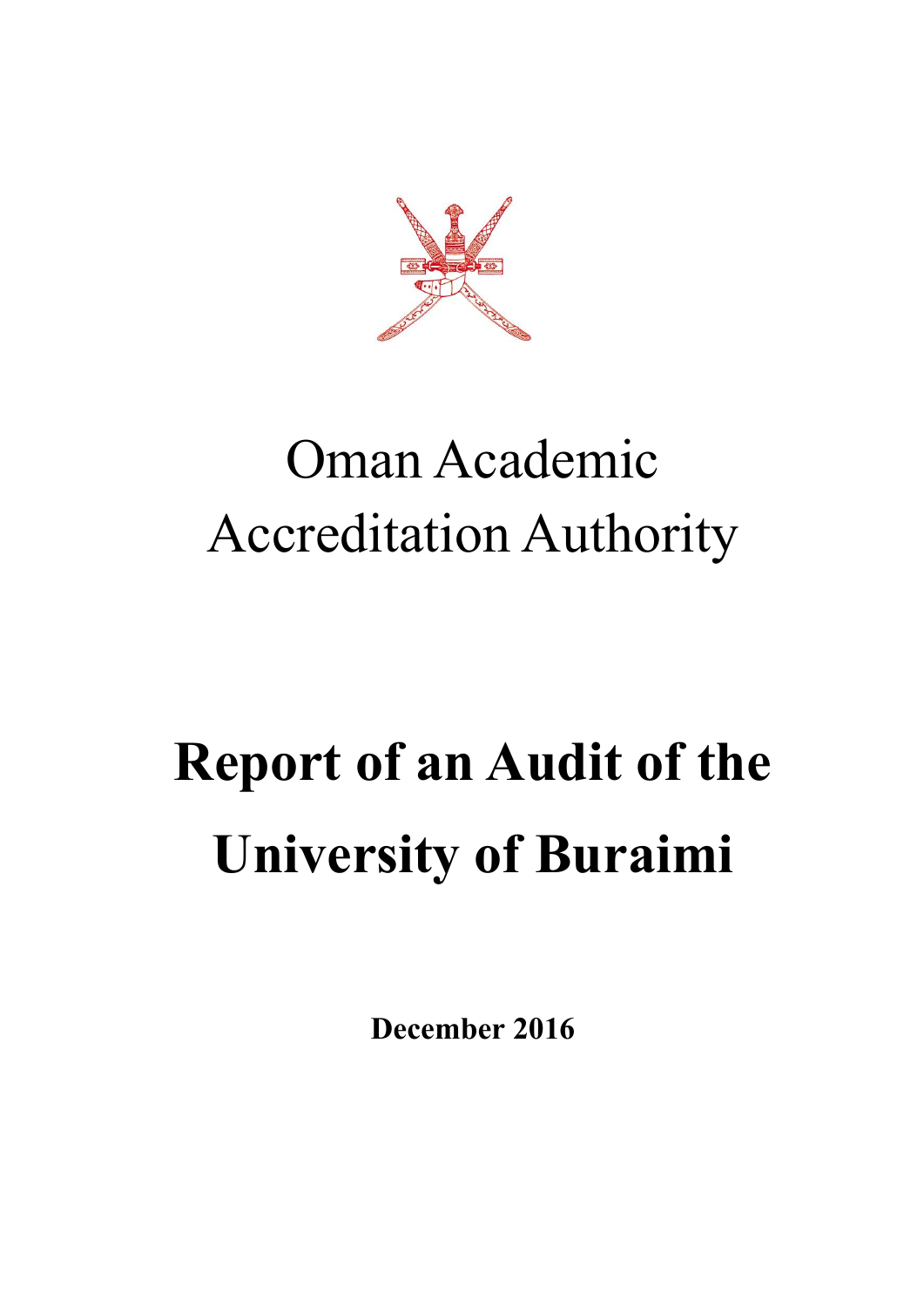

# Oman Academic Accreditation Authority

# **Report of an Audit of the University of Buraimi**

**December 2016**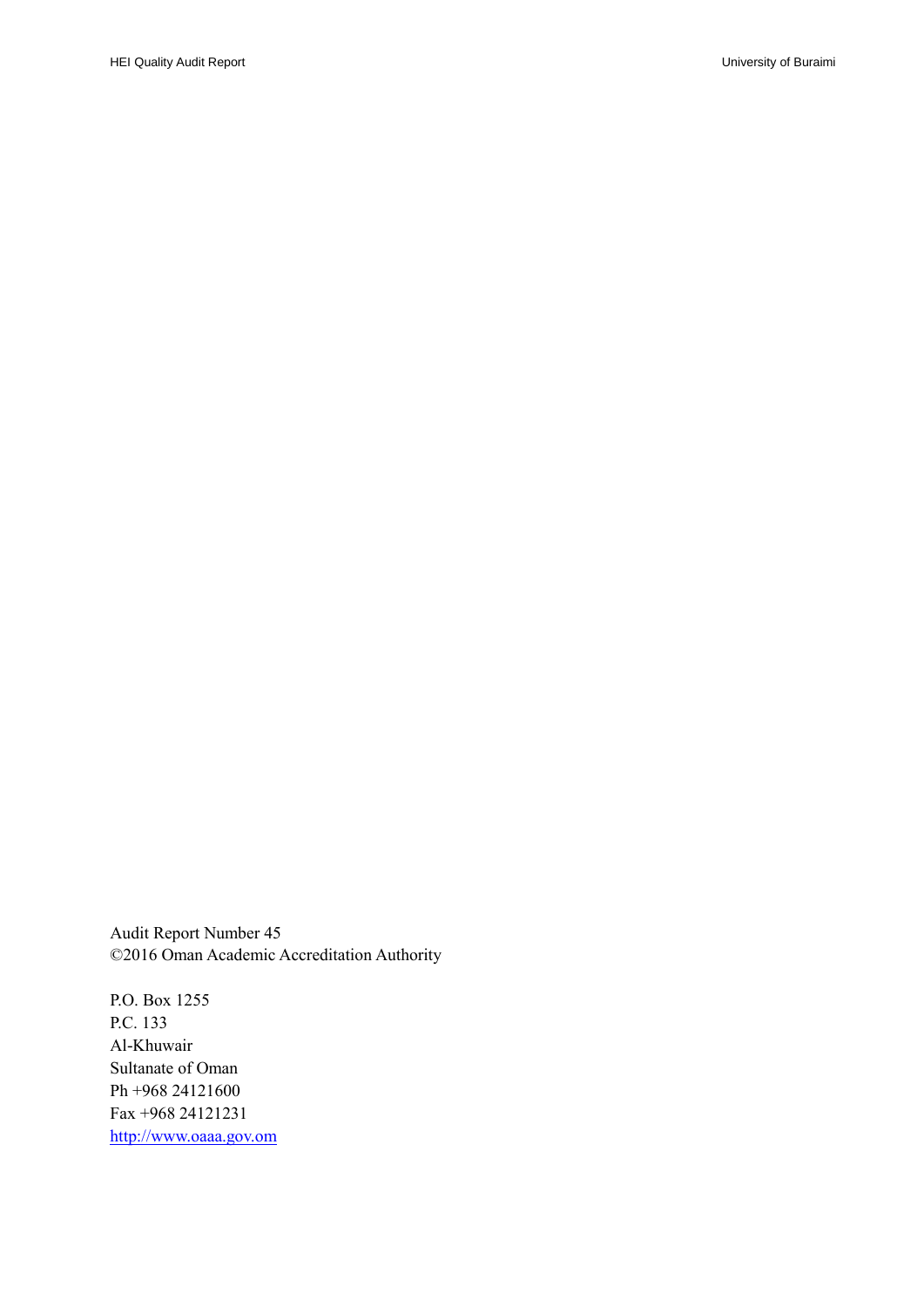Audit Report Number 45 ©2016 Oman Academic Accreditation Authority

P.O. Box 1255 P.C. 133 Al-Khuwair Sultanate of Oman Ph +968 24121600 Fax +968 24121231 [http://www.oaaa.gov.om](http://www.oaaa.gov.om/)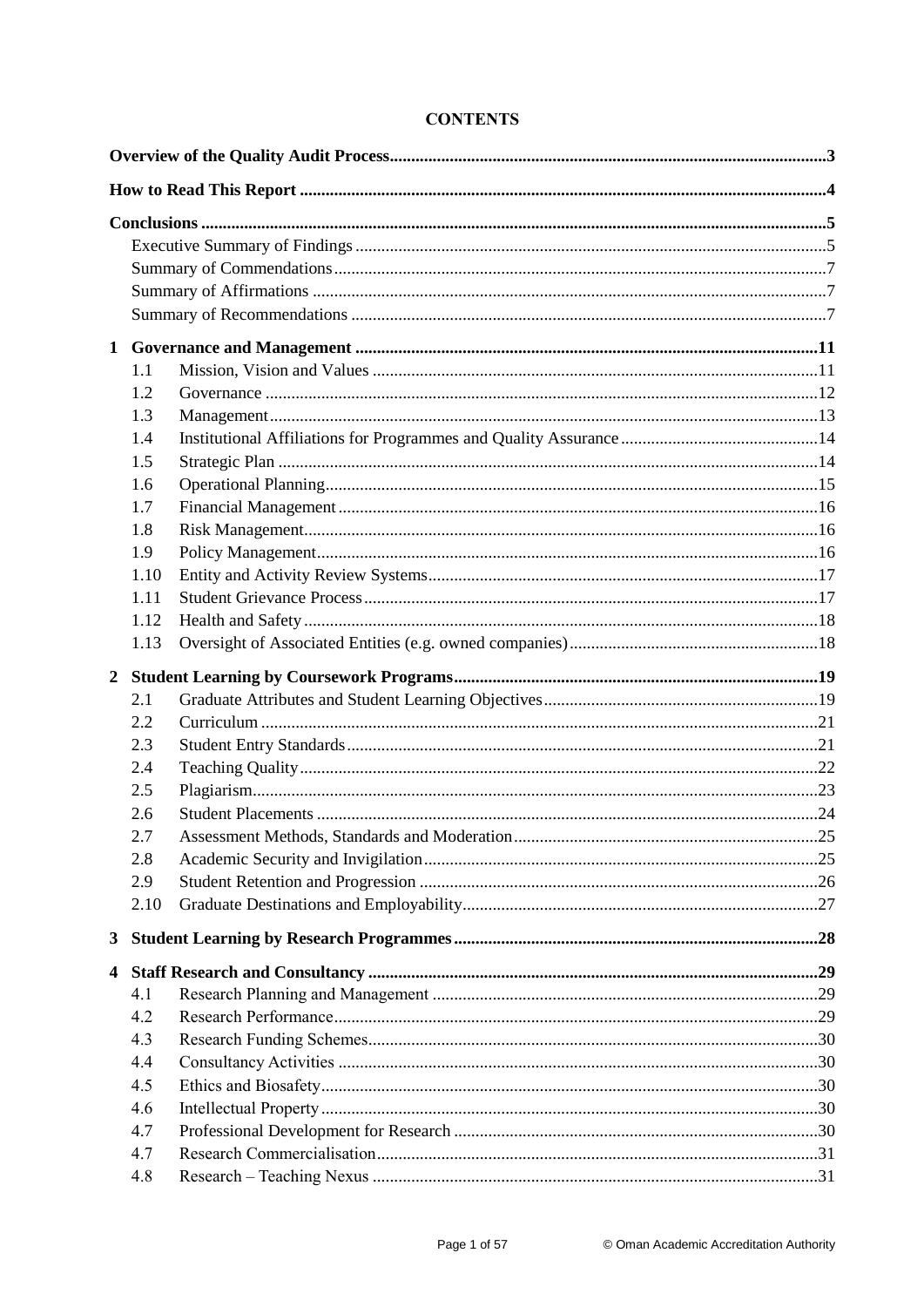|              | 1.1  |  |  |
|--------------|------|--|--|
|              | 1.2  |  |  |
|              | 1.3  |  |  |
|              | 1.4  |  |  |
|              | 1.5  |  |  |
|              | 1.6  |  |  |
|              | 1.7  |  |  |
|              | 1.8  |  |  |
|              | 1.9  |  |  |
|              | 1.10 |  |  |
|              | 1.11 |  |  |
|              | 1.12 |  |  |
|              | 1.13 |  |  |
|              |      |  |  |
|              | 2.1  |  |  |
|              | 2.2  |  |  |
|              | 2.3  |  |  |
|              | 2.4  |  |  |
|              | 2.5  |  |  |
|              | 2.6  |  |  |
|              | 2.7  |  |  |
|              | 2.8  |  |  |
|              | 2.9  |  |  |
|              | 2.10 |  |  |
| $\mathbf{3}$ |      |  |  |
| 4            |      |  |  |
|              | 4.1  |  |  |
|              | 4.2  |  |  |
|              | 4.3  |  |  |
|              | 4.4  |  |  |
|              | 4.5  |  |  |
|              | 4.6  |  |  |
|              | 4.7  |  |  |
|              |      |  |  |
|              | 4.7  |  |  |

# **CONTENTS**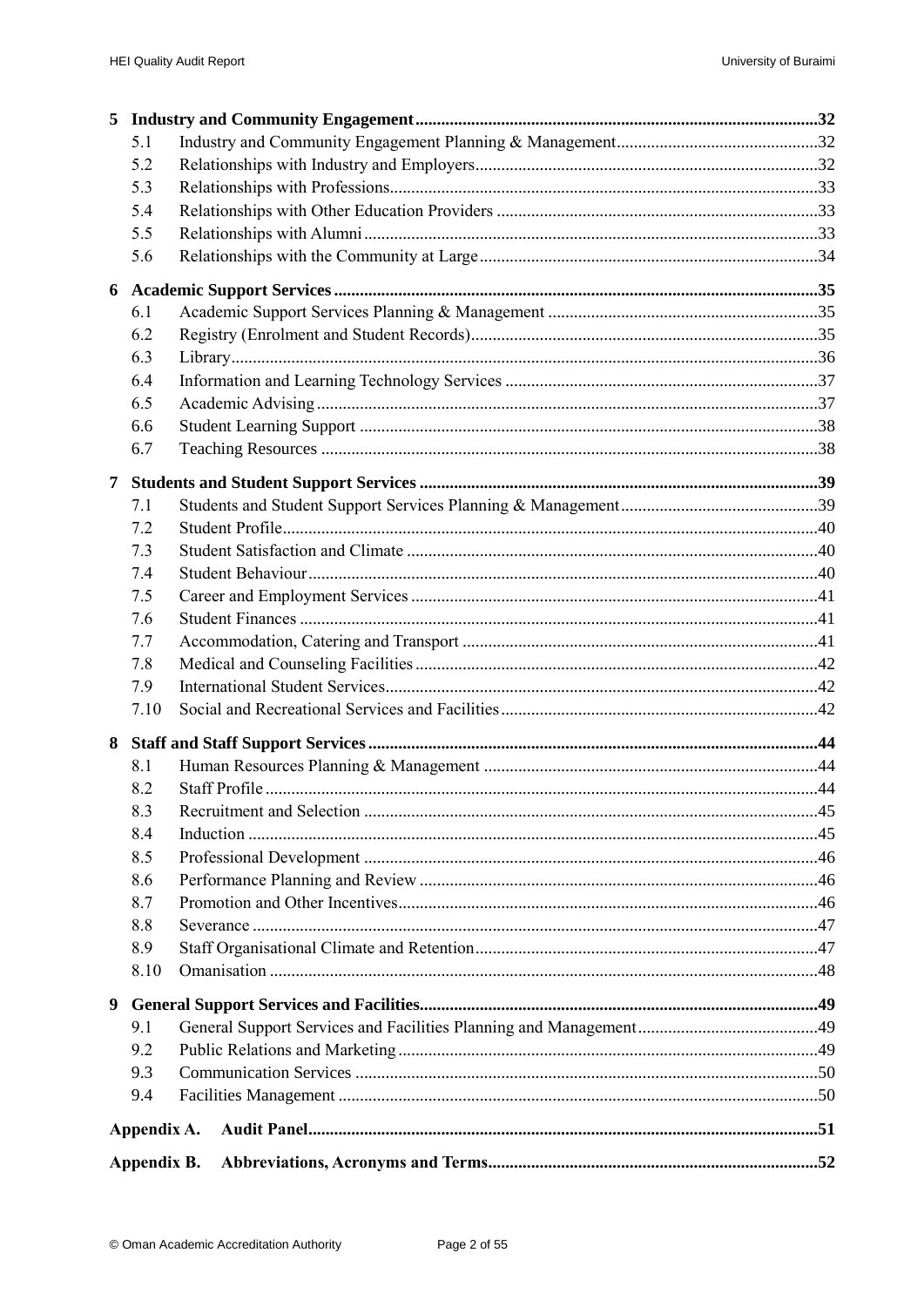| 5 |             |  |
|---|-------------|--|
|   | 5.1         |  |
|   | 5.2         |  |
|   | 5.3         |  |
|   | 5.4         |  |
|   | 5.5         |  |
|   | 5.6         |  |
| 6 |             |  |
|   | 6.1         |  |
|   | 6.2         |  |
|   | 6.3         |  |
|   | 6.4         |  |
|   | 6.5         |  |
|   | 6.6         |  |
|   | 6.7         |  |
| 7 |             |  |
|   | 7.1         |  |
|   | 7.2         |  |
|   | 7.3         |  |
|   | 7.4         |  |
|   | 7.5         |  |
|   | 7.6         |  |
|   | 7.7         |  |
|   | 7.8         |  |
|   | 7.9         |  |
|   | 7.10        |  |
| 8 |             |  |
|   | 8.1         |  |
|   | 8.2         |  |
|   | 8.3         |  |
|   | 8.4         |  |
|   | 8.5         |  |
|   | 8.6         |  |
|   | 8.7         |  |
|   | 8.8         |  |
|   | 8.9         |  |
|   | 8.10        |  |
| 9 |             |  |
|   | 9.1         |  |
|   | 9.2         |  |
|   | 9.3         |  |
|   | 9.4         |  |
|   | Appendix A. |  |
|   |             |  |
|   | Appendix B. |  |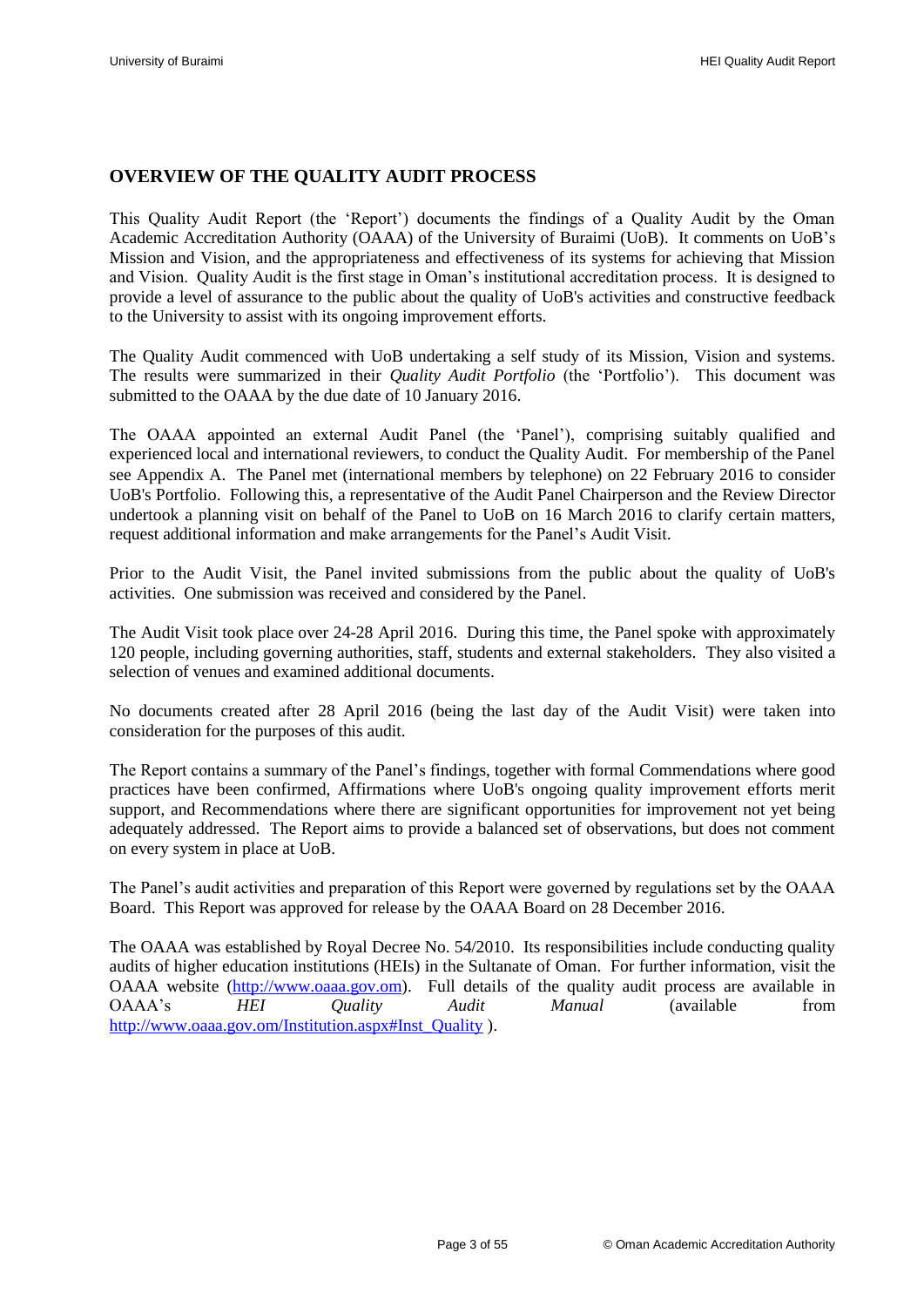# <span id="page-4-0"></span>**OVERVIEW OF THE QUALITY AUDIT PROCESS**

This Quality Audit Report (the "Report") documents the findings of a Quality Audit by the Oman Academic Accreditation Authority (OAAA) of the University of Buraimi (UoB). It comments on UoB"s Mission and Vision, and the appropriateness and effectiveness of its systems for achieving that Mission and Vision. Quality Audit is the first stage in Oman"s institutional accreditation process. It is designed to provide a level of assurance to the public about the quality of UoB's activities and constructive feedback to the University to assist with its ongoing improvement efforts.

The Quality Audit commenced with UoB undertaking a self study of its Mission, Vision and systems. The results were summarized in their *Quality Audit Portfolio* (the "Portfolio"). This document was submitted to the OAAA by the due date of 10 January 2016.

The OAAA appointed an external Audit Panel (the "Panel"), comprising suitably qualified and experienced local and international reviewers, to conduct the Quality Audit. For membership of the Panel see [Appendix A.](#page-52-0) The Panel met (international members by telephone) on 22 February 2016 to consider UoB's Portfolio. Following this, a representative of the Audit Panel Chairperson and the Review Director undertook a planning visit on behalf of the Panel to UoB on 16 March 2016 to clarify certain matters, request additional information and make arrangements for the Panel"s Audit Visit.

Prior to the Audit Visit, the Panel invited submissions from the public about the quality of UoB's activities. One submission was received and considered by the Panel.

The Audit Visit took place over 24-28 April 2016. During this time, the Panel spoke with approximately 120 people, including governing authorities, staff, students and external stakeholders. They also visited a selection of venues and examined additional documents.

No documents created after 28 April 2016 (being the last day of the Audit Visit) were taken into consideration for the purposes of this audit.

The Report contains a summary of the Panel"s findings, together with formal Commendations where good practices have been confirmed, Affirmations where UoB's ongoing quality improvement efforts merit support, and Recommendations where there are significant opportunities for improvement not yet being adequately addressed. The Report aims to provide a balanced set of observations, but does not comment on every system in place at UoB.

The Panel"s audit activities and preparation of this Report were governed by regulations set by the OAAA Board. This Report was approved for release by the OAAA Board on 28 December 2016.

The OAAA was established by Royal Decree No. 54/2010. Its responsibilities include conducting quality audits of higher education institutions (HEIs) in the Sultanate of Oman. For further information, visit the OAAA website [\(http://www.oaaa.gov.om\)](http://www.oaaa.gov.om/). Full details of the quality audit process are available in OAAA"s *HEI Quality Audit Manual* (available from [http://www.oaaa.gov.om/Institution.aspx#Inst\\_Quality](http://www.oaaa.gov.om/Institution.aspx#Inst_Quality) ).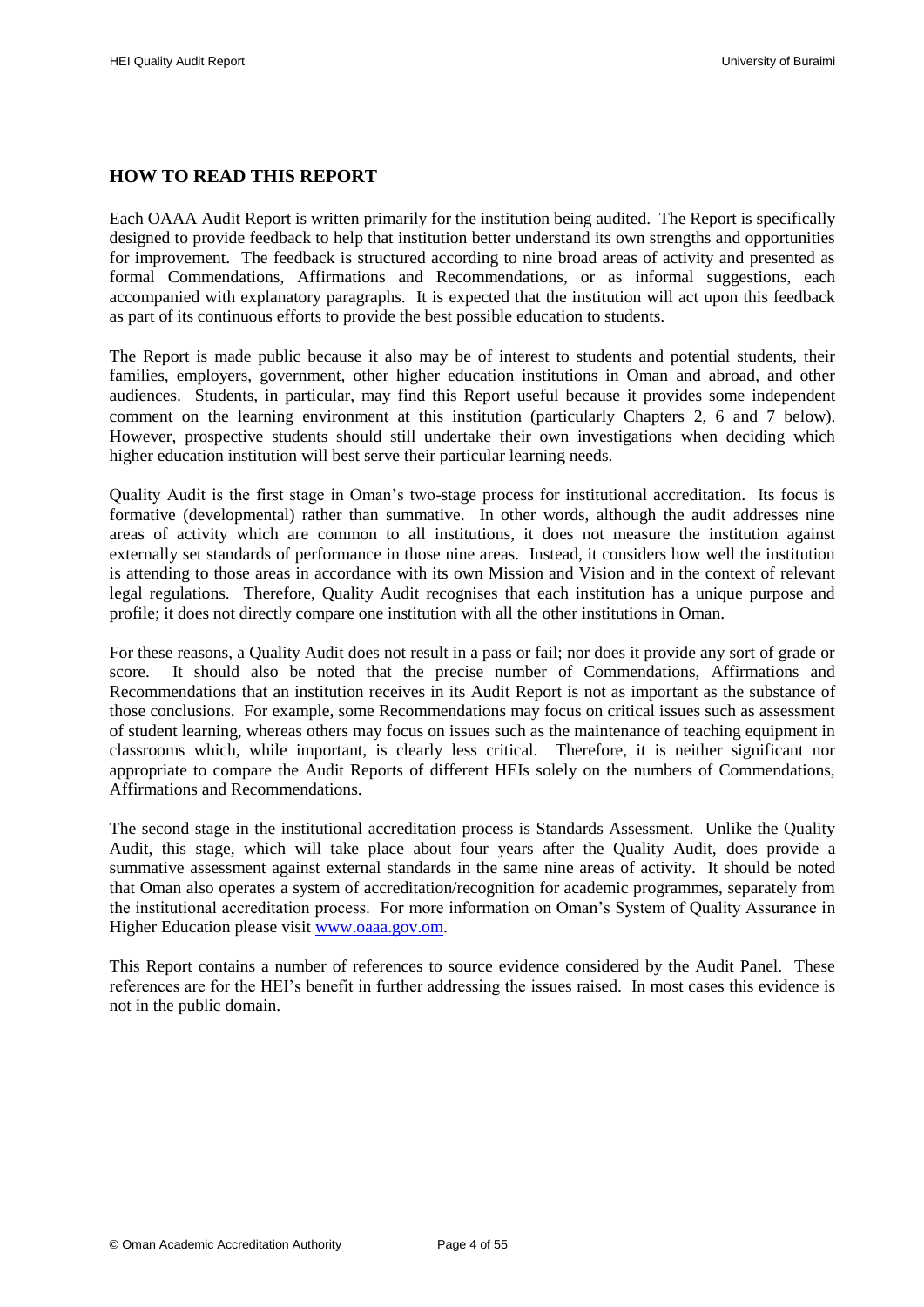# <span id="page-5-0"></span>**HOW TO READ THIS REPORT**

Each OAAA Audit Report is written primarily for the institution being audited. The Report is specifically designed to provide feedback to help that institution better understand its own strengths and opportunities for improvement. The feedback is structured according to nine broad areas of activity and presented as formal Commendations, Affirmations and Recommendations, or as informal suggestions, each accompanied with explanatory paragraphs. It is expected that the institution will act upon this feedback as part of its continuous efforts to provide the best possible education to students.

The Report is made public because it also may be of interest to students and potential students, their families, employers, government, other higher education institutions in Oman and abroad, and other audiences. Students, in particular, may find this Report useful because it provides some independent comment on the learning environment at this institution (particularly Chapters 2, [6](#page-36-0) and [7](#page-40-0) below). However, prospective students should still undertake their own investigations when deciding which higher education institution will best serve their particular learning needs.

Quality Audit is the first stage in Oman"s two-stage process for institutional accreditation. Its focus is formative (developmental) rather than summative. In other words, although the audit addresses nine areas of activity which are common to all institutions, it does not measure the institution against externally set standards of performance in those nine areas. Instead, it considers how well the institution is attending to those areas in accordance with its own Mission and Vision and in the context of relevant legal regulations. Therefore, Quality Audit recognises that each institution has a unique purpose and profile; it does not directly compare one institution with all the other institutions in Oman.

For these reasons, a Quality Audit does not result in a pass or fail; nor does it provide any sort of grade or score. It should also be noted that the precise number of Commendations, Affirmations and Recommendations that an institution receives in its Audit Report is not as important as the substance of those conclusions. For example, some Recommendations may focus on critical issues such as assessment of student learning, whereas others may focus on issues such as the maintenance of teaching equipment in classrooms which, while important, is clearly less critical. Therefore, it is neither significant nor appropriate to compare the Audit Reports of different HEIs solely on the numbers of Commendations, Affirmations and Recommendations.

The second stage in the institutional accreditation process is Standards Assessment. Unlike the Quality Audit, this stage, which will take place about four years after the Quality Audit, does provide a summative assessment against external standards in the same nine areas of activity. It should be noted that Oman also operates a system of accreditation/recognition for academic programmes, separately from the institutional accreditation process. For more information on Oman"s System of Quality Assurance in Higher Education please visit [www.oaaa.gov.om.](http://www.oaaa.gov.om/)

This Report contains a number of references to source evidence considered by the Audit Panel. These references are for the HEI"s benefit in further addressing the issues raised. In most cases this evidence is not in the public domain.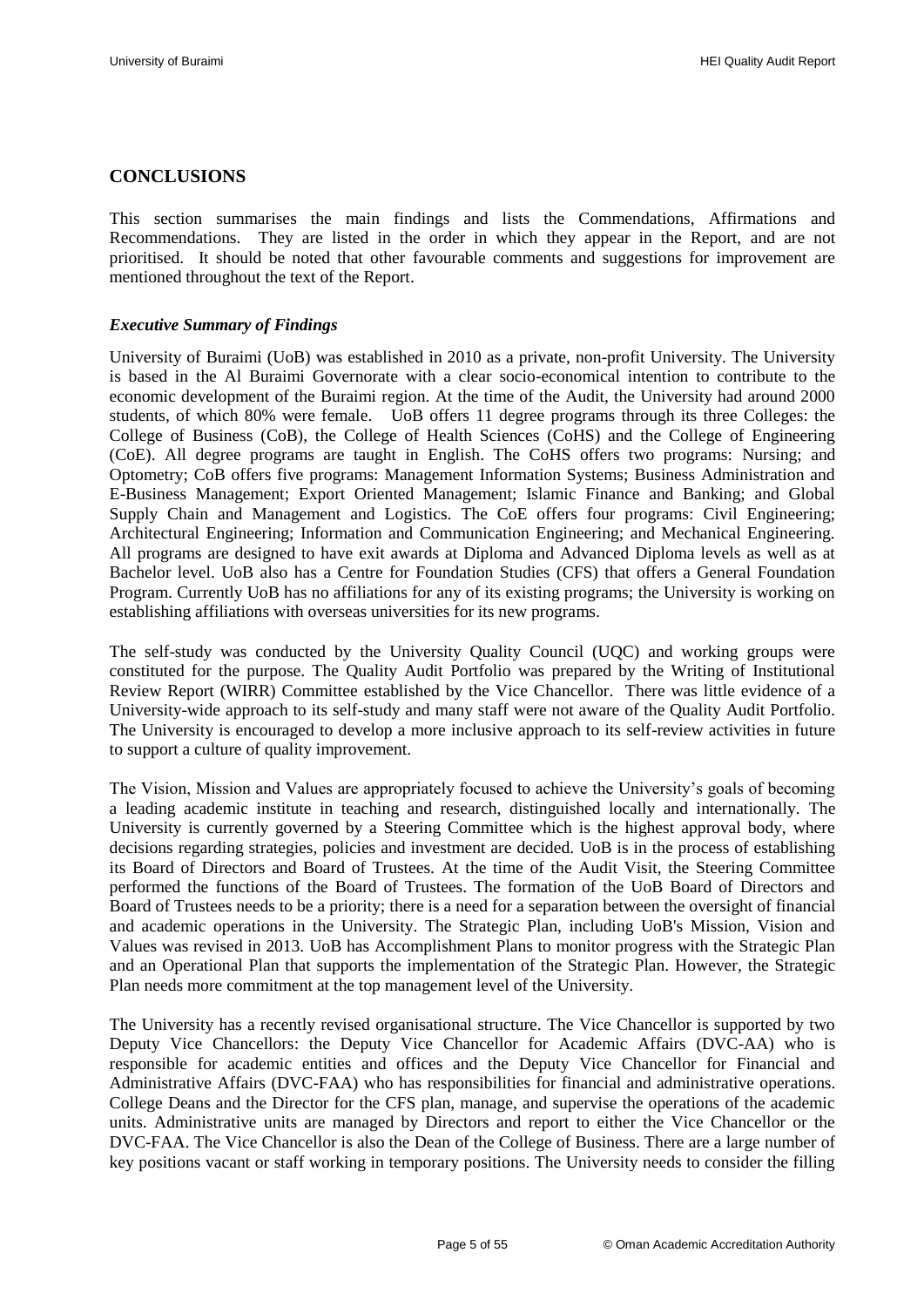# <span id="page-6-0"></span>**CONCLUSIONS**

This section summarises the main findings and lists the Commendations, Affirmations and Recommendations. They are listed in the order in which they appear in the Report, and are not prioritised. It should be noted that other favourable comments and suggestions for improvement are mentioned throughout the text of the Report.

#### <span id="page-6-1"></span>*Executive Summary of Findings*

University of Buraimi (UoB) was established in 2010 as a private, non-profit University. The University is based in the Al Buraimi Governorate with a clear socio-economical intention to contribute to the economic development of the Buraimi region. At the time of the Audit, the University had around 2000 students, of which 80% were female. UoB offers 11 degree programs through its three Colleges: the College of Business (CoB), the College of Health Sciences (CoHS) and the College of Engineering (CoE). All degree programs are taught in English. The CoHS offers two programs: Nursing; and Optometry; CoB offers five programs: Management Information Systems; Business Administration and E-Business Management; Export Oriented Management; Islamic Finance and Banking; and Global Supply Chain and Management and Logistics. The CoE offers four programs: Civil Engineering; Architectural Engineering; Information and Communication Engineering; and Mechanical Engineering. All programs are designed to have exit awards at Diploma and Advanced Diploma levels as well as at Bachelor level. UoB also has a Centre for Foundation Studies (CFS) that offers a General Foundation Program. Currently UoB has no affiliations for any of its existing programs; the University is working on establishing affiliations with overseas universities for its new programs.

The self-study was conducted by the University Quality Council (UQC) and working groups were constituted for the purpose. The Quality Audit Portfolio was prepared by the Writing of Institutional Review Report (WIRR) Committee established by the Vice Chancellor. There was little evidence of a University-wide approach to its self-study and many staff were not aware of the Quality Audit Portfolio. The University is encouraged to develop a more inclusive approach to its self-review activities in future to support a culture of quality improvement.

The Vision, Mission and Values are appropriately focused to achieve the University"s goals of becoming a leading academic institute in teaching and research, distinguished locally and internationally. The University is currently governed by a Steering Committee which is the highest approval body, where decisions regarding strategies, policies and investment are decided. UoB is in the process of establishing its Board of Directors and Board of Trustees. At the time of the Audit Visit, the Steering Committee performed the functions of the Board of Trustees. The formation of the UoB Board of Directors and Board of Trustees needs to be a priority; there is a need for a separation between the oversight of financial and academic operations in the University. The Strategic Plan, including UoB's Mission, Vision and Values was revised in 2013. UoB has Accomplishment Plans to monitor progress with the Strategic Plan and an Operational Plan that supports the implementation of the Strategic Plan. However, the Strategic Plan needs more commitment at the top management level of the University.

The University has a recently revised organisational structure. The Vice Chancellor is supported by two Deputy Vice Chancellors: the Deputy Vice Chancellor for Academic Affairs (DVC-AA) who is responsible for academic entities and offices and the Deputy Vice Chancellor for Financial and Administrative Affairs (DVC-FAA) who has responsibilities for financial and administrative operations. College Deans and the Director for the CFS plan, manage, and supervise the operations of the academic units. Administrative units are managed by Directors and report to either the Vice Chancellor or the DVC-FAA. The Vice Chancellor is also the Dean of the College of Business. There are a large number of key positions vacant or staff working in temporary positions. The University needs to consider the filling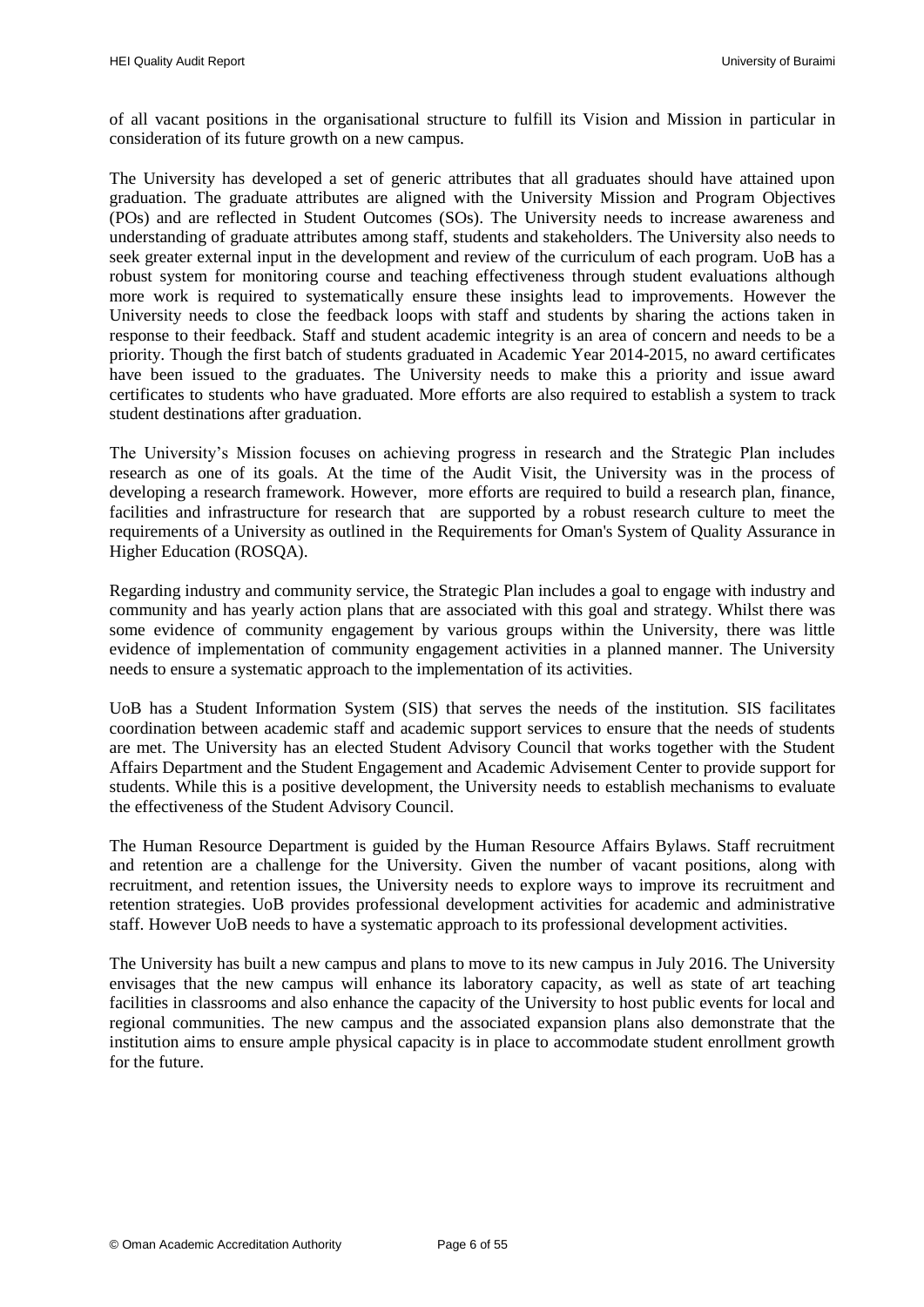of all vacant positions in the organisational structure to fulfill its Vision and Mission in particular in consideration of its future growth on a new campus.

The University has developed a set of generic attributes that all graduates should have attained upon graduation. The graduate attributes are aligned with the University Mission and Program Objectives (POs) and are reflected in Student Outcomes (SOs). The University needs to increase awareness and understanding of graduate attributes among staff, students and stakeholders. The University also needs to seek greater external input in the development and review of the curriculum of each program. UoB has a robust system for monitoring course and teaching effectiveness through student evaluations although more work is required to systematically ensure these insights lead to improvements. However the University needs to close the feedback loops with staff and students by sharing the actions taken in response to their feedback. Staff and student academic integrity is an area of concern and needs to be a priority. Though the first batch of students graduated in Academic Year 2014-2015, no award certificates have been issued to the graduates. The University needs to make this a priority and issue award certificates to students who have graduated. More efforts are also required to establish a system to track student destinations after graduation.

The University"s Mission focuses on achieving progress in research and the Strategic Plan includes research as one of its goals. At the time of the Audit Visit, the University was in the process of developing a research framework. However, more efforts are required to build a research plan, finance, facilities and infrastructure for research that are supported by a robust research culture to meet the requirements of a University as outlined in the Requirements for Oman's System of Quality Assurance in Higher Education (ROSQA).

Regarding industry and community service, the Strategic Plan includes a goal to engage with industry and community and has yearly action plans that are associated with this goal and strategy. Whilst there was some evidence of community engagement by various groups within the University, there was little evidence of implementation of community engagement activities in a planned manner. The University needs to ensure a systematic approach to the implementation of its activities.

UoB has a Student Information System (SIS) that serves the needs of the institution. SIS facilitates coordination between academic staff and academic support services to ensure that the needs of students are met. The University has an elected Student Advisory Council that works together with the Student Affairs Department and the Student Engagement and Academic Advisement Center to provide support for students. While this is a positive development, the University needs to establish mechanisms to evaluate the effectiveness of the Student Advisory Council.

The Human Resource Department is guided by the Human Resource Affairs Bylaws. Staff recruitment and retention are a challenge for the University. Given the number of vacant positions, along with recruitment, and retention issues, the University needs to explore ways to improve its recruitment and retention strategies. UoB provides professional development activities for academic and administrative staff. However UoB needs to have a systematic approach to its professional development activities.

The University has built a new campus and plans to move to its new campus in July 2016. The University envisages that the new campus will enhance its laboratory capacity, as well as state of art teaching facilities in classrooms and also enhance the capacity of the University to host public events for local and regional communities. The new campus and the associated expansion plans also demonstrate that the institution aims to ensure ample physical capacity is in place to accommodate student enrollment growth for the future.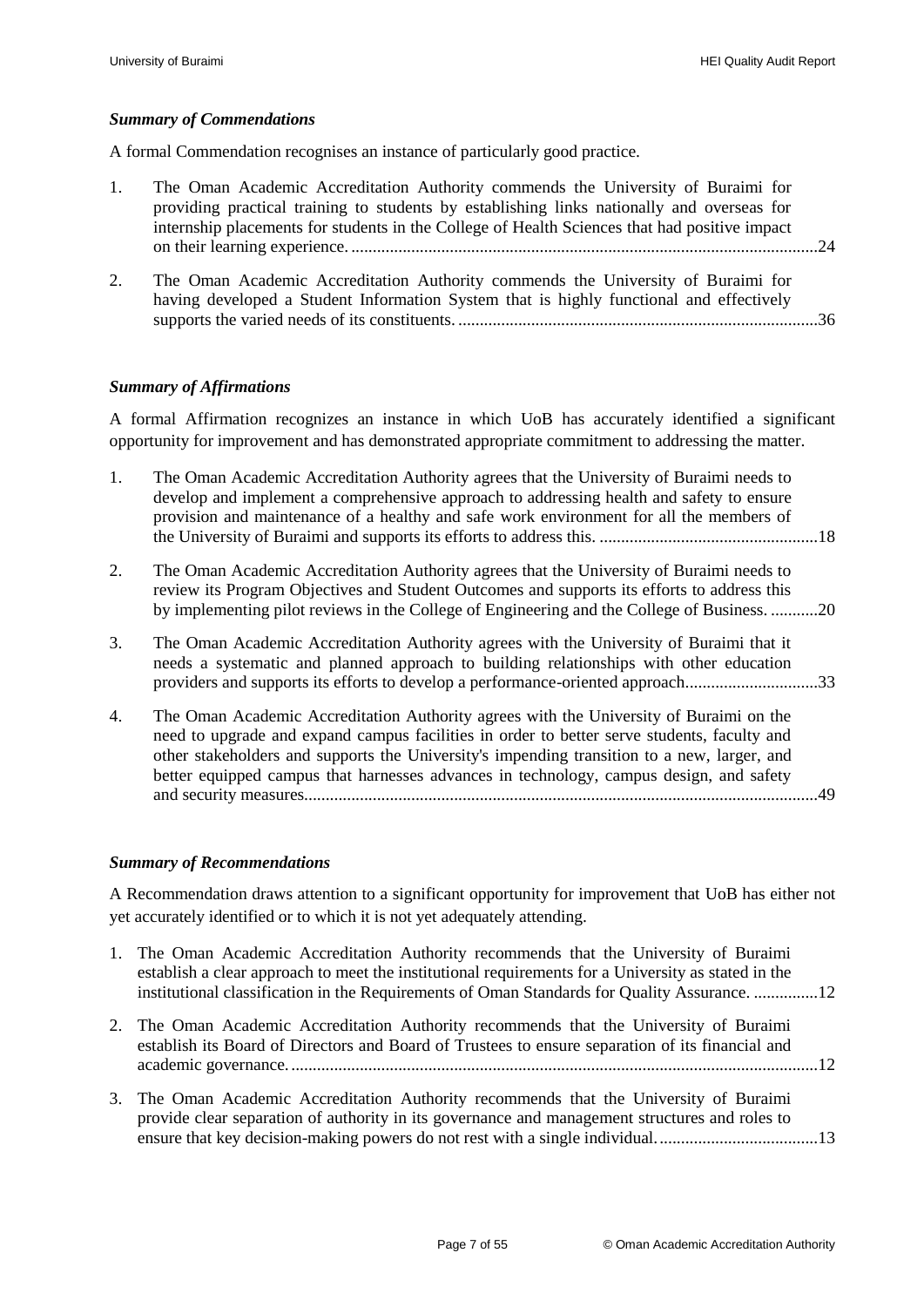#### <span id="page-8-0"></span>*Summary of Commendations*

A formal Commendation recognises an instance of particularly good practice.

- 1. [The Oman Academic Accreditation Authority commends the University of Buraimi](#page-25-1) for [providing practical training to students by establishing links nationally and overseas for](#page-25-1)  [internship placements for students in the College of Health Sciences](#page-25-1) that had positive impact on their learning experience. [.............................................................................................................24](#page-25-1)
- 2. [The Oman Academic Accreditation Authority commends the University of Buraimi for](#page-37-1)  [having developed a Student Information System that is highly functional and effectively](#page-37-1)  supports the varied needs of its constituents. [....................................................................................36](#page-37-1)

#### <span id="page-8-1"></span>*Summary of Affirmations*

A formal Affirmation recognizes an instance in which UoB has accurately identified a significant opportunity for improvement and has demonstrated appropriate commitment to addressing the matter.

- 1. [The Oman Academic Accreditation Authority agrees that the University of Buraimi](#page-19-2) needs to [develop and implement a comprehensive approach to addressing health and safety to ensure](#page-19-2)  [provision and maintenance of a healthy and safe](#page-19-2) work environment for all the members of the University of Buraimi [and supports its efforts to address this.](#page-19-2) ...................................................18
- 2. [The Oman Academic Accreditation Authority agrees that the University of Buraimi needs to](#page-21-0)  [review its Program Objectives and Student Outcomes and supports its efforts to address this](#page-21-0)  [by implementing pilot reviews in the College of Engineering and the College of Business.](#page-21-0) ...........20
- 3. [The Oman Academic Accreditation Authority agrees with the University of Buraimi that it](#page-34-3)  [needs a systematic and planned approach to](#page-34-3) building relationships with other education [providers and supports its efforts to develop a performance-oriented approach...............................33](#page-34-3)
- 4. [The Oman Academic Accreditation Authority agrees with the University of Buraimi on the](#page-50-3)  [need to upgrade and expand campus facilities in order to better serve students, faculty and](#page-50-3)  [other stakeholders and supports the University's impending transition to a new,](#page-50-3) larger, and [better equipped campus that harnesses advances in technology, campus design, and safety](#page-50-3)  [and security measures........................................................................................................................49](#page-50-3)

#### <span id="page-8-2"></span>*Summary of Recommendations*

A Recommendation draws attention to a significant opportunity for improvement that UoB has either not yet accurately identified or to which it is not yet adequately attending.

- 1. [The Oman Academic Accreditation Authority recommends that the University of Buraimi](#page-13-1)  [establish a clear approach to meet the institutional requirements for a University as stated in the](#page-13-1)  [institutional classification in the Requirements of Oman Standards for Quality Assurance.](#page-13-1) ...............12
- 2. [The Oman Academic Accreditation Authority recommends that the University of Buraimi](#page-13-2)  [establish its Board of Directors and Board of Trustees to ensure separation of its financial and](#page-13-2)  [academic governance............................................................................................................................12](#page-13-2)
- 3. [The Oman Academic Accreditation Authority recommends that the University of Buraimi](#page-14-1)  [provide clear separation of authority in its governance and management structures and roles to](#page-14-1)  ensure that key decision-making powers do not rest with a single individual...................................13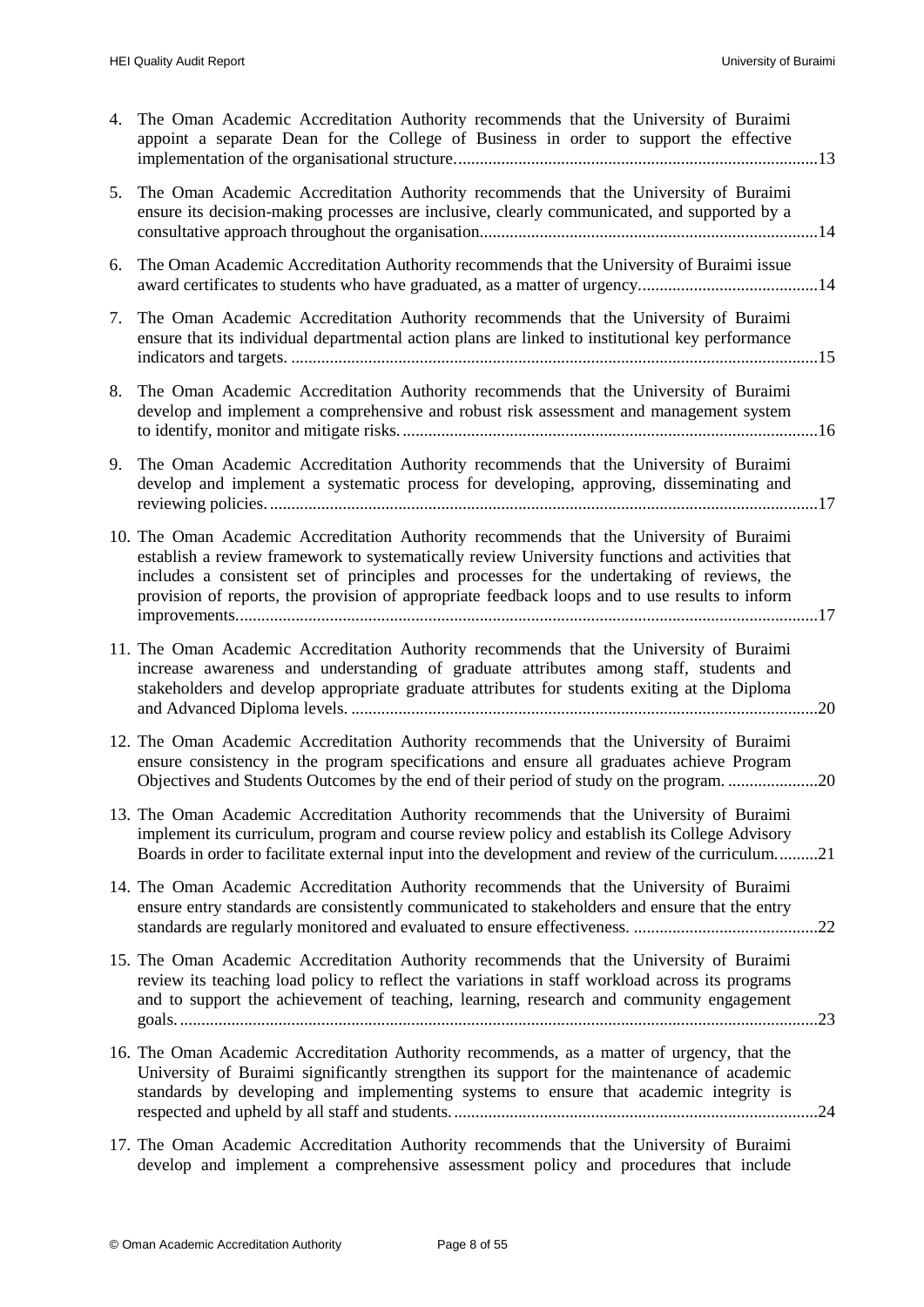| 4. | The Oman Academic Accreditation Authority recommends that the University of Buraimi<br>appoint a separate Dean for the College of Business in order to support the effective                                                                                                                                                                                                             |
|----|------------------------------------------------------------------------------------------------------------------------------------------------------------------------------------------------------------------------------------------------------------------------------------------------------------------------------------------------------------------------------------------|
| 5. | The Oman Academic Accreditation Authority recommends that the University of Buraimi<br>ensure its decision-making processes are inclusive, clearly communicated, and supported by a                                                                                                                                                                                                      |
| 6. | The Oman Academic Accreditation Authority recommends that the University of Buraimi issue                                                                                                                                                                                                                                                                                                |
| 7. | The Oman Academic Accreditation Authority recommends that the University of Buraimi<br>ensure that its individual departmental action plans are linked to institutional key performance                                                                                                                                                                                                  |
| 8. | The Oman Academic Accreditation Authority recommends that the University of Buraimi<br>develop and implement a comprehensive and robust risk assessment and management system                                                                                                                                                                                                            |
| 9. | The Oman Academic Accreditation Authority recommends that the University of Buraimi<br>develop and implement a systematic process for developing, approving, disseminating and                                                                                                                                                                                                           |
|    | 10. The Oman Academic Accreditation Authority recommends that the University of Buraimi<br>establish a review framework to systematically review University functions and activities that<br>includes a consistent set of principles and processes for the undertaking of reviews, the<br>provision of reports, the provision of appropriate feedback loops and to use results to inform |
|    | 11. The Oman Academic Accreditation Authority recommends that the University of Buraimi<br>increase awareness and understanding of graduate attributes among staff, students and<br>stakeholders and develop appropriate graduate attributes for students exiting at the Diploma                                                                                                         |
|    | 12. The Oman Academic Accreditation Authority recommends that the University of Buraimi<br>ensure consistency in the program specifications and ensure all graduates achieve Program<br>Objectives and Students Outcomes by the end of their period of study on the program20                                                                                                            |
|    | 13. The Oman Academic Accreditation Authority recommends that the University of Buraimi<br>implement its curriculum, program and course review policy and establish its College Advisory<br>Boards in order to facilitate external input into the development and review of the curriculum21                                                                                             |
|    | 14. The Oman Academic Accreditation Authority recommends that the University of Buraimi<br>ensure entry standards are consistently communicated to stakeholders and ensure that the entry                                                                                                                                                                                                |
|    | 15. The Oman Academic Accreditation Authority recommends that the University of Buraimi<br>review its teaching load policy to reflect the variations in staff workload across its programs<br>and to support the achievement of teaching, learning, research and community engagement                                                                                                    |
|    | 16. The Oman Academic Accreditation Authority recommends, as a matter of urgency, that the<br>University of Buraimi significantly strengthen its support for the maintenance of academic<br>standards by developing and implementing systems to ensure that academic integrity is                                                                                                        |
|    | 17. The Oman Academic Accreditation Authority recommends that the University of Buraimi<br>develop and implement a comprehensive assessment policy and procedures that include                                                                                                                                                                                                           |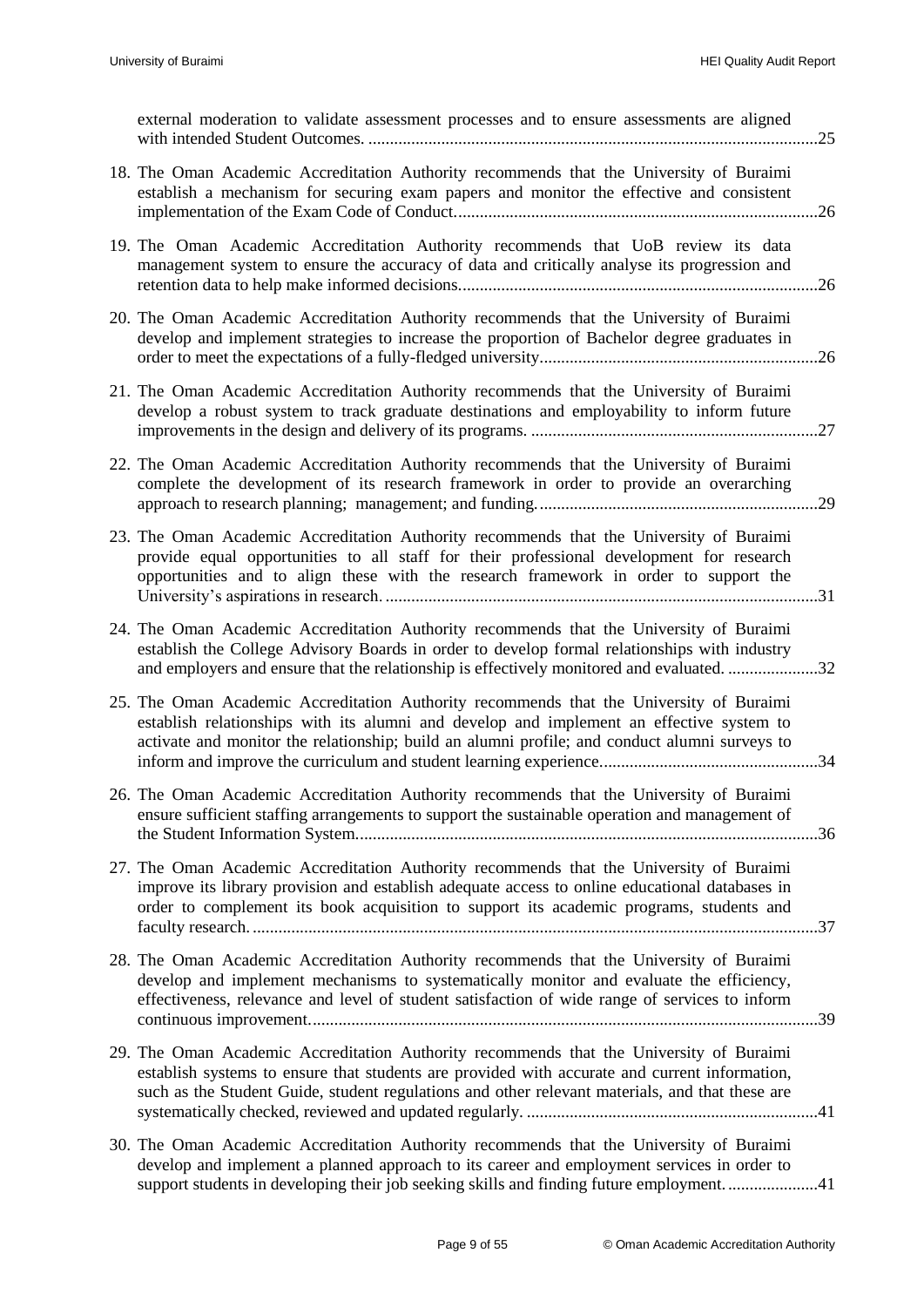| external moderation to validate assessment processes and to ensure assessments are aligned                                                                                                                                                                                                  |
|---------------------------------------------------------------------------------------------------------------------------------------------------------------------------------------------------------------------------------------------------------------------------------------------|
| 18. The Oman Academic Accreditation Authority recommends that the University of Buraimi<br>establish a mechanism for securing exam papers and monitor the effective and consistent                                                                                                          |
| 19. The Oman Academic Accreditation Authority recommends that UoB review its data<br>management system to ensure the accuracy of data and critically analyse its progression and                                                                                                            |
| 20. The Oman Academic Accreditation Authority recommends that the University of Buraimi<br>develop and implement strategies to increase the proportion of Bachelor degree graduates in                                                                                                      |
| 21. The Oman Academic Accreditation Authority recommends that the University of Buraimi<br>develop a robust system to track graduate destinations and employability to inform future                                                                                                        |
| 22. The Oman Academic Accreditation Authority recommends that the University of Buraimi<br>complete the development of its research framework in order to provide an overarching                                                                                                            |
| 23. The Oman Academic Accreditation Authority recommends that the University of Buraimi<br>provide equal opportunities to all staff for their professional development for research<br>opportunities and to align these with the research framework in order to support the                 |
| 24. The Oman Academic Accreditation Authority recommends that the University of Buraimi<br>establish the College Advisory Boards in order to develop formal relationships with industry<br>and employers and ensure that the relationship is effectively monitored and evaluated. 32        |
| 25. The Oman Academic Accreditation Authority recommends that the University of Buraimi<br>establish relationships with its alumni and develop and implement an effective system to<br>activate and monitor the relationship; build an alumni profile; and conduct alumni surveys to        |
| 26. The Oman Academic Accreditation Authority recommends that the University of Buraimi<br>ensure sufficient staffing arrangements to support the sustainable operation and management of                                                                                                   |
| 27. The Oman Academic Accreditation Authority recommends that the University of Buraimi<br>improve its library provision and establish adequate access to online educational databases in<br>order to complement its book acquisition to support its academic programs, students and        |
| 28. The Oman Academic Accreditation Authority recommends that the University of Buraimi<br>develop and implement mechanisms to systematically monitor and evaluate the efficiency,<br>effectiveness, relevance and level of student satisfaction of wide range of services to inform        |
| 29. The Oman Academic Accreditation Authority recommends that the University of Buraimi<br>establish systems to ensure that students are provided with accurate and current information,<br>such as the Student Guide, student regulations and other relevant materials, and that these are |
| 30. The Oman Academic Accreditation Authority recommends that the University of Buraimi<br>develop and implement a planned approach to its career and employment services in order to<br>support students in developing their job seeking skills and finding future employment41            |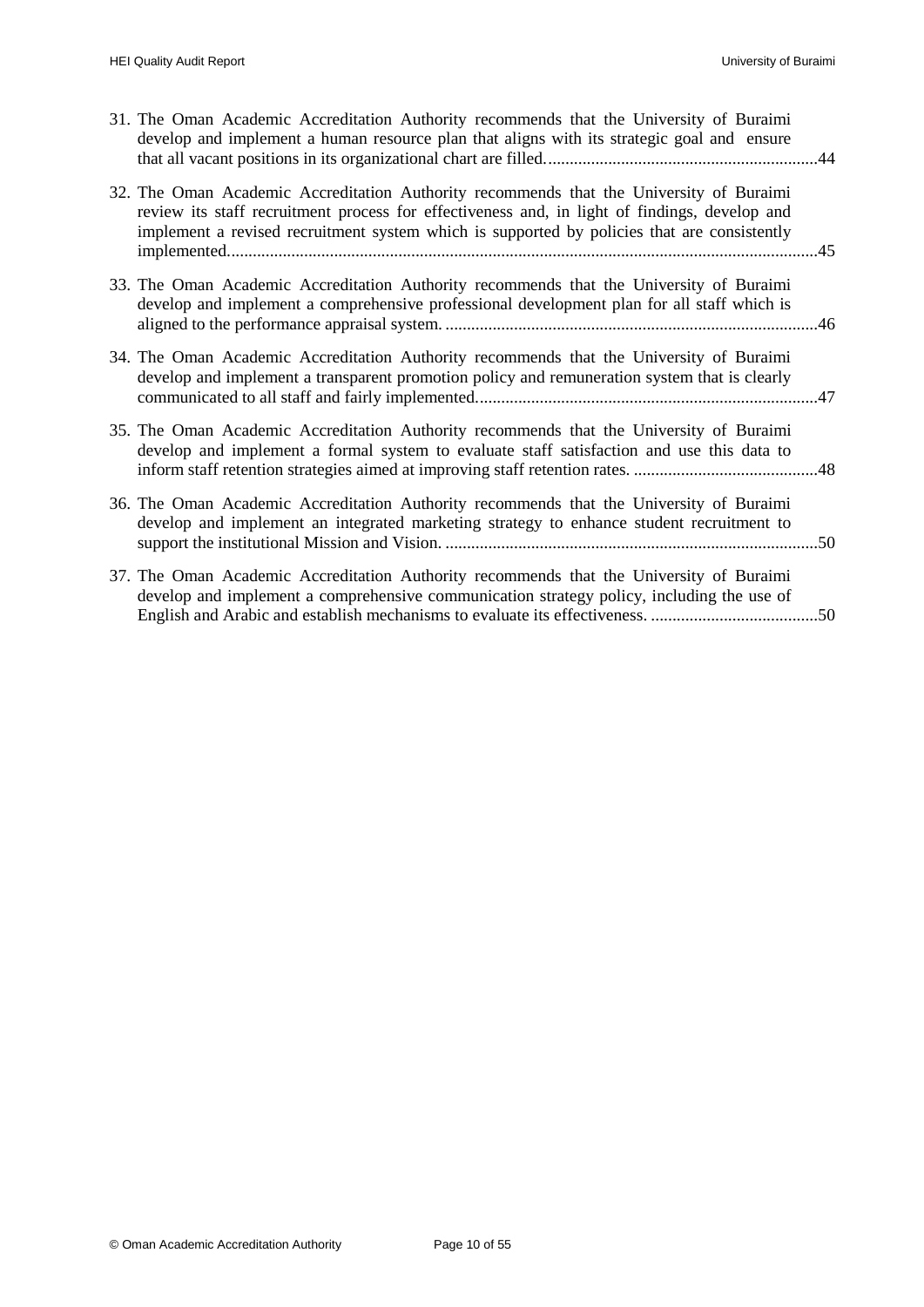| 31. The Oman Academic Accreditation Authority recommends that the University of Buraimi<br>develop and implement a human resource plan that aligns with its strategic goal and ensure                                                                                                   |  |
|-----------------------------------------------------------------------------------------------------------------------------------------------------------------------------------------------------------------------------------------------------------------------------------------|--|
| 32. The Oman Academic Accreditation Authority recommends that the University of Buraimi<br>review its staff recruitment process for effectiveness and, in light of findings, develop and<br>implement a revised recruitment system which is supported by policies that are consistently |  |
| 33. The Oman Academic Accreditation Authority recommends that the University of Buraimi<br>develop and implement a comprehensive professional development plan for all staff which is                                                                                                   |  |
| 34. The Oman Academic Accreditation Authority recommends that the University of Buraimi<br>develop and implement a transparent promotion policy and remuneration system that is clearly                                                                                                 |  |
| 35. The Oman Academic Accreditation Authority recommends that the University of Buraimi<br>develop and implement a formal system to evaluate staff satisfaction and use this data to                                                                                                    |  |
| 36. The Oman Academic Accreditation Authority recommends that the University of Buraimi<br>develop and implement an integrated marketing strategy to enhance student recruitment to                                                                                                     |  |
| 37. The Oman Academic Accreditation Authority recommends that the University of Buraimi<br>develop and implement a comprehensive communication strategy policy, including the use of                                                                                                    |  |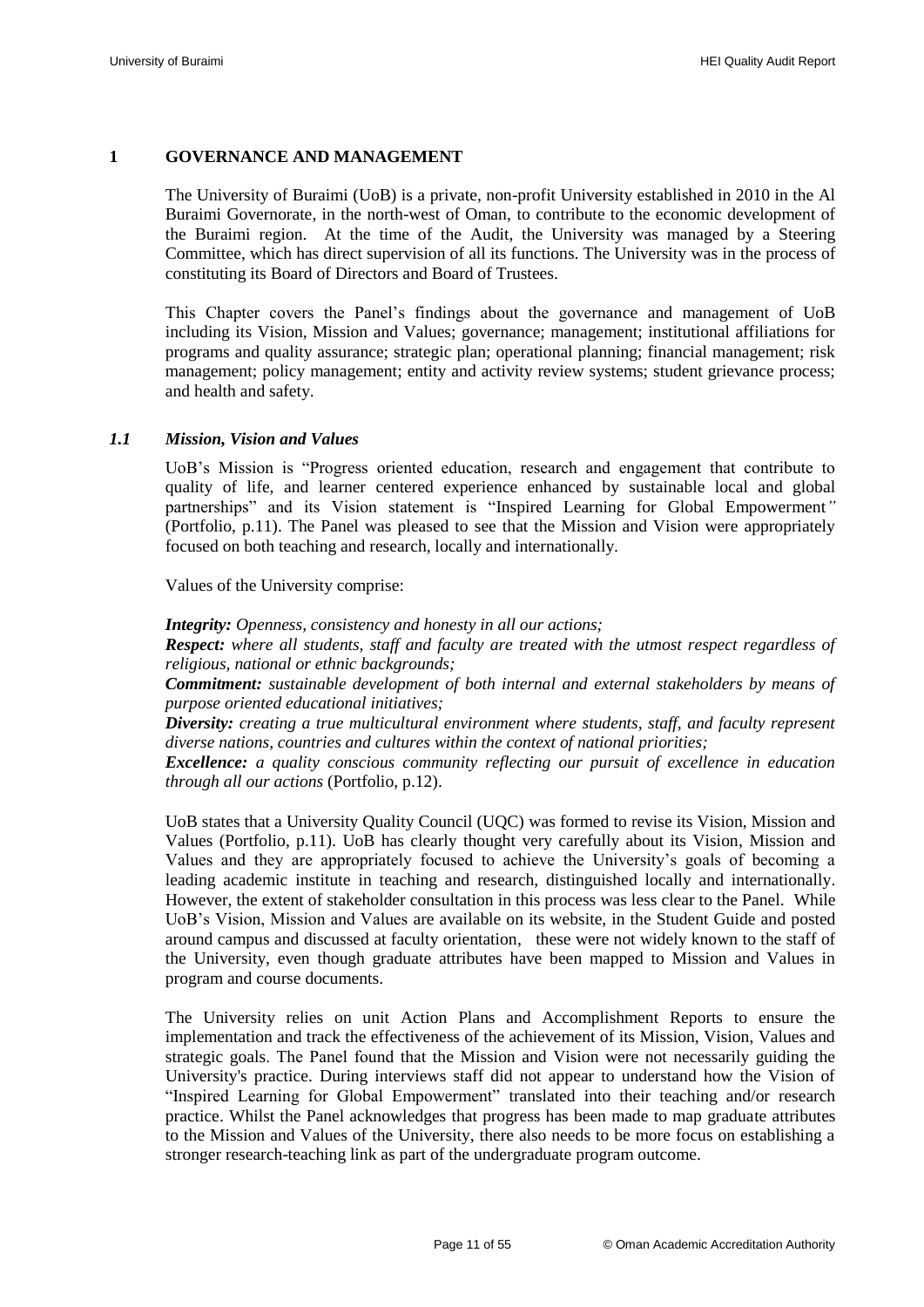#### <span id="page-12-0"></span>**1 GOVERNANCE AND MANAGEMENT**

The University of Buraimi (UoB) is a private, non-profit University established in 2010 in the Al Buraimi Governorate, in the north-west of Oman, to contribute to the economic development of the Buraimi region. At the time of the Audit, the University was managed by a Steering Committee, which has direct supervision of all its functions. The University was in the process of constituting its Board of Directors and Board of Trustees.

This Chapter covers the Panel"s findings about the governance and management of UoB including its Vision, Mission and Values; governance; management; institutional affiliations for programs and quality assurance; strategic plan; operational planning; financial management; risk management; policy management; entity and activity review systems; student grievance process; and health and safety.

#### <span id="page-12-1"></span>*1.1 Mission, Vision and Values*

UoB"s Mission is "Progress oriented education, research and engagement that contribute to quality of life, and learner centered experience enhanced by sustainable local and global partnerships" and its Vision statement is "Inspired Learning for Global Empowerment*"* (Portfolio, p.11). The Panel was pleased to see that the Mission and Vision were appropriately focused on both teaching and research, locally and internationally.

Values of the University comprise:

*Integrity: Openness, consistency and honesty in all our actions;*

*Respect: where all students, staff and faculty are treated with the utmost respect regardless of religious, national or ethnic backgrounds;*

*Commitment: sustainable development of both internal and external stakeholders by means of purpose oriented educational initiatives;*

*Diversity: creating a true multicultural environment where students, staff, and faculty represent diverse nations, countries and cultures within the context of national priorities;* 

*Excellence: a quality conscious community reflecting our pursuit of excellence in education through all our actions* (Portfolio, p.12).

UoB states that a University Quality Council (UQC) was formed to revise its Vision, Mission and Values (Portfolio, p.11). UoB has clearly thought very carefully about its Vision, Mission and Values and they are appropriately focused to achieve the University"s goals of becoming a leading academic institute in teaching and research, distinguished locally and internationally. However, the extent of stakeholder consultation in this process was less clear to the Panel. While UoB"s Vision, Mission and Values are available on its website, in the Student Guide and posted around campus and discussed at faculty orientation, these were not widely known to the staff of the University, even though graduate attributes have been mapped to Mission and Values in program and course documents.

The University relies on unit Action Plans and Accomplishment Reports to ensure the implementation and track the effectiveness of the achievement of its Mission, Vision, Values and strategic goals. The Panel found that the Mission and Vision were not necessarily guiding the University's practice. During interviews staff did not appear to understand how the Vision of "Inspired Learning for Global Empowerment" translated into their teaching and/or research practice. Whilst the Panel acknowledges that progress has been made to map graduate attributes to the Mission and Values of the University, there also needs to be more focus on establishing a stronger research-teaching link as part of the undergraduate program outcome.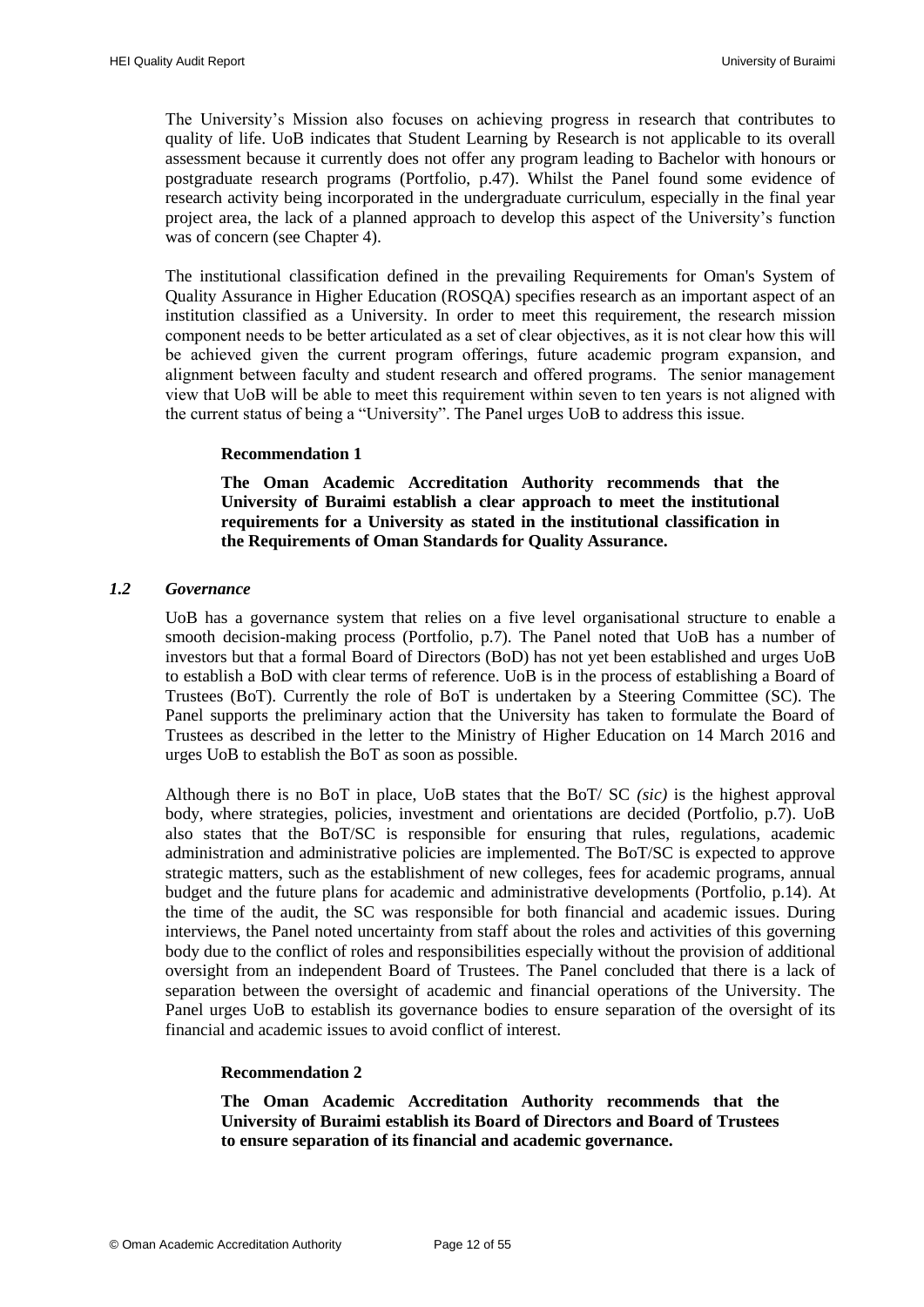The University"s Mission also focuses on achieving progress in research that contributes to quality of life. UoB indicates that Student Learning by Research is not applicable to its overall assessment because it currently does not offer any program leading to Bachelor with honours or postgraduate research programs (Portfolio, p.47). Whilst the Panel found some evidence of research activity being incorporated in the undergraduate curriculum, especially in the final year project area, the lack of a planned approach to develop this aspect of the University"s function was of concern (see Chapter 4).

The institutional classification defined in the prevailing Requirements for Oman's System of Quality Assurance in Higher Education (ROSQA) specifies research as an important aspect of an institution classified as a University. In order to meet this requirement, the research mission component needs to be better articulated as a set of clear objectives, as it is not clear how this will be achieved given the current program offerings, future academic program expansion, and alignment between faculty and student research and offered programs. The senior management view that UoB will be able to meet this requirement within seven to ten years is not aligned with the current status of being a "University". The Panel urges UoB to address this issue.

#### <span id="page-13-4"></span>**Recommendation 1**

**The Oman Academic Accreditation Authority recommends that the University of Buraimi establish a clear approach to meet the institutional requirements for a University as stated in the institutional classification in the Requirements of Oman Standards for Quality Assurance.**

#### <span id="page-13-1"></span><span id="page-13-0"></span>*1.2 Governance*

UoB has a governance system that relies on a five level organisational structure to enable a smooth decision-making process (Portfolio, p.7). The Panel noted that UoB has a number of investors but that a formal Board of Directors (BoD) has not yet been established and urges UoB to establish a BoD with clear terms of reference. UoB is in the process of establishing a Board of Trustees (BoT). Currently the role of BoT is undertaken by a Steering Committee (SC). The Panel supports the preliminary action that the University has taken to formulate the Board of Trustees as described in the letter to the Ministry of Higher Education on 14 March 2016 and urges UoB to establish the BoT as soon as possible.

Although there is no BoT in place, UoB states that the BoT/ SC *(sic)* is the highest approval body, where strategies, policies, investment and orientations are decided (Portfolio, p.7). UoB also states that the BoT/SC is responsible for ensuring that rules, regulations, academic administration and administrative policies are implemented. The BoT/SC is expected to approve strategic matters, such as the establishment of new colleges, fees for academic programs, annual budget and the future plans for academic and administrative developments (Portfolio, p.14). At the time of the audit, the SC was responsible for both financial and academic issues. During interviews, the Panel noted uncertainty from staff about the roles and activities of this governing body due to the conflict of roles and responsibilities especially without the provision of additional oversight from an independent Board of Trustees. The Panel concluded that there is a lack of separation between the oversight of academic and financial operations of the University. The Panel urges UoB to establish its governance bodies to ensure separation of the oversight of its financial and academic issues to avoid conflict of interest.

#### <span id="page-13-3"></span>**Recommendation 2**

<span id="page-13-2"></span>**The Oman Academic Accreditation Authority recommends that the University of Buraimi establish its Board of Directors and Board of Trustees to ensure separation of its financial and academic governance.**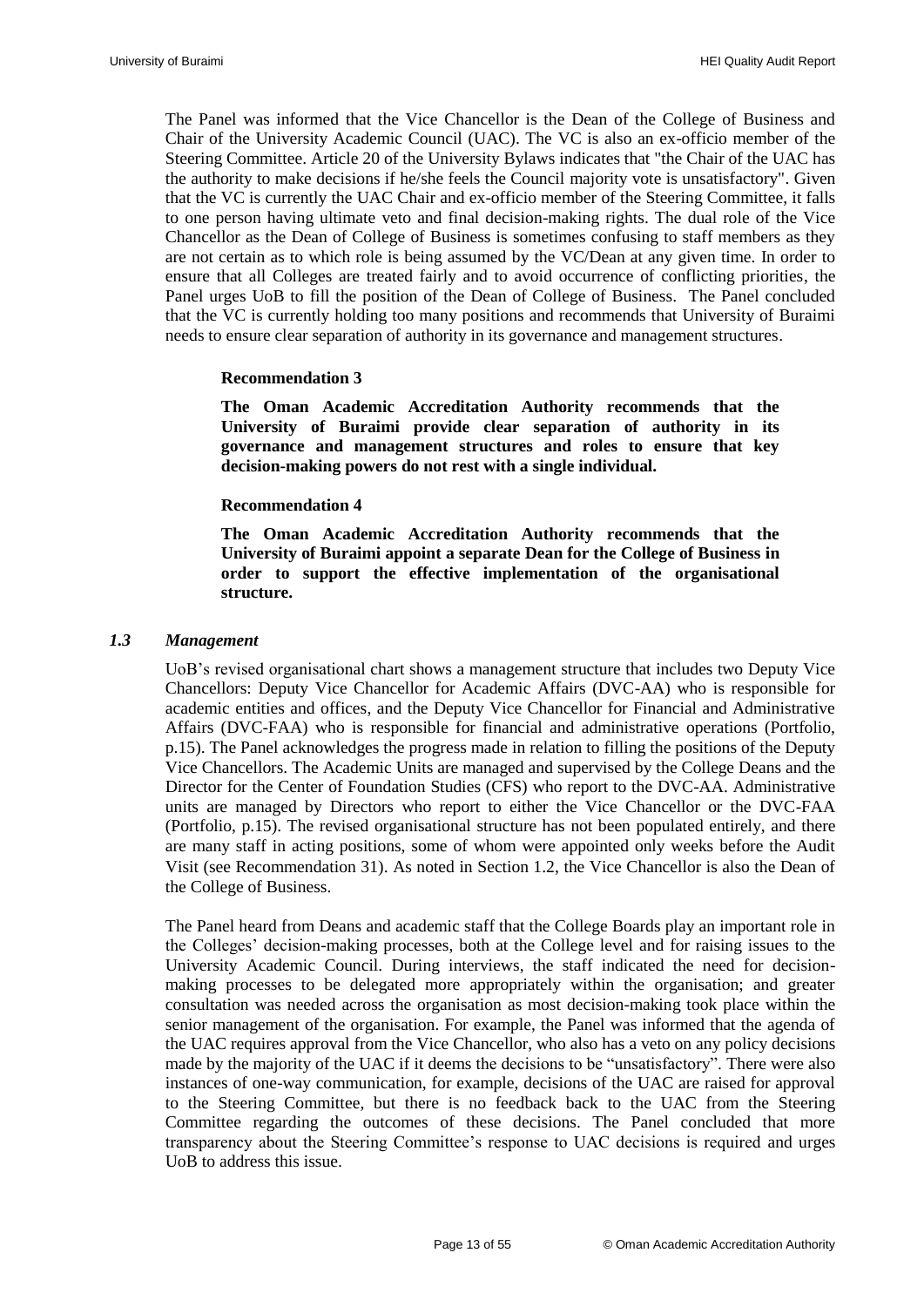The Panel was informed that the Vice Chancellor is the Dean of the College of Business and Chair of the University Academic Council (UAC). The VC is also an ex-officio member of the Steering Committee. Article 20 of the University Bylaws indicates that "the Chair of the UAC has the authority to make decisions if he/she feels the Council majority vote is unsatisfactory". Given that the VC is currently the UAC Chair and ex-officio member of the Steering Committee, it falls to one person having ultimate veto and final decision-making rights. The dual role of the Vice Chancellor as the Dean of College of Business is sometimes confusing to staff members as they are not certain as to which role is being assumed by the VC/Dean at any given time. In order to ensure that all Colleges are treated fairly and to avoid occurrence of conflicting priorities, the Panel urges UoB to fill the position of the Dean of College of Business. The Panel concluded that the VC is currently holding too many positions and recommends that University of Buraimi needs to ensure clear separation of authority in its governance and management structures.

#### **Recommendation 3**

<span id="page-14-1"></span>**The Oman Academic Accreditation Authority recommends that the University of Buraimi provide clear separation of authority in its governance and management structures and roles to ensure that key decision-making powers do not rest with a single individual.**

#### **Recommendation 4**

**The Oman Academic Accreditation Authority recommends that the University of Buraimi appoint a separate Dean for the College of Business in order to support the effective implementation of the organisational structure.** 

#### <span id="page-14-2"></span><span id="page-14-0"></span>*1.3 Management*

UoB"s revised organisational chart shows a management structure that includes two Deputy Vice Chancellors: Deputy Vice Chancellor for Academic Affairs (DVC-AA) who is responsible for academic entities and offices, and the Deputy Vice Chancellor for Financial and Administrative Affairs (DVC-FAA) who is responsible for financial and administrative operations (Portfolio, p.15). The Panel acknowledges the progress made in relation to filling the positions of the Deputy Vice Chancellors. The Academic Units are managed and supervised by the College Deans and the Director for the Center of Foundation Studies (CFS) who report to the DVC-AA. Administrative units are managed by Directors who report to either the Vice Chancellor or the DVC-FAA (Portfolio, p.15). The revised organisational structure has not been populated entirely, and there are many staff in acting positions, some of whom were appointed only weeks before the Audit Visit (see [Recommendation 31\)](#page-45-4). As noted in Section 1.2, the Vice Chancellor is also the Dean of the College of Business.

The Panel heard from Deans and academic staff that the College Boards play an important role in the Colleges" decision-making processes, both at the College level and for raising issues to the University Academic Council. During interviews, the staff indicated the need for decisionmaking processes to be delegated more appropriately within the organisation; and greater consultation was needed across the organisation as most decision-making took place within the senior management of the organisation. For example, the Panel was informed that the agenda of the UAC requires approval from the Vice Chancellor, who also has a veto on any policy decisions made by the majority of the UAC if it deems the decisions to be "unsatisfactory". There were also instances of one-way communication, for example, decisions of the UAC are raised for approval to the Steering Committee, but there is no feedback back to the UAC from the Steering Committee regarding the outcomes of these decisions. The Panel concluded that more transparency about the Steering Committee"s response to UAC decisions is required and urges UoB to address this issue.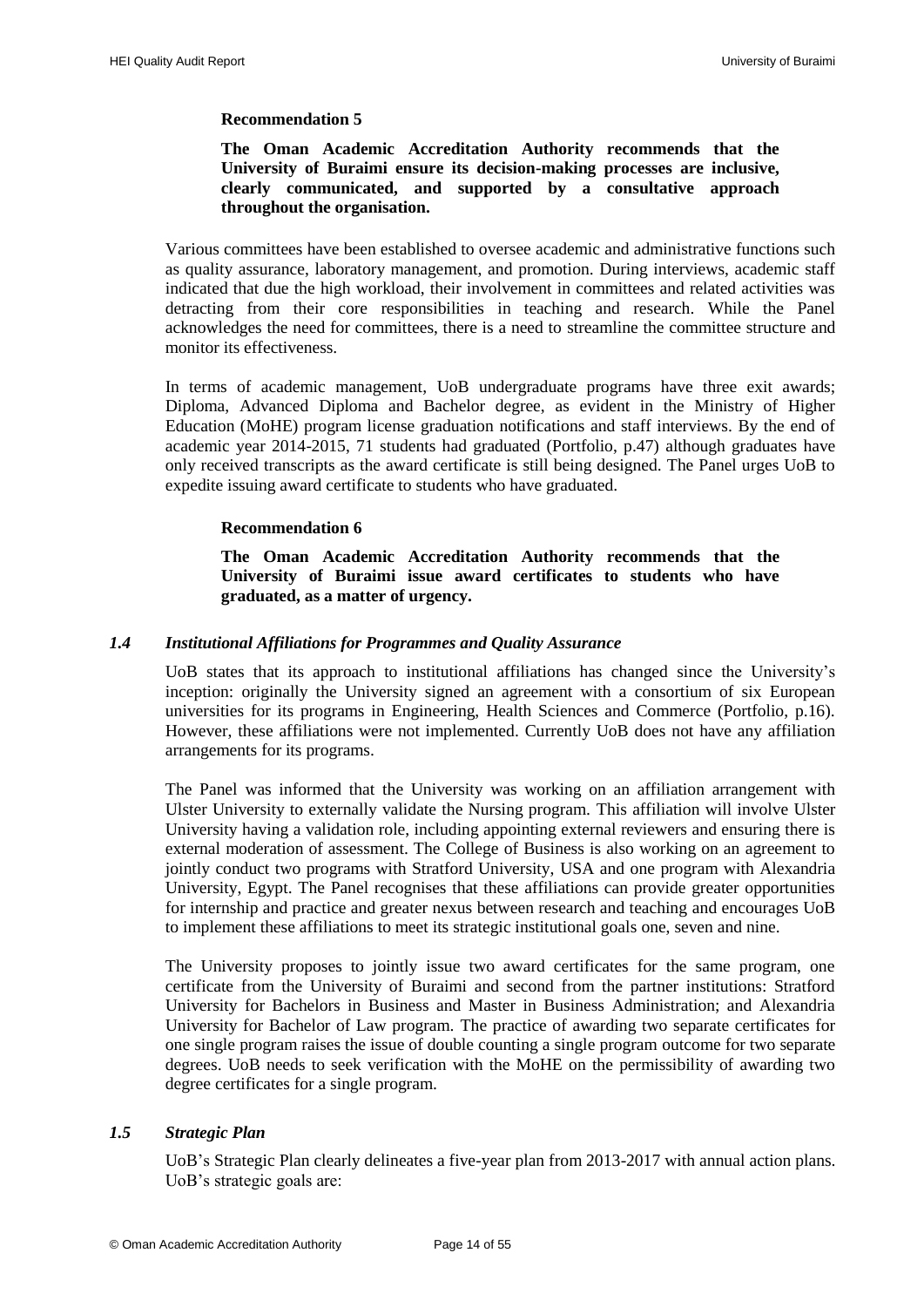# **Recommendation 5**

#### <span id="page-15-2"></span>**The Oman Academic Accreditation Authority recommends that the University of Buraimi ensure its decision-making processes are inclusive, clearly communicated, and supported by a consultative approach throughout the organisation.**

Various committees have been established to oversee academic and administrative functions such as quality assurance, laboratory management, and promotion. During interviews, academic staff indicated that due the high workload, their involvement in committees and related activities was detracting from their core responsibilities in teaching and research. While the Panel acknowledges the need for committees, there is a need to streamline the committee structure and monitor its effectiveness.

In terms of academic management, UoB undergraduate programs have three exit awards; Diploma, Advanced Diploma and Bachelor degree, as evident in the Ministry of Higher Education (MoHE) program license graduation notifications and staff interviews. By the end of academic year 2014-2015, 71 students had graduated (Portfolio, p.47) although graduates have only received transcripts as the award certificate is still being designed. The Panel urges UoB to expedite issuing award certificate to students who have graduated.

#### **Recommendation 6**

#### **The Oman Academic Accreditation Authority recommends that the University of Buraimi issue award certificates to students who have graduated, as a matter of urgency.**

#### <span id="page-15-3"></span><span id="page-15-0"></span>*1.4 Institutional Affiliations for Programmes and Quality Assurance*

UoB states that its approach to institutional affiliations has changed since the University"s inception: originally the University signed an agreement with a consortium of six European universities for its programs in Engineering, Health Sciences and Commerce (Portfolio, p.16). However, these affiliations were not implemented. Currently UoB does not have any affiliation arrangements for its programs.

The Panel was informed that the University was working on an affiliation arrangement with Ulster University to externally validate the Nursing program. This affiliation will involve Ulster University having a validation role, including appointing external reviewers and ensuring there is external moderation of assessment. The College of Business is also working on an agreement to jointly conduct two programs with Stratford University, USA and one program with Alexandria University, Egypt. The Panel recognises that these affiliations can provide greater opportunities for internship and practice and greater nexus between research and teaching and encourages UoB to implement these affiliations to meet its strategic institutional goals one, seven and nine.

The University proposes to jointly issue two award certificates for the same program, one certificate from the University of Buraimi and second from the partner institutions: Stratford University for Bachelors in Business and Master in Business Administration; and Alexandria University for Bachelor of Law program. The practice of awarding two separate certificates for one single program raises the issue of double counting a single program outcome for two separate degrees. UoB needs to seek verification with the MoHE on the permissibility of awarding two degree certificates for a single program.

#### <span id="page-15-1"></span>*1.5 Strategic Plan*

UoB"s Strategic Plan clearly delineates a five-year plan from 2013-2017 with annual action plans. UoB"s strategic goals are: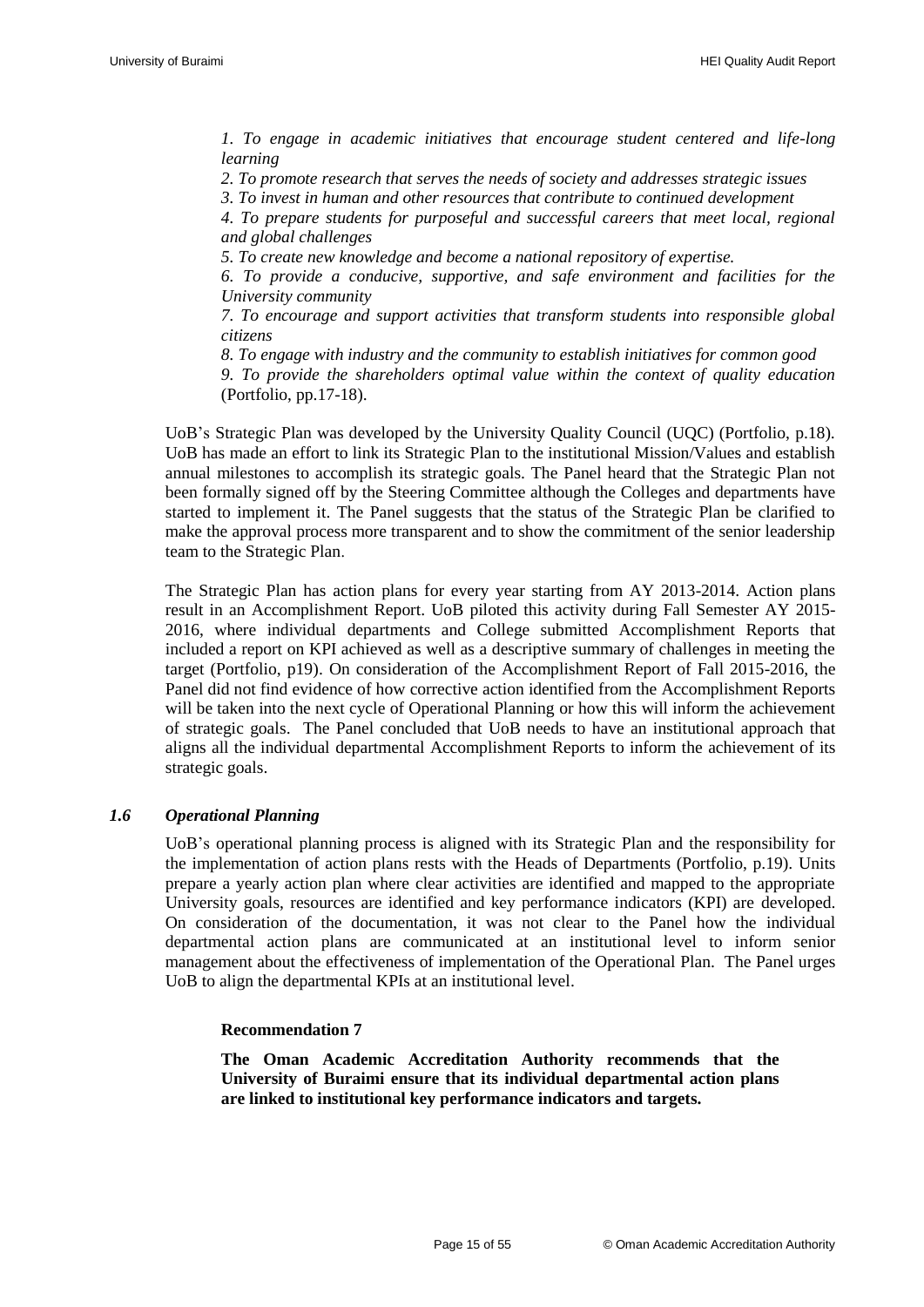*1. To engage in academic initiatives that encourage student centered and life-long learning* 

*2. To promote research that serves the needs of society and addresses strategic issues* 

*3. To invest in human and other resources that contribute to continued development* 

*4. To prepare students for purposeful and successful careers that meet local, regional and global challenges* 

*5. To create new knowledge and become a national repository of expertise.*

*6. To provide a conducive, supportive, and safe environment and facilities for the University community* 

*7. To encourage and support activities that transform students into responsible global citizens* 

*8. To engage with industry and the community to establish initiatives for common good* 

*9. To provide the shareholders optimal value within the context of quality education* (Portfolio, pp.17-18).

UoB"s Strategic Plan was developed by the University Quality Council (UQC) (Portfolio, p.18). UoB has made an effort to link its Strategic Plan to the institutional Mission/Values and establish annual milestones to accomplish its strategic goals. The Panel heard that the Strategic Plan not been formally signed off by the Steering Committee although the Colleges and departments have started to implement it. The Panel suggests that the status of the Strategic Plan be clarified to make the approval process more transparent and to show the commitment of the senior leadership team to the Strategic Plan.

The Strategic Plan has action plans for every year starting from AY 2013-2014. Action plans result in an Accomplishment Report. UoB piloted this activity during Fall Semester AY 2015- 2016, where individual departments and College submitted Accomplishment Reports that included a report on KPI achieved as well as a descriptive summary of challenges in meeting the target (Portfolio, p19). On consideration of the Accomplishment Report of Fall 2015-2016, the Panel did not find evidence of how corrective action identified from the Accomplishment Reports will be taken into the next cycle of Operational Planning or how this will inform the achievement of strategic goals. The Panel concluded that UoB needs to have an institutional approach that aligns all the individual departmental Accomplishment Reports to inform the achievement of its strategic goals.

#### <span id="page-16-0"></span>*1.6 Operational Planning*

UoB"s operational planning process is aligned with its Strategic Plan and the responsibility for the implementation of action plans rests with the Heads of Departments (Portfolio, p.19). Units prepare a yearly action plan where clear activities are identified and mapped to the appropriate University goals, resources are identified and key performance indicators (KPI) are developed. On consideration of the documentation, it was not clear to the Panel how the individual departmental action plans are communicated at an institutional level to inform senior management about the effectiveness of implementation of the Operational Plan. The Panel urges UoB to align the departmental KPIs at an institutional level.

#### **Recommendation 7**

<span id="page-16-1"></span>**The Oman Academic Accreditation Authority recommends that the University of Buraimi ensure that its individual departmental action plans are linked to institutional key performance indicators and targets.**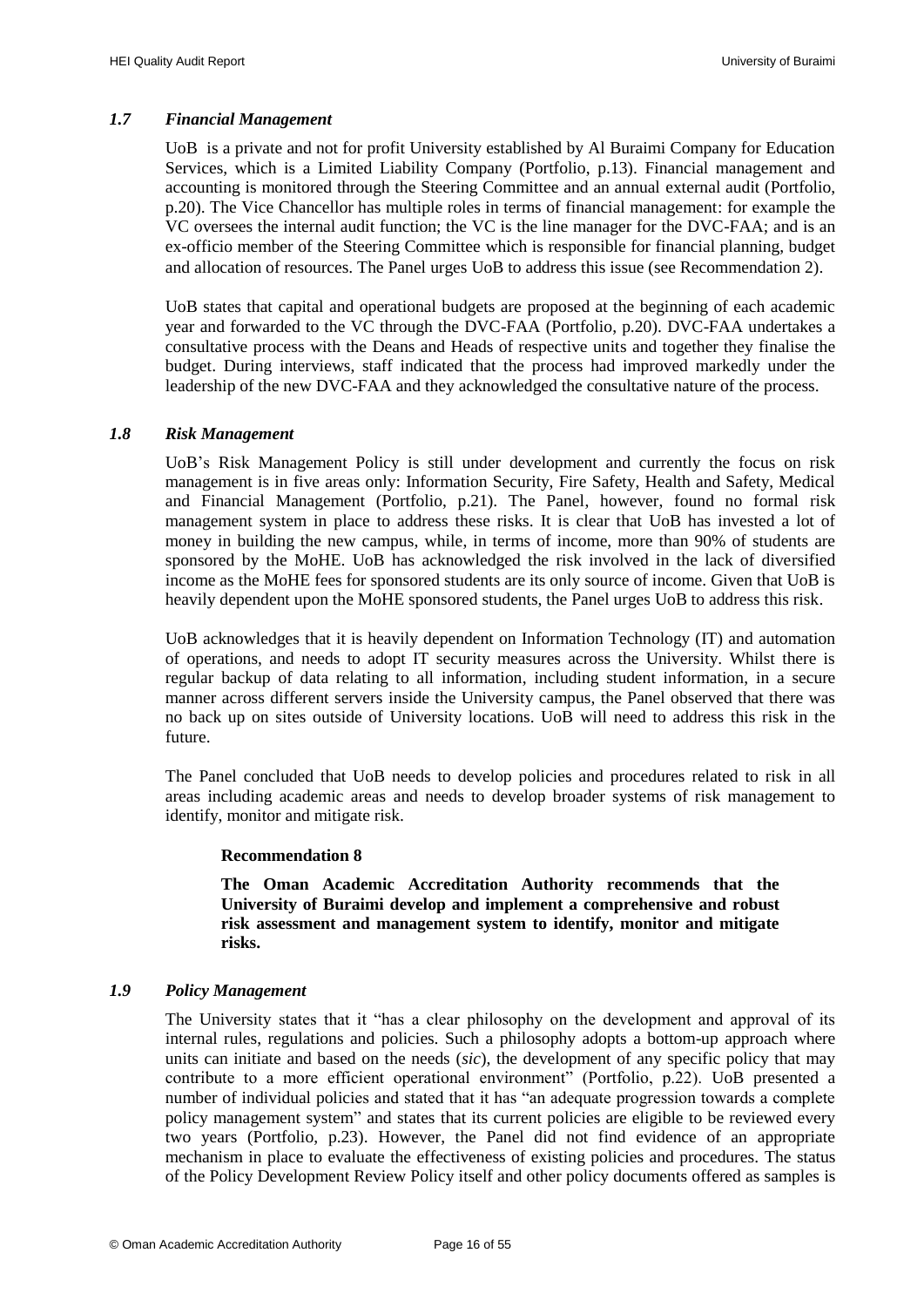#### <span id="page-17-0"></span>*1.7 Financial Management*

UoB is a private and not for profit University established by Al Buraimi Company for Education Services, which is a Limited Liability Company (Portfolio, p.13). Financial management and accounting is monitored through the Steering Committee and an annual external audit (Portfolio, p.20). The Vice Chancellor has multiple roles in terms of financial management: for example the VC oversees the internal audit function; the VC is the line manager for the DVC-FAA; and is an ex-officio member of the Steering Committee which is responsible for financial planning, budget and allocation of resources. The Panel urges UoB to address this issue (see [Recommendation 2\)](#page-13-3).

UoB states that capital and operational budgets are proposed at the beginning of each academic year and forwarded to the VC through the DVC-FAA (Portfolio, p.20). DVC-FAA undertakes a consultative process with the Deans and Heads of respective units and together they finalise the budget. During interviews, staff indicated that the process had improved markedly under the leadership of the new DVC-FAA and they acknowledged the consultative nature of the process.

#### <span id="page-17-1"></span>*1.8 Risk Management*

UoB"s Risk Management Policy is still under development and currently the focus on risk management is in five areas only: Information Security, Fire Safety, Health and Safety, Medical and Financial Management (Portfolio, p.21). The Panel, however, found no formal risk management system in place to address these risks. It is clear that UoB has invested a lot of money in building the new campus, while, in terms of income, more than 90% of students are sponsored by the MoHE. UoB has acknowledged the risk involved in the lack of diversified income as the MoHE fees for sponsored students are its only source of income. Given that UoB is heavily dependent upon the MoHE sponsored students, the Panel urges UoB to address this risk.

UoB acknowledges that it is heavily dependent on Information Technology (IT) and automation of operations, and needs to adopt IT security measures across the University. Whilst there is regular backup of data relating to all information, including student information, in a secure manner across different servers inside the University campus, the Panel observed that there was no back up on sites outside of University locations. UoB will need to address this risk in the future.

The Panel concluded that UoB needs to develop policies and procedures related to risk in all areas including academic areas and needs to develop broader systems of risk management to identify, monitor and mitigate risk.

#### **Recommendation 8**

**The Oman Academic Accreditation Authority recommends that the University of Buraimi develop and implement a comprehensive and robust risk assessment and management system to identify, monitor and mitigate risks.**

#### <span id="page-17-3"></span><span id="page-17-2"></span>*1.9 Policy Management*

The University states that it "has a clear philosophy on the development and approval of its internal rules, regulations and policies. Such a philosophy adopts a bottom-up approach where units can initiate and based on the needs (*sic*), the development of any specific policy that may contribute to a more efficient operational environment" (Portfolio, p.22). UoB presented a number of individual policies and stated that it has "an adequate progression towards a complete policy management system" and states that its current policies are eligible to be reviewed every two years (Portfolio, p.23). However, the Panel did not find evidence of an appropriate mechanism in place to evaluate the effectiveness of existing policies and procedures. The status of the Policy Development Review Policy itself and other policy documents offered as samples is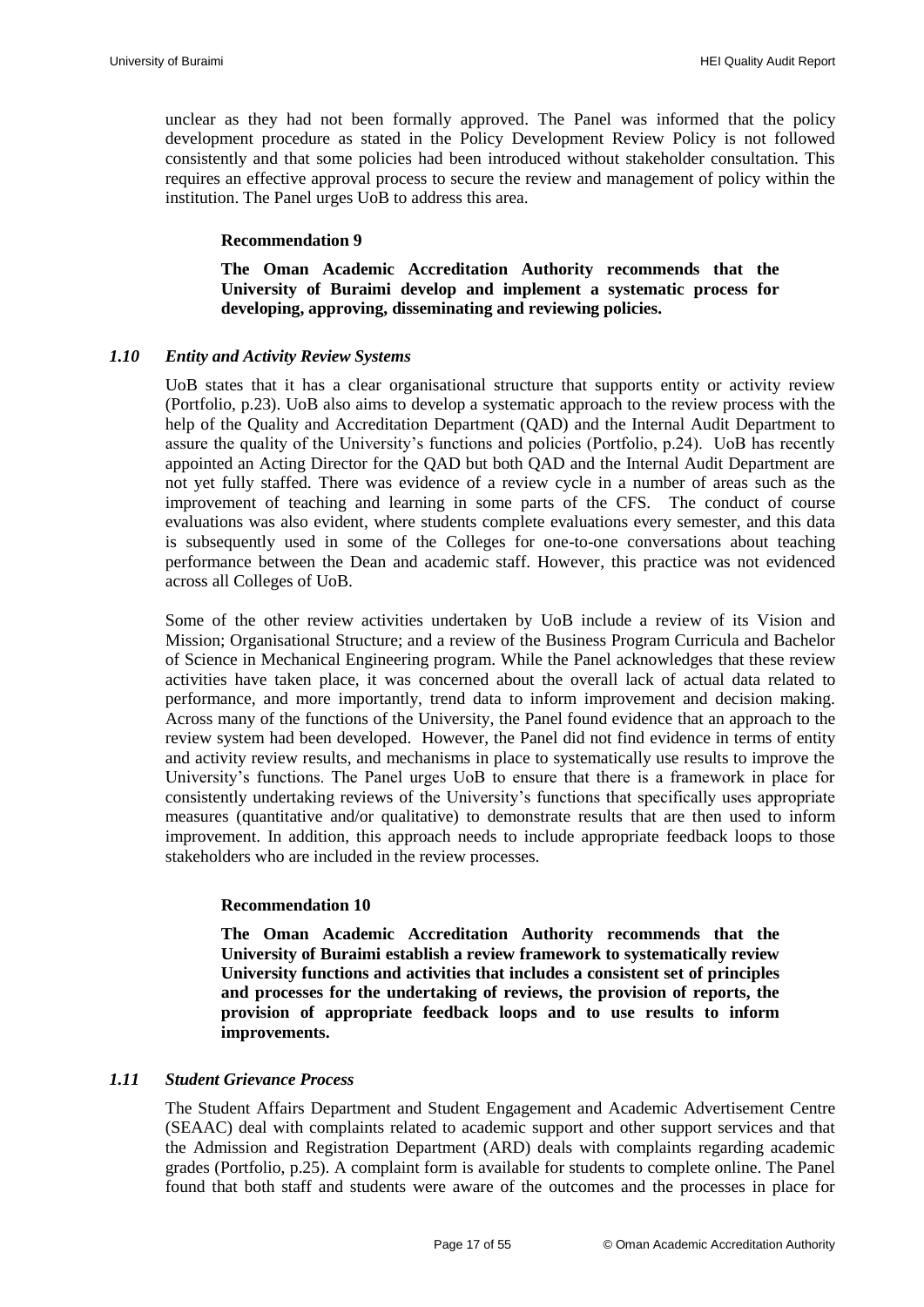unclear as they had not been formally approved. The Panel was informed that the policy development procedure as stated in the Policy Development Review Policy is not followed consistently and that some policies had been introduced without stakeholder consultation. This requires an effective approval process to secure the review and management of policy within the institution. The Panel urges UoB to address this area.

#### **Recommendation 9**

**The Oman Academic Accreditation Authority recommends that the University of Buraimi develop and implement a systematic process for developing, approving, disseminating and reviewing policies.**

#### <span id="page-18-2"></span><span id="page-18-0"></span>*1.10 Entity and Activity Review Systems*

UoB states that it has a clear organisational structure that supports entity or activity review (Portfolio, p.23). UoB also aims to develop a systematic approach to the review process with the help of the Quality and Accreditation Department (QAD) and the Internal Audit Department to assure the quality of the University"s functions and policies (Portfolio, p.24). UoB has recently appointed an Acting Director for the QAD but both QAD and the Internal Audit Department are not yet fully staffed. There was evidence of a review cycle in a number of areas such as the improvement of teaching and learning in some parts of the CFS. The conduct of course evaluations was also evident, where students complete evaluations every semester, and this data is subsequently used in some of the Colleges for one-to-one conversations about teaching performance between the Dean and academic staff. However, this practice was not evidenced across all Colleges of UoB.

Some of the other review activities undertaken by UoB include a review of its Vision and Mission; Organisational Structure; and a review of the Business Program Curricula and Bachelor of Science in Mechanical Engineering program. While the Panel acknowledges that these review activities have taken place, it was concerned about the overall lack of actual data related to performance, and more importantly, trend data to inform improvement and decision making. Across many of the functions of the University, the Panel found evidence that an approach to the review system had been developed. However, the Panel did not find evidence in terms of entity and activity review results, and mechanisms in place to systematically use results to improve the University"s functions. The Panel urges UoB to ensure that there is a framework in place for consistently undertaking reviews of the University"s functions that specifically uses appropriate measures (quantitative and/or qualitative) to demonstrate results that are then used to inform improvement. In addition, this approach needs to include appropriate feedback loops to those stakeholders who are included in the review processes.

#### **Recommendation 10**

<span id="page-18-3"></span>**The Oman Academic Accreditation Authority recommends that the University of Buraimi establish a review framework to systematically review University functions and activities that includes a consistent set of principles and processes for the undertaking of reviews, the provision of reports, the provision of appropriate feedback loops and to use results to inform improvements.**

#### <span id="page-18-1"></span>*1.11 Student Grievance Process*

The Student Affairs Department and Student Engagement and Academic Advertisement Centre (SEAAC) deal with complaints related to academic support and other support services and that the Admission and Registration Department (ARD) deals with complaints regarding academic grades (Portfolio, p.25). A complaint form is available for students to complete online. The Panel found that both staff and students were aware of the outcomes and the processes in place for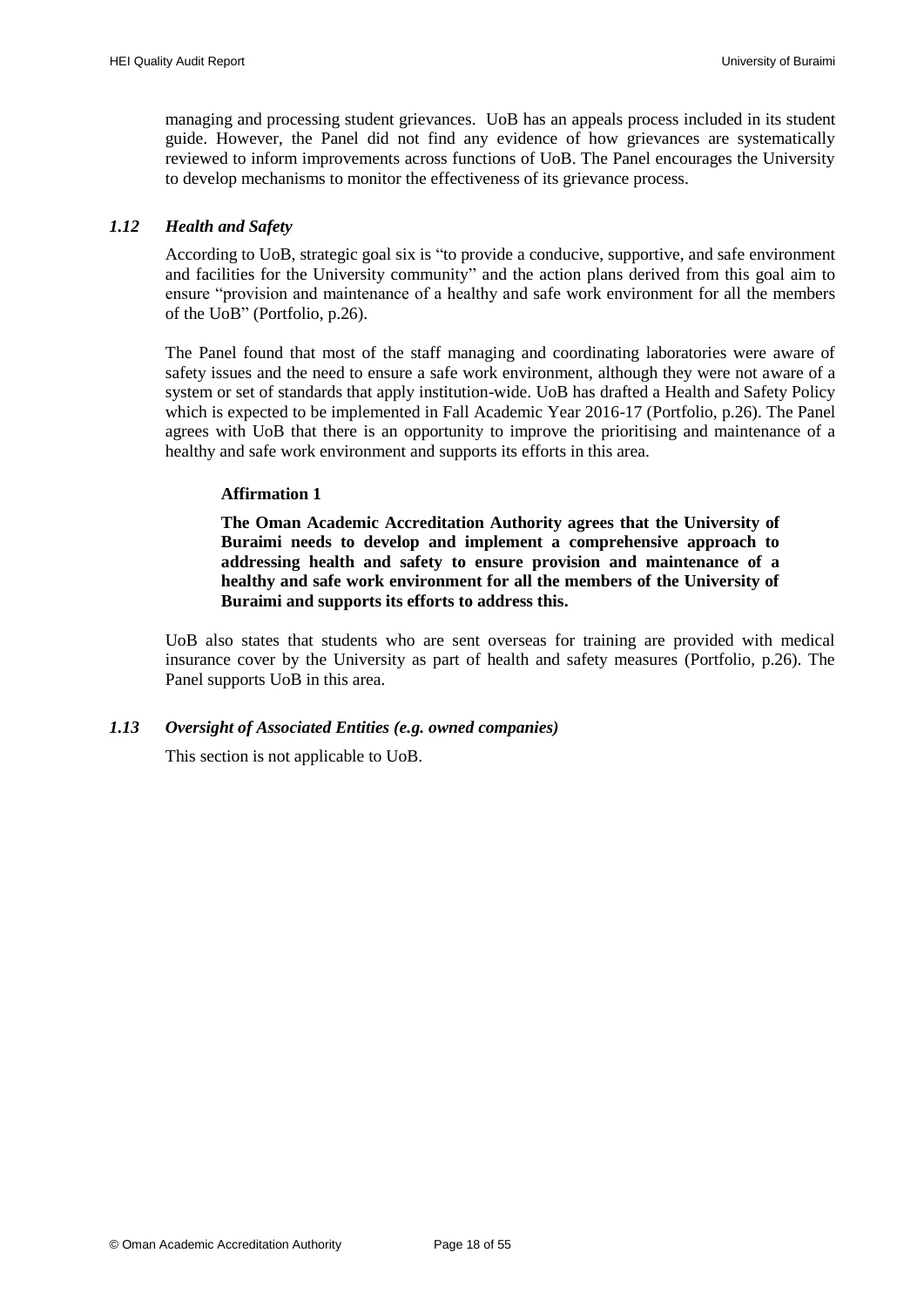managing and processing student grievances. UoB has an appeals process included in its student guide. However, the Panel did not find any evidence of how grievances are systematically reviewed to inform improvements across functions of UoB. The Panel encourages the University to develop mechanisms to monitor the effectiveness of its grievance process.

#### <span id="page-19-0"></span>*1.12 Health and Safety*

According to UoB, strategic goal six is "to provide a conducive, supportive, and safe environment and facilities for the University community" and the action plans derived from this goal aim to ensure "provision and maintenance of a healthy and safe work environment for all the members of the UoB" (Portfolio, p.26).

The Panel found that most of the staff managing and coordinating laboratories were aware of safety issues and the need to ensure a safe work environment, although they were not aware of a system or set of standards that apply institution-wide. UoB has drafted a Health and Safety Policy which is expected to be implemented in Fall Academic Year 2016-17 (Portfolio, p.26). The Panel agrees with UoB that there is an opportunity to improve the prioritising and maintenance of a healthy and safe work environment and supports its efforts in this area.

#### **Affirmation 1**

<span id="page-19-2"></span>**The Oman Academic Accreditation Authority agrees that the University of Buraimi needs to develop and implement a comprehensive approach to addressing health and safety to ensure provision and maintenance of a healthy and safe work environment for all the members of the University of Buraimi and supports its efforts to address this.**

UoB also states that students who are sent overseas for training are provided with medical insurance cover by the University as part of health and safety measures (Portfolio, p.26). The Panel supports UoB in this area.

#### <span id="page-19-1"></span>*1.13 Oversight of Associated Entities (e.g. owned companies)*

This section is not applicable to UoB.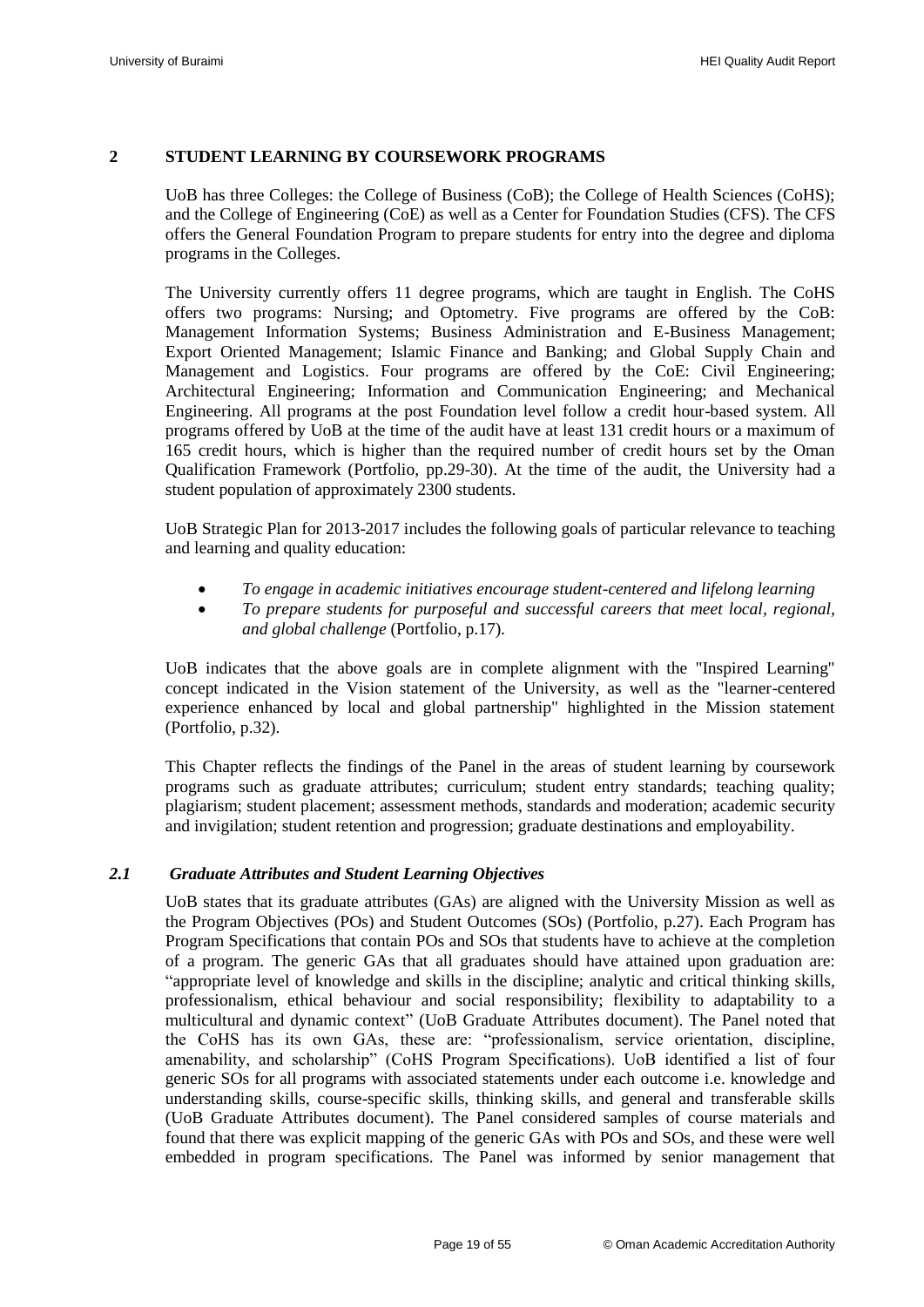#### <span id="page-20-0"></span>**2 STUDENT LEARNING BY COURSEWORK PROGRAMS**

UoB has three Colleges: the College of Business (CoB); the College of Health Sciences (CoHS); and the College of Engineering (CoE) as well as a Center for Foundation Studies (CFS). The CFS offers the General Foundation Program to prepare students for entry into the degree and diploma programs in the Colleges.

The University currently offers 11 degree programs, which are taught in English. The CoHS offers two programs: Nursing; and Optometry. Five programs are offered by the CoB: Management Information Systems; Business Administration and E-Business Management; Export Oriented Management; Islamic Finance and Banking; and Global Supply Chain and Management and Logistics. Four programs are offered by the CoE: Civil Engineering; Architectural Engineering; Information and Communication Engineering; and Mechanical Engineering. All programs at the post Foundation level follow a credit hour-based system. All programs offered by UoB at the time of the audit have at least 131 credit hours or a maximum of 165 credit hours, which is higher than the required number of credit hours set by the Oman Qualification Framework (Portfolio, pp.29-30). At the time of the audit, the University had a student population of approximately 2300 students.

UoB Strategic Plan for 2013-2017 includes the following goals of particular relevance to teaching and learning and quality education:

- *To engage in academic initiatives encourage student-centered and lifelong learning*
- *To prepare students for purposeful and successful careers that meet local, regional, and global challenge* (Portfolio, p.17)*.*

UoB indicates that the above goals are in complete alignment with the "Inspired Learning" concept indicated in the Vision statement of the University, as well as the "learner-centered experience enhanced by local and global partnership" highlighted in the Mission statement (Portfolio, p.32).

This Chapter reflects the findings of the Panel in the areas of student learning by coursework programs such as graduate attributes; curriculum; student entry standards; teaching quality; plagiarism; student placement; assessment methods, standards and moderation; academic security and invigilation; student retention and progression; graduate destinations and employability.

#### *2.1 Graduate Attributes and Student Learning Objectives*

<span id="page-20-1"></span>UoB states that its graduate attributes (GAs) are aligned with the University Mission as well as the Program Objectives (POs) and Student Outcomes (SOs) (Portfolio, p.27). Each Program has Program Specifications that contain POs and SOs that students have to achieve at the completion of a program. The generic GAs that all graduates should have attained upon graduation are: "appropriate level of knowledge and skills in the discipline; analytic and critical thinking skills, professionalism, ethical behaviour and social responsibility; flexibility to adaptability to a multicultural and dynamic context" (UoB Graduate Attributes document). The Panel noted that the CoHS has its own GAs, these are: "professionalism, service orientation, discipline, amenability, and scholarship" (CoHS Program Specifications). UoB identified a list of four generic SOs for all programs with associated statements under each outcome i.e. knowledge and understanding skills, course-specific skills, thinking skills, and general and transferable skills (UoB Graduate Attributes document). The Panel considered samples of course materials and found that there was explicit mapping of the generic GAs with POs and SOs, and these were well embedded in program specifications. The Panel was informed by senior management that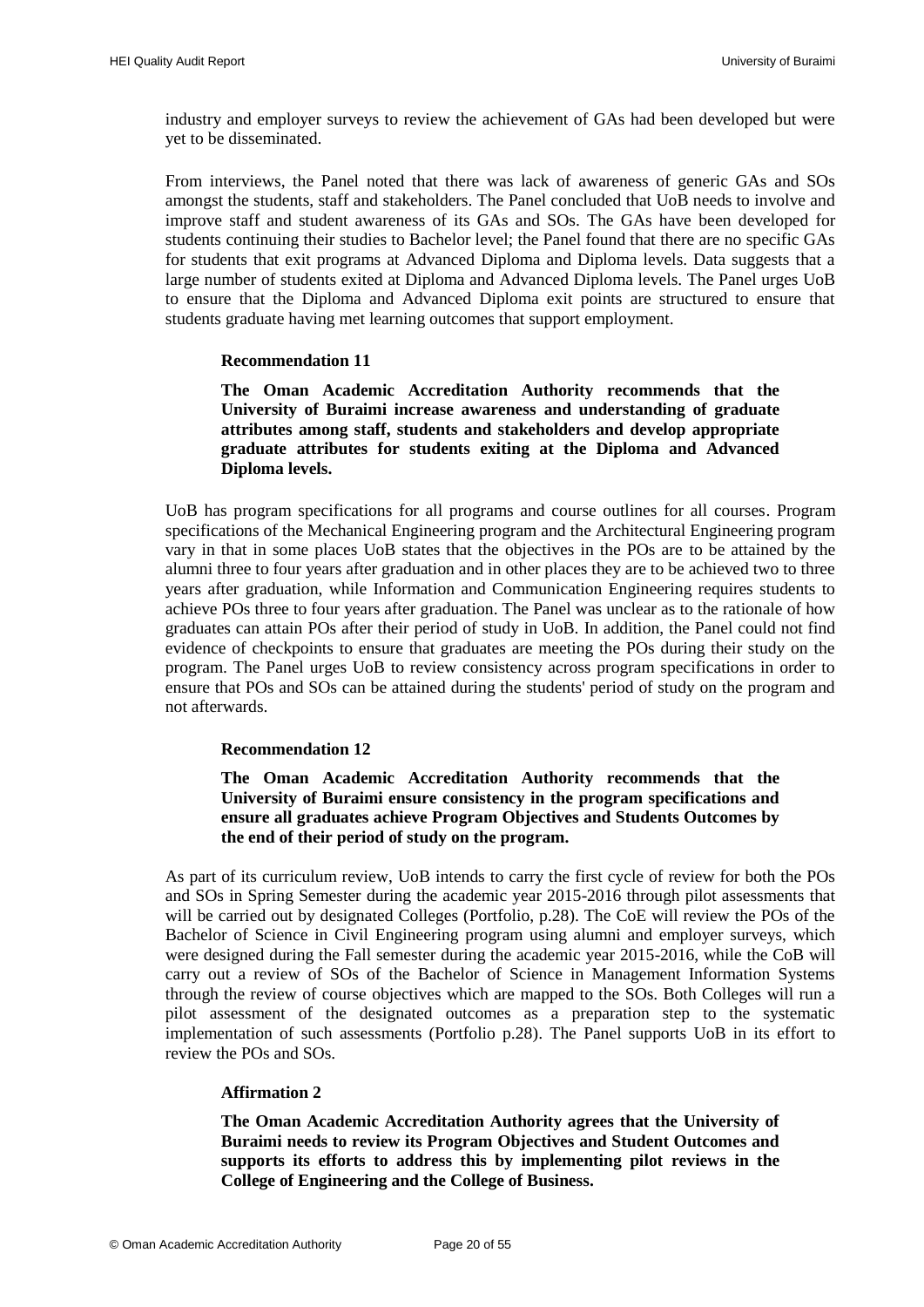industry and employer surveys to review the achievement of GAs had been developed but were yet to be disseminated.

From interviews, the Panel noted that there was lack of awareness of generic GAs and SOs amongst the students, staff and stakeholders. The Panel concluded that UoB needs to involve and improve staff and student awareness of its GAs and SOs. The GAs have been developed for students continuing their studies to Bachelor level; the Panel found that there are no specific GAs for students that exit programs at Advanced Diploma and Diploma levels. Data suggests that a large number of students exited at Diploma and Advanced Diploma levels. The Panel urges UoB to ensure that the Diploma and Advanced Diploma exit points are structured to ensure that students graduate having met learning outcomes that support employment.

#### **Recommendation 11**

<span id="page-21-1"></span>**The Oman Academic Accreditation Authority recommends that the University of Buraimi increase awareness and understanding of graduate attributes among staff, students and stakeholders and develop appropriate graduate attributes for students exiting at the Diploma and Advanced Diploma levels.**

UoB has program specifications for all programs and course outlines for all courses. Program specifications of the Mechanical Engineering program and the Architectural Engineering program vary in that in some places UoB states that the objectives in the POs are to be attained by the alumni three to four years after graduation and in other places they are to be achieved two to three years after graduation, while Information and Communication Engineering requires students to achieve POs three to four years after graduation. The Panel was unclear as to the rationale of how graduates can attain POs after their period of study in UoB. In addition, the Panel could not find evidence of checkpoints to ensure that graduates are meeting the POs during their study on the program. The Panel urges UoB to review consistency across program specifications in order to ensure that POs and SOs can be attained during the students' period of study on the program and not afterwards.

#### **Recommendation 12**

**The Oman Academic Accreditation Authority recommends that the University of Buraimi ensure consistency in the program specifications and ensure all graduates achieve Program Objectives and Students Outcomes by the end of their period of study on the program.**

<span id="page-21-2"></span>As part of its curriculum review, UoB intends to carry the first cycle of review for both the POs and SOs in Spring Semester during the academic year 2015-2016 through pilot assessments that will be carried out by designated Colleges (Portfolio, p.28). The CoE will review the POs of the Bachelor of Science in Civil Engineering program using alumni and employer surveys, which were designed during the Fall semester during the academic year 2015-2016, while the CoB will carry out a review of SOs of the Bachelor of Science in Management Information Systems through the review of course objectives which are mapped to the SOs. Both Colleges will run a pilot assessment of the designated outcomes as a preparation step to the systematic implementation of such assessments (Portfolio p.28). The Panel supports UoB in its effort to review the POs and SOs.

#### **Affirmation 2**

<span id="page-21-0"></span>**The Oman Academic Accreditation Authority agrees that the University of Buraimi needs to review its Program Objectives and Student Outcomes and supports its efforts to address this by implementing pilot reviews in the College of Engineering and the College of Business.**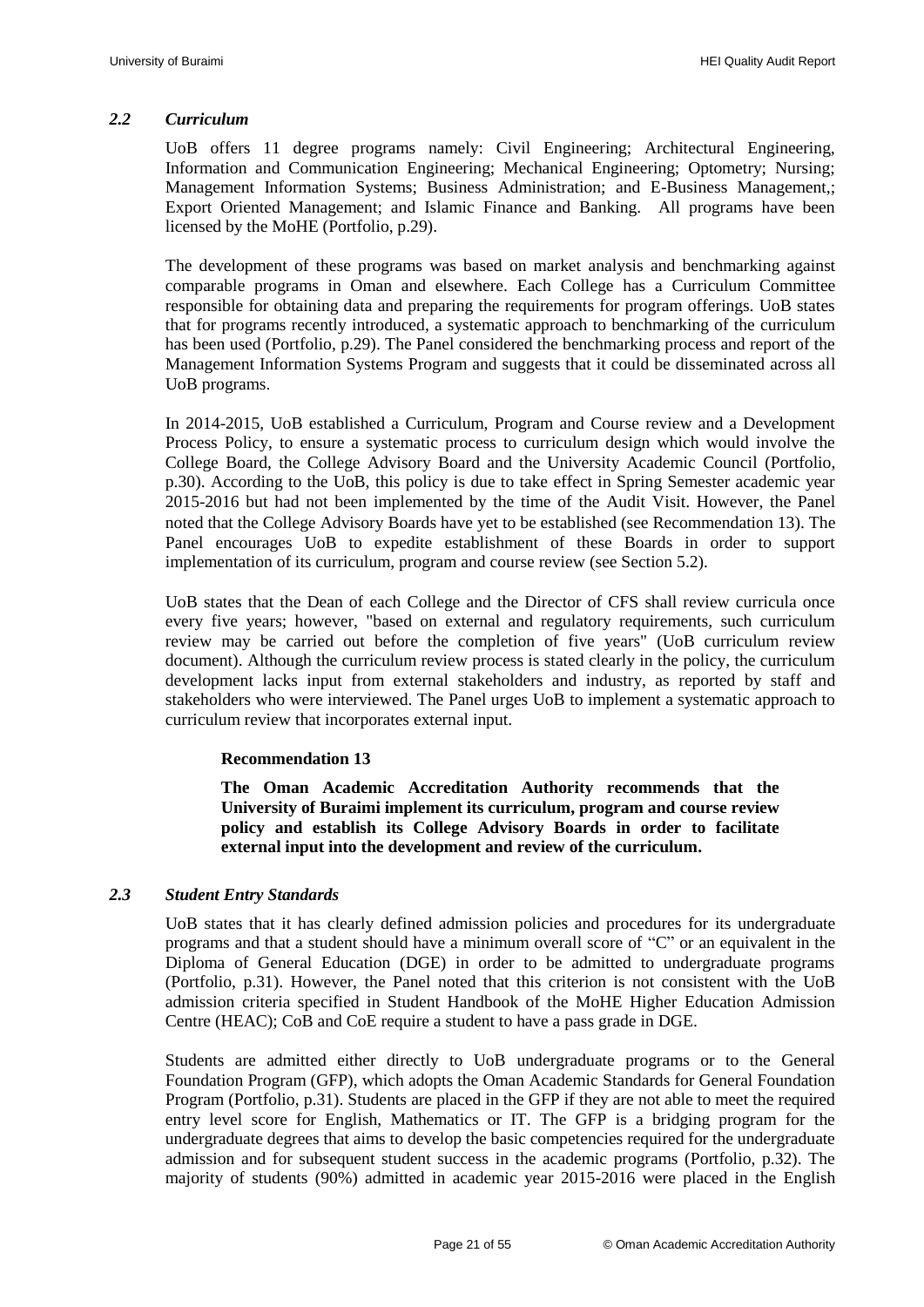#### <span id="page-22-0"></span>*2.2 Curriculum*

UoB offers 11 degree programs namely: Civil Engineering; Architectural Engineering, Information and Communication Engineering; Mechanical Engineering; Optometry; Nursing; Management Information Systems; Business Administration; and E-Business Management,; Export Oriented Management; and Islamic Finance and Banking. All programs have been licensed by the MoHE (Portfolio, p.29).

The development of these programs was based on market analysis and benchmarking against comparable programs in Oman and elsewhere. Each College has a Curriculum Committee responsible for obtaining data and preparing the requirements for program offerings. UoB states that for programs recently introduced, a systematic approach to benchmarking of the curriculum has been used (Portfolio, p.29). The Panel considered the benchmarking process and report of the Management Information Systems Program and suggests that it could be disseminated across all UoB programs.

In 2014-2015, UoB established a Curriculum, Program and Course review and a Development Process Policy, to ensure a systematic process to curriculum design which would involve the College Board, the College Advisory Board and the University Academic Council (Portfolio, p.30). According to the UoB, this policy is due to take effect in Spring Semester academic year 2015-2016 but had not been implemented by the time of the Audit Visit. However, the Panel noted that the College Advisory Boards have yet to be established (se[e Recommendation 13\)](#page-22-3). The Panel encourages UoB to expedite establishment of these Boards in order to support implementation of its curriculum, program and course review (see Section 5.2).

UoB states that the Dean of each College and the Director of CFS shall review curricula once every five years; however, "based on external and regulatory requirements, such curriculum review may be carried out before the completion of five years" (UoB curriculum review document). Although the curriculum review process is stated clearly in the policy, the curriculum development lacks input from external stakeholders and industry, as reported by staff and stakeholders who were interviewed. The Panel urges UoB to implement a systematic approach to curriculum review that incorporates external input.

#### <span id="page-22-3"></span>**Recommendation 13**

**The Oman Academic Accreditation Authority recommends that the University of Buraimi implement its curriculum, program and course review policy and establish its College Advisory Boards in order to facilitate external input into the development and review of the curriculum.**

#### <span id="page-22-2"></span><span id="page-22-1"></span>*2.3 Student Entry Standards*

UoB states that it has clearly defined admission policies and procedures for its undergraduate programs and that a student should have a minimum overall score of "C" or an equivalent in the Diploma of General Education (DGE) in order to be admitted to undergraduate programs (Portfolio, p.31). However, the Panel noted that this criterion is not consistent with the UoB admission criteria specified in Student Handbook of the MoHE Higher Education Admission Centre (HEAC); CoB and CoE require a student to have a pass grade in DGE.

Students are admitted either directly to UoB undergraduate programs or to the General Foundation Program (GFP), which adopts the Oman Academic Standards for General Foundation Program (Portfolio, p.31). Students are placed in the GFP if they are not able to meet the required entry level score for English, Mathematics or IT. The GFP is a bridging program for the undergraduate degrees that aims to develop the basic competencies required for the undergraduate admission and for subsequent student success in the academic programs (Portfolio, p.32). The majority of students (90%) admitted in academic year 2015-2016 were placed in the English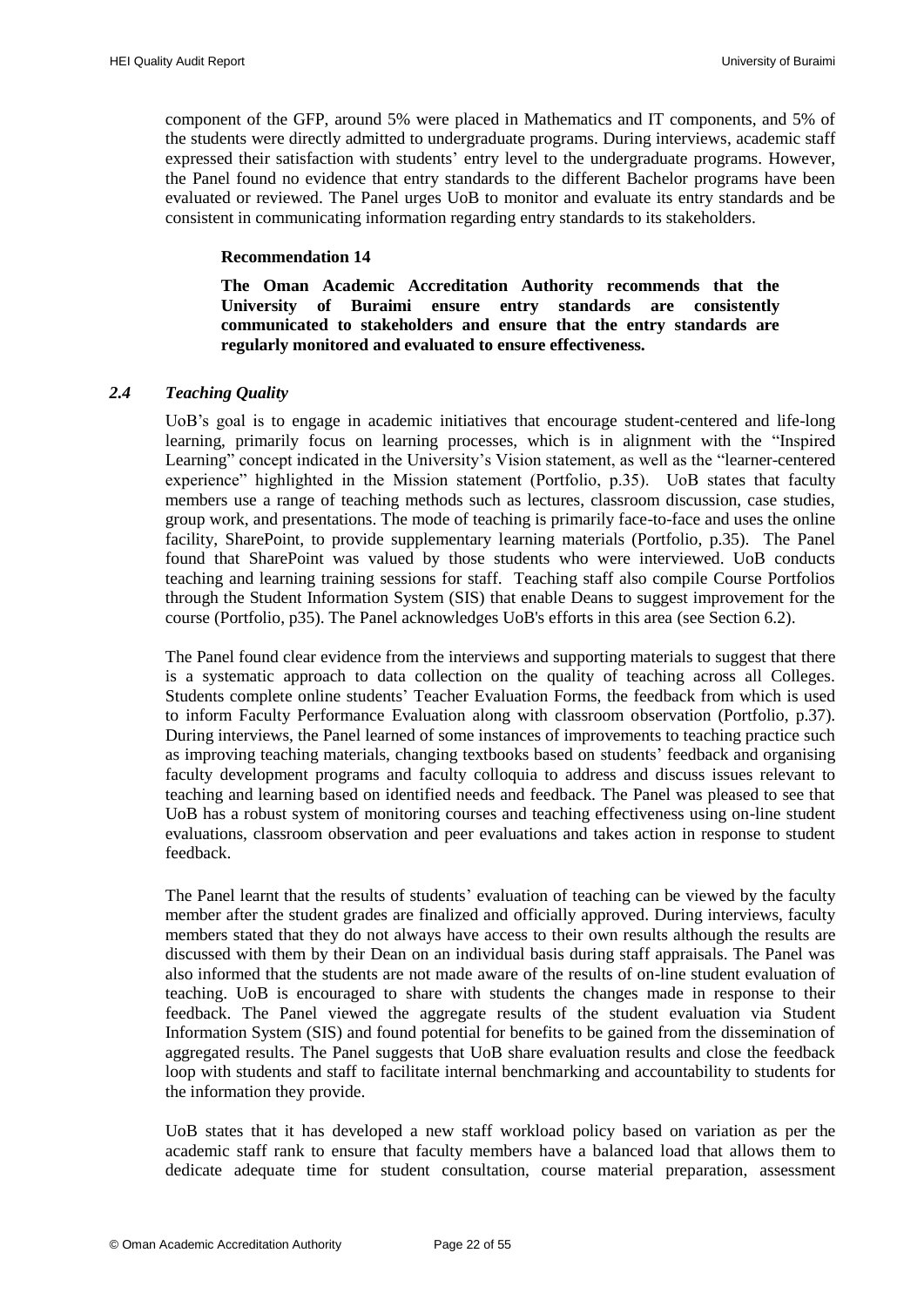component of the GFP, around 5% were placed in Mathematics and IT components, and 5% of the students were directly admitted to undergraduate programs. During interviews, academic staff expressed their satisfaction with students' entry level to the undergraduate programs. However, the Panel found no evidence that entry standards to the different Bachelor programs have been evaluated or reviewed. The Panel urges UoB to monitor and evaluate its entry standards and be consistent in communicating information regarding entry standards to its stakeholders.

#### **Recommendation 14**

**The Oman Academic Accreditation Authority recommends that the University of Buraimi ensure entry standards are consistently communicated to stakeholders and ensure that the entry standards are regularly monitored and evaluated to ensure effectiveness.**

#### <span id="page-23-1"></span><span id="page-23-0"></span>*2.4 Teaching Quality*

UoB"s goal is to engage in academic initiatives that encourage student-centered and life-long learning, primarily focus on learning processes, which is in alignment with the "Inspired Learning" concept indicated in the University's Vision statement, as well as the "learner-centered experience" highlighted in the Mission statement (Portfolio, p.35). UoB states that faculty members use a range of teaching methods such as lectures, classroom discussion, case studies, group work, and presentations. The mode of teaching is primarily face-to-face and uses the online facility, SharePoint, to provide supplementary learning materials (Portfolio, p.35). The Panel found that SharePoint was valued by those students who were interviewed. UoB conducts teaching and learning training sessions for staff. Teaching staff also compile Course Portfolios through the Student Information System (SIS) that enable Deans to suggest improvement for the course (Portfolio, p35). The Panel acknowledges UoB's efforts in this area (see Section 6.2).

The Panel found clear evidence from the interviews and supporting materials to suggest that there is a systematic approach to data collection on the quality of teaching across all Colleges. Students complete online students" Teacher Evaluation Forms, the feedback from which is used to inform Faculty Performance Evaluation along with classroom observation (Portfolio, p.37). During interviews, the Panel learned of some instances of improvements to teaching practice such as improving teaching materials, changing textbooks based on students' feedback and organising faculty development programs and faculty colloquia to address and discuss issues relevant to teaching and learning based on identified needs and feedback. The Panel was pleased to see that UoB has a robust system of monitoring courses and teaching effectiveness using on-line student evaluations, classroom observation and peer evaluations and takes action in response to student feedback.

The Panel learnt that the results of students" evaluation of teaching can be viewed by the faculty member after the student grades are finalized and officially approved. During interviews, faculty members stated that they do not always have access to their own results although the results are discussed with them by their Dean on an individual basis during staff appraisals. The Panel was also informed that the students are not made aware of the results of on-line student evaluation of teaching. UoB is encouraged to share with students the changes made in response to their feedback. The Panel viewed the aggregate results of the student evaluation via Student Information System (SIS) and found potential for benefits to be gained from the dissemination of aggregated results. The Panel suggests that UoB share evaluation results and close the feedback loop with students and staff to facilitate internal benchmarking and accountability to students for the information they provide.

UoB states that it has developed a new staff workload policy based on variation as per the academic staff rank to ensure that faculty members have a balanced load that allows them to dedicate adequate time for student consultation, course material preparation, assessment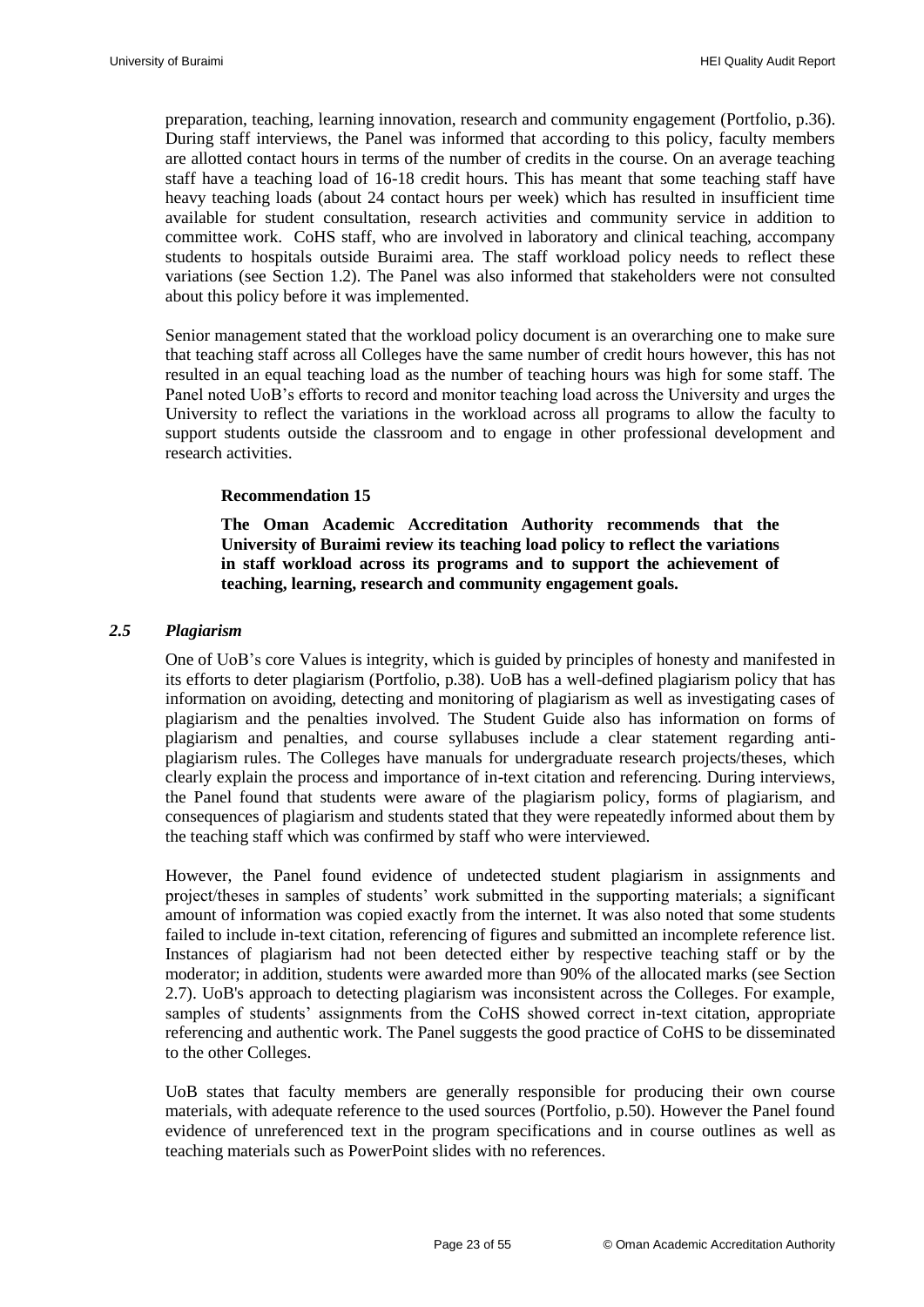preparation, teaching, learning innovation, research and community engagement (Portfolio, p.36). During staff interviews, the Panel was informed that according to this policy, faculty members are allotted contact hours in terms of the number of credits in the course. On an average teaching staff have a teaching load of 16-18 credit hours. This has meant that some teaching staff have heavy teaching loads (about 24 contact hours per week) which has resulted in insufficient time available for student consultation, research activities and community service in addition to committee work. CoHS staff, who are involved in laboratory and clinical teaching, accompany students to hospitals outside Buraimi area. The staff workload policy needs to reflect these variations (see Section 1.2). The Panel was also informed that stakeholders were not consulted about this policy before it was implemented.

Senior management stated that the workload policy document is an overarching one to make sure that teaching staff across all Colleges have the same number of credit hours however, this has not resulted in an equal teaching load as the number of teaching hours was high for some staff. The Panel noted UoB"s efforts to record and monitor teaching load across the University and urges the University to reflect the variations in the workload across all programs to allow the faculty to support students outside the classroom and to engage in other professional development and research activities.

#### **Recommendation 15**

**The Oman Academic Accreditation Authority recommends that the University of Buraimi review its teaching load policy to reflect the variations in staff workload across its programs and to support the achievement of teaching, learning, research and community engagement goals.**

#### <span id="page-24-1"></span><span id="page-24-0"></span>*2.5 Plagiarism*

One of UoB"s core Values is integrity, which is guided by principles of honesty and manifested in its efforts to deter plagiarism (Portfolio, p.38). UoB has a well-defined plagiarism policy that has information on avoiding, detecting and monitoring of plagiarism as well as investigating cases of plagiarism and the penalties involved. The Student Guide also has information on forms of plagiarism and penalties, and course syllabuses include a clear statement regarding antiplagiarism rules. The Colleges have manuals for undergraduate research projects/theses, which clearly explain the process and importance of in-text citation and referencing. During interviews, the Panel found that students were aware of the plagiarism policy, forms of plagiarism, and consequences of plagiarism and students stated that they were repeatedly informed about them by the teaching staff which was confirmed by staff who were interviewed.

However, the Panel found evidence of undetected student plagiarism in assignments and project/theses in samples of students" work submitted in the supporting materials; a significant amount of information was copied exactly from the internet. It was also noted that some students failed to include in-text citation, referencing of figures and submitted an incomplete reference list. Instances of plagiarism had not been detected either by respective teaching staff or by the moderator; in addition, students were awarded more than 90% of the allocated marks (see Section 2.7). UoB's approach to detecting plagiarism was inconsistent across the Colleges. For example, samples of students' assignments from the CoHS showed correct in-text citation, appropriate referencing and authentic work. The Panel suggests the good practice of CoHS to be disseminated to the other Colleges.

UoB states that faculty members are generally responsible for producing their own course materials, with adequate reference to the used sources (Portfolio, p.50). However the Panel found evidence of unreferenced text in the program specifications and in course outlines as well as teaching materials such as PowerPoint slides with no references.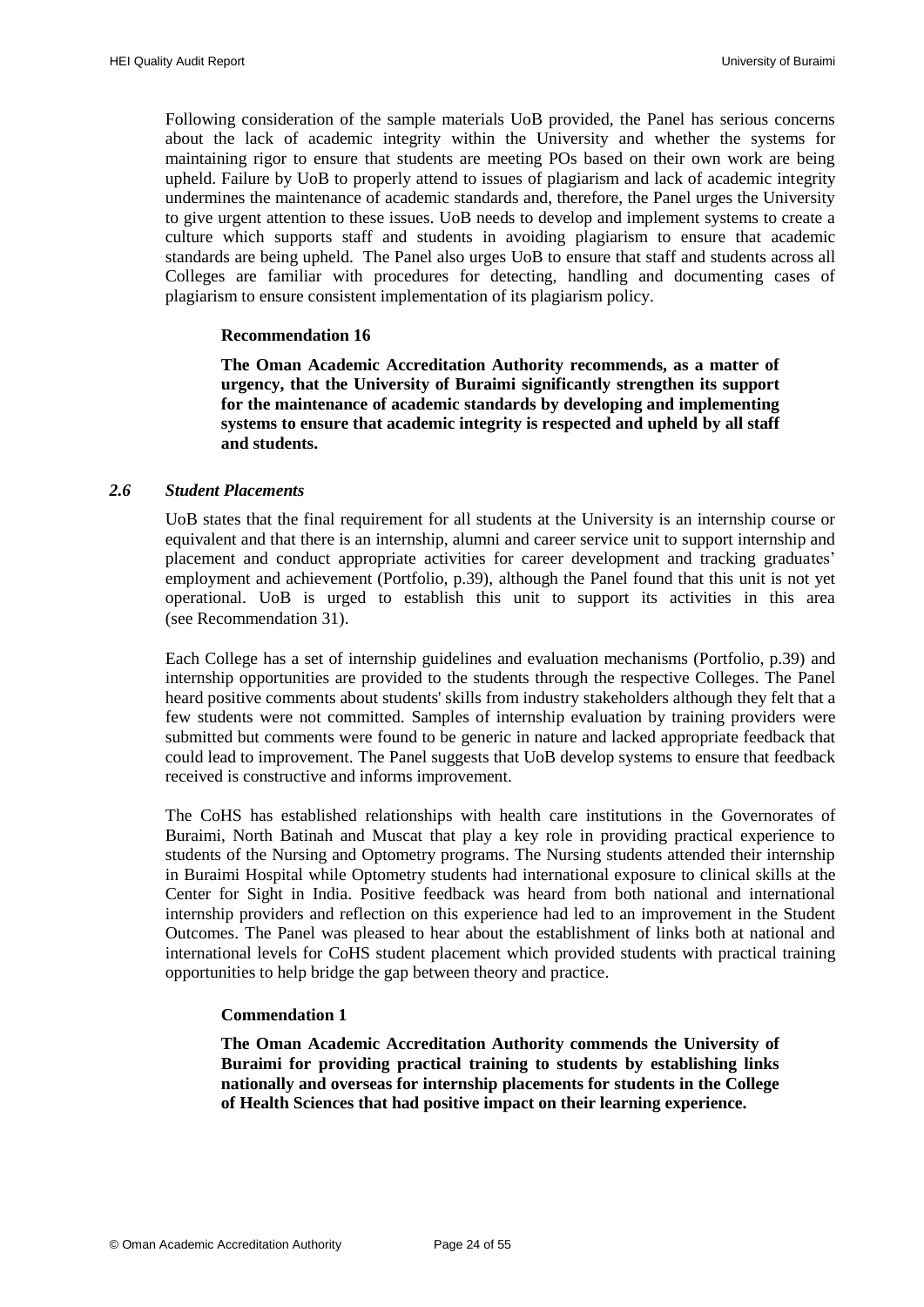Following consideration of the sample materials UoB provided, the Panel has serious concerns about the lack of academic integrity within the University and whether the systems for maintaining rigor to ensure that students are meeting POs based on their own work are being upheld. Failure by UoB to properly attend to issues of plagiarism and lack of academic integrity undermines the maintenance of academic standards and, therefore, the Panel urges the University to give urgent attention to these issues. UoB needs to develop and implement systems to create a culture which supports staff and students in avoiding plagiarism to ensure that academic standards are being upheld. The Panel also urges UoB to ensure that staff and students across all Colleges are familiar with procedures for detecting, handling and documenting cases of plagiarism to ensure consistent implementation of its plagiarism policy.

#### **Recommendation 16**

<span id="page-25-2"></span>**The Oman Academic Accreditation Authority recommends, as a matter of urgency, that the University of Buraimi significantly strengthen its support for the maintenance of academic standards by developing and implementing systems to ensure that academic integrity is respected and upheld by all staff and students.** 

#### <span id="page-25-0"></span>*2.6 Student Placements*

UoB states that the final requirement for all students at the University is an internship course or equivalent and that there is an internship, alumni and career service unit to support internship and placement and conduct appropriate activities for career development and tracking graduates' employment and achievement (Portfolio, p.39), although the Panel found that this unit is not yet operational. UoB is urged to establish this unit to support its activities in this area (see [Recommendation 31\)](#page-45-4).

Each College has a set of internship guidelines and evaluation mechanisms (Portfolio, p.39) and internship opportunities are provided to the students through the respective Colleges. The Panel heard positive comments about students' skills from industry stakeholders although they felt that a few students were not committed. Samples of internship evaluation by training providers were submitted but comments were found to be generic in nature and lacked appropriate feedback that could lead to improvement. The Panel suggests that UoB develop systems to ensure that feedback received is constructive and informs improvement.

The CoHS has established relationships with health care institutions in the Governorates of Buraimi, North Batinah and Muscat that play a key role in providing practical experience to students of the Nursing and Optometry programs. The Nursing students attended their internship in Buraimi Hospital while Optometry students had international exposure to clinical skills at the Center for Sight in India. Positive feedback was heard from both national and international internship providers and reflection on this experience had led to an improvement in the Student Outcomes. The Panel was pleased to hear about the establishment of links both at national and international levels for CoHS student placement which provided students with practical training opportunities to help bridge the gap between theory and practice.

#### **Commendation 1**

<span id="page-25-1"></span>**The Oman Academic Accreditation Authority commends the University of Buraimi for providing practical training to students by establishing links nationally and overseas for internship placements for students in the College of Health Sciences that had positive impact on their learning experience.**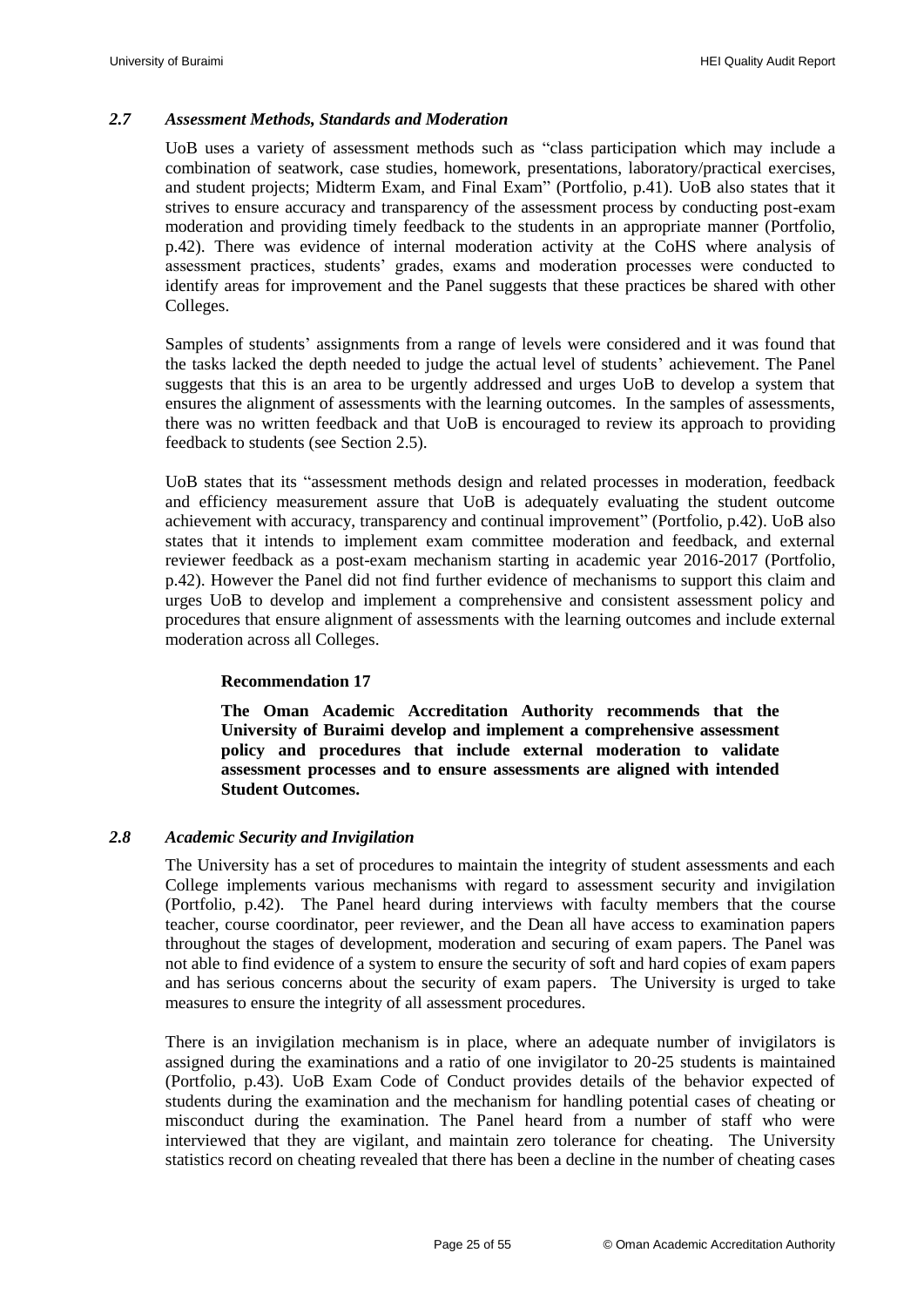#### <span id="page-26-0"></span>*2.7 Assessment Methods, Standards and Moderation*

UoB uses a variety of assessment methods such as "class participation which may include a combination of seatwork, case studies, homework, presentations, laboratory/practical exercises, and student projects; Midterm Exam, and Final Exam" (Portfolio, p.41). UoB also states that it strives to ensure accuracy and transparency of the assessment process by conducting post-exam moderation and providing timely feedback to the students in an appropriate manner (Portfolio, p.42). There was evidence of internal moderation activity at the CoHS where analysis of assessment practices, students" grades, exams and moderation processes were conducted to identify areas for improvement and the Panel suggests that these practices be shared with other Colleges.

Samples of students' assignments from a range of levels were considered and it was found that the tasks lacked the depth needed to judge the actual level of students' achievement. The Panel suggests that this is an area to be urgently addressed and urges UoB to develop a system that ensures the alignment of assessments with the learning outcomes. In the samples of assessments, there was no written feedback and that UoB is encouraged to review its approach to providing feedback to students (see Section 2.5).

UoB states that its "assessment methods design and related processes in moderation, feedback and efficiency measurement assure that UoB is adequately evaluating the student outcome achievement with accuracy, transparency and continual improvement" (Portfolio, p.42). UoB also states that it intends to implement exam committee moderation and feedback, and external reviewer feedback as a post-exam mechanism starting in academic year 2016-2017 (Portfolio, p.42). However the Panel did not find further evidence of mechanisms to support this claim and urges UoB to develop and implement a comprehensive and consistent assessment policy and procedures that ensure alignment of assessments with the learning outcomes and include external moderation across all Colleges.

#### **Recommendation 17**

<span id="page-26-2"></span>**The Oman Academic Accreditation Authority recommends that the University of Buraimi develop and implement a comprehensive assessment policy and procedures that include external moderation to validate assessment processes and to ensure assessments are aligned with intended Student Outcomes.**

#### <span id="page-26-1"></span>*2.8 Academic Security and Invigilation*

The University has a set of procedures to maintain the integrity of student assessments and each College implements various mechanisms with regard to assessment security and invigilation (Portfolio, p.42). The Panel heard during interviews with faculty members that the course teacher, course coordinator, peer reviewer, and the Dean all have access to examination papers throughout the stages of development, moderation and securing of exam papers. The Panel was not able to find evidence of a system to ensure the security of soft and hard copies of exam papers and has serious concerns about the security of exam papers. The University is urged to take measures to ensure the integrity of all assessment procedures.

There is an invigilation mechanism is in place, where an adequate number of invigilators is assigned during the examinations and a ratio of one invigilator to 20-25 students is maintained (Portfolio, p.43). UoB Exam Code of Conduct provides details of the behavior expected of students during the examination and the mechanism for handling potential cases of cheating or misconduct during the examination. The Panel heard from a number of staff who were interviewed that they are vigilant, and maintain zero tolerance for cheating. The University statistics record on cheating revealed that there has been a decline in the number of cheating cases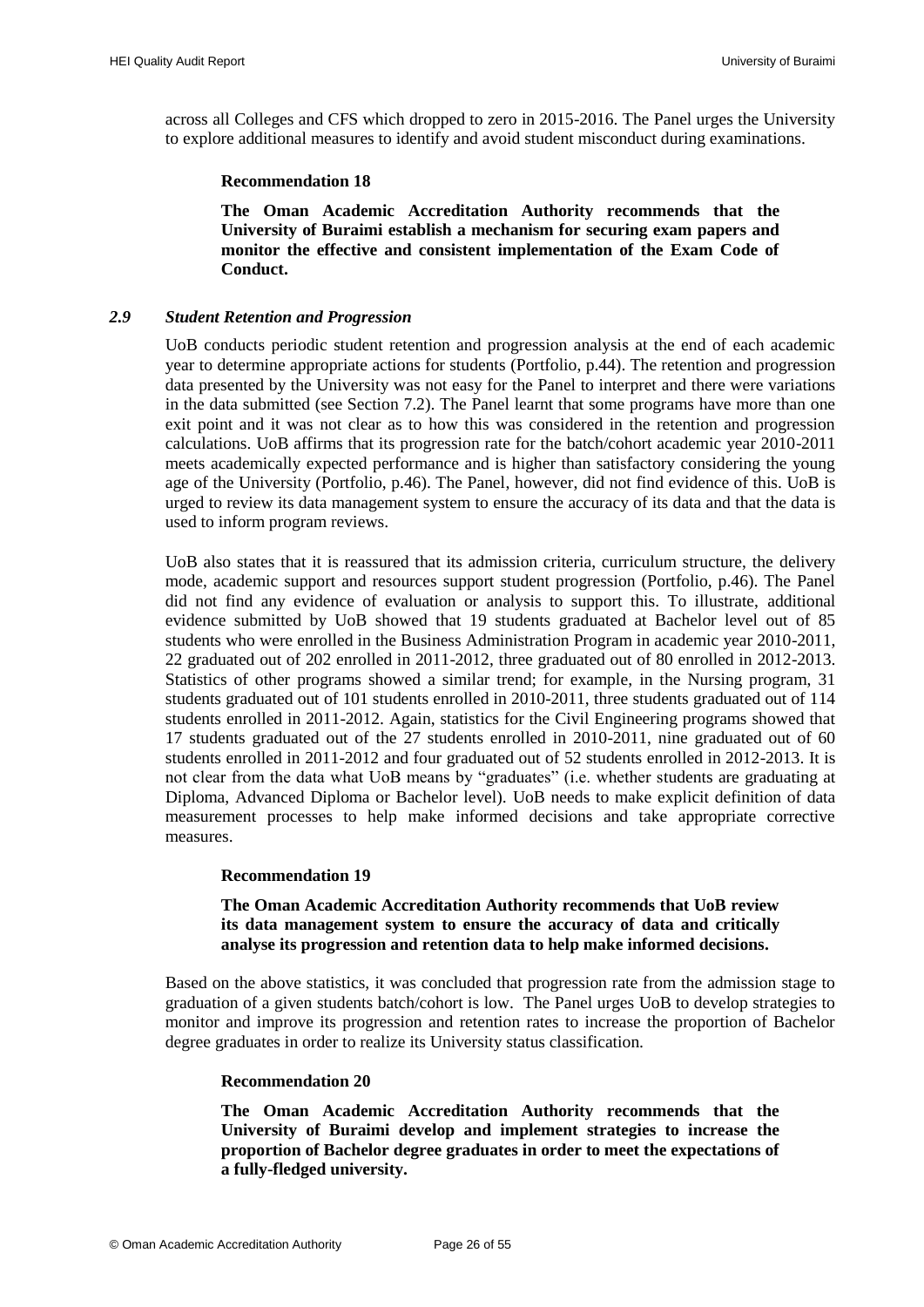across all Colleges and CFS which dropped to zero in 2015-2016. The Panel urges the University to explore additional measures to identify and avoid student misconduct during examinations.

#### **Recommendation 18**

**The Oman Academic Accreditation Authority recommends that the University of Buraimi establish a mechanism for securing exam papers and monitor the effective and consistent implementation of the Exam Code of Conduct.** 

#### <span id="page-27-1"></span><span id="page-27-0"></span>*2.9 Student Retention and Progression*

UoB conducts periodic student retention and progression analysis at the end of each academic year to determine appropriate actions for students (Portfolio, p.44). The retention and progression data presented by the University was not easy for the Panel to interpret and there were variations in the data submitted (see Section 7.2). The Panel learnt that some programs have more than one exit point and it was not clear as to how this was considered in the retention and progression calculations. UoB affirms that its progression rate for the batch/cohort academic year 2010-2011 meets academically expected performance and is higher than satisfactory considering the young age of the University (Portfolio, p.46). The Panel, however, did not find evidence of this. UoB is urged to review its data management system to ensure the accuracy of its data and that the data is used to inform program reviews.

UoB also states that it is reassured that its admission criteria, curriculum structure, the delivery mode, academic support and resources support student progression (Portfolio, p.46). The Panel did not find any evidence of evaluation or analysis to support this. To illustrate, additional evidence submitted by UoB showed that 19 students graduated at Bachelor level out of 85 students who were enrolled in the Business Administration Program in academic year 2010-2011, 22 graduated out of 202 enrolled in 2011-2012, three graduated out of 80 enrolled in 2012-2013. Statistics of other programs showed a similar trend; for example, in the Nursing program, 31 students graduated out of 101 students enrolled in 2010-2011, three students graduated out of 114 students enrolled in 2011-2012. Again, statistics for the Civil Engineering programs showed that 17 students graduated out of the 27 students enrolled in 2010-2011, nine graduated out of 60 students enrolled in 2011-2012 and four graduated out of 52 students enrolled in 2012-2013. It is not clear from the data what UoB means by "graduates" (i.e. whether students are graduating at Diploma, Advanced Diploma or Bachelor level). UoB needs to make explicit definition of data measurement processes to help make informed decisions and take appropriate corrective measures.

#### <span id="page-27-4"></span>**Recommendation 19**

#### **The Oman Academic Accreditation Authority recommends that UoB review its data management system to ensure the accuracy of data and critically analyse its progression and retention data to help make informed decisions.**

<span id="page-27-2"></span>Based on the above statistics, it was concluded that progression rate from the admission stage to graduation of a given students batch/cohort is low. The Panel urges UoB to develop strategies to monitor and improve its progression and retention rates to increase the proportion of Bachelor degree graduates in order to realize its University status classification.

#### **Recommendation 20**

<span id="page-27-3"></span>**The Oman Academic Accreditation Authority recommends that the University of Buraimi develop and implement strategies to increase the proportion of Bachelor degree graduates in order to meet the expectations of a fully-fledged university.**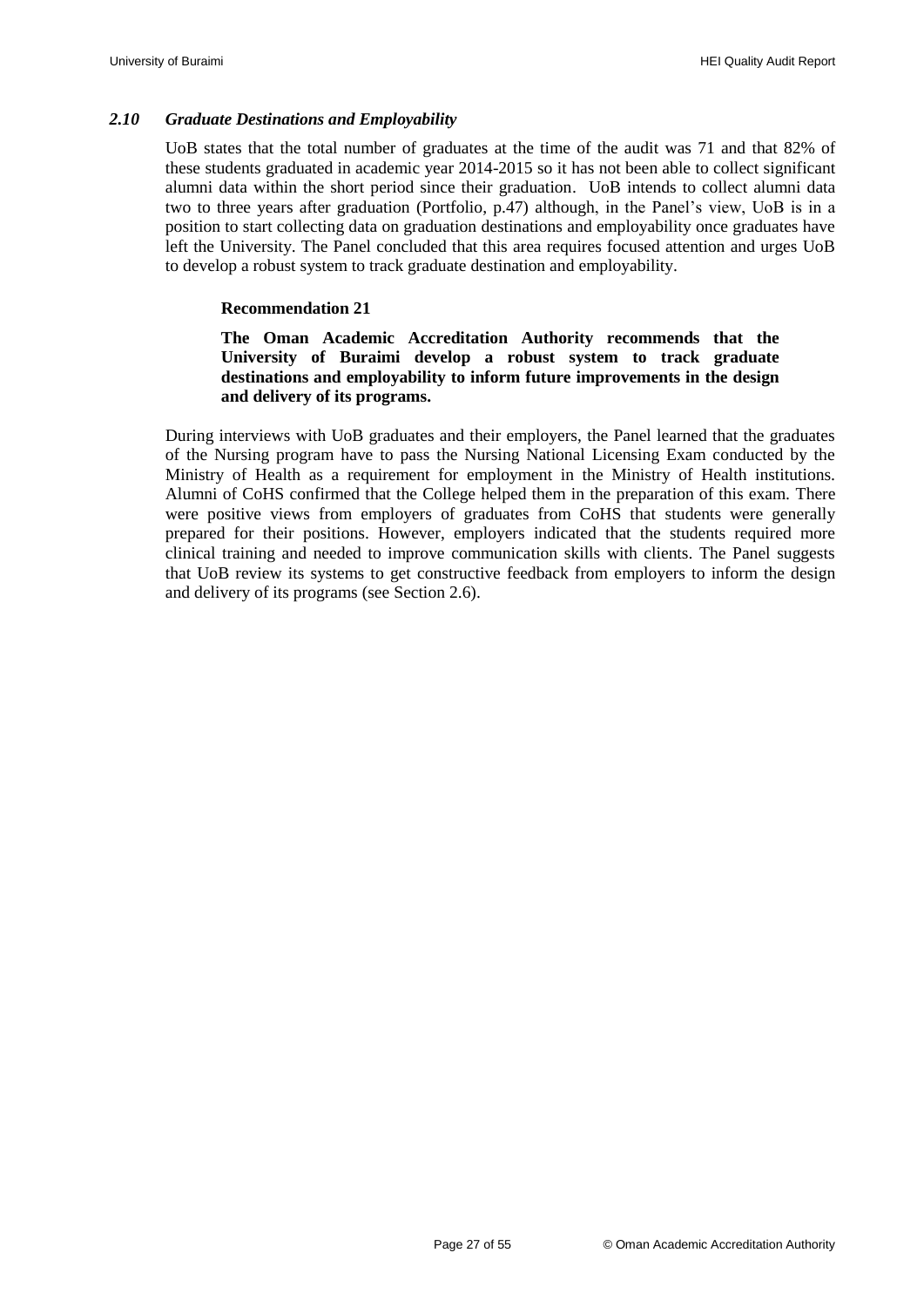#### <span id="page-28-0"></span>*2.10 Graduate Destinations and Employability*

UoB states that the total number of graduates at the time of the audit was 71 and that 82% of these students graduated in academic year 2014-2015 so it has not been able to collect significant alumni data within the short period since their graduation. UoB intends to collect alumni data two to three years after graduation (Portfolio, p.47) although, in the Panel"s view, UoB is in a position to start collecting data on graduation destinations and employability once graduates have left the University. The Panel concluded that this area requires focused attention and urges UoB to develop a robust system to track graduate destination and employability.

#### **Recommendation 21**

#### <span id="page-28-1"></span>**The Oman Academic Accreditation Authority recommends that the University of Buraimi develop a robust system to track graduate destinations and employability to inform future improvements in the design and delivery of its programs.**

During interviews with UoB graduates and their employers, the Panel learned that the graduates of the Nursing program have to pass the Nursing National Licensing Exam conducted by the Ministry of Health as a requirement for employment in the Ministry of Health institutions. Alumni of CoHS confirmed that the College helped them in the preparation of this exam. There were positive views from employers of graduates from CoHS that students were generally prepared for their positions. However, employers indicated that the students required more clinical training and needed to improve communication skills with clients. The Panel suggests that UoB review its systems to get constructive feedback from employers to inform the design and delivery of its programs (see Section 2.6).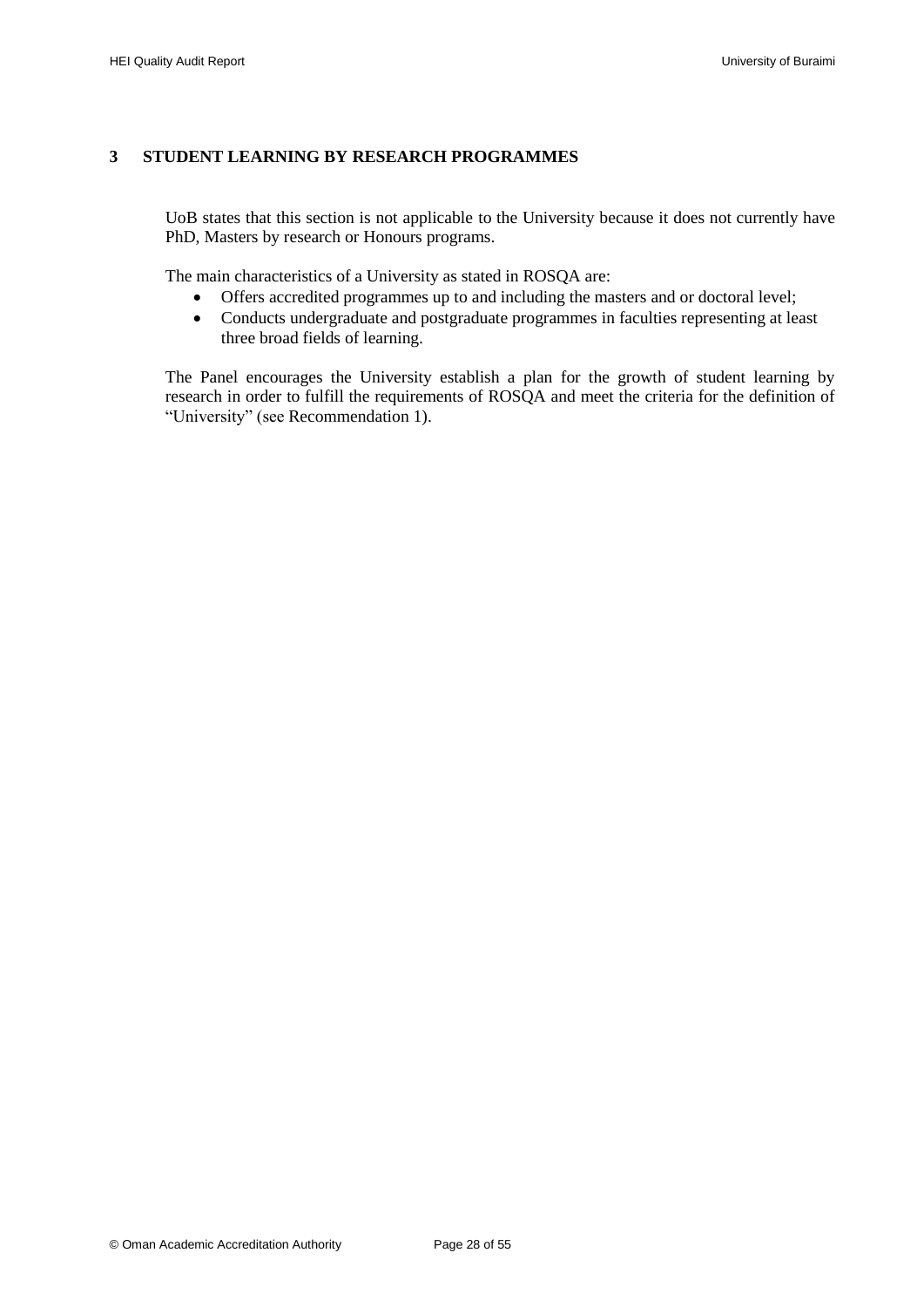#### <span id="page-29-0"></span>**3 STUDENT LEARNING BY RESEARCH PROGRAMMES**

UoB states that this section is not applicable to the University because it does not currently have PhD, Masters by research or Honours programs.

The main characteristics of a University as stated in ROSQA are:

- Offers accredited programmes up to and including the masters and or doctoral level;
- Conducts undergraduate and postgraduate programmes in faculties representing at least three broad fields of learning.

The Panel encourages the University establish a plan for the growth of student learning by research in order to fulfill the requirements of ROSQA and meet the criteria for the definition of "University" (see [Recommendation 1\)](#page-13-4).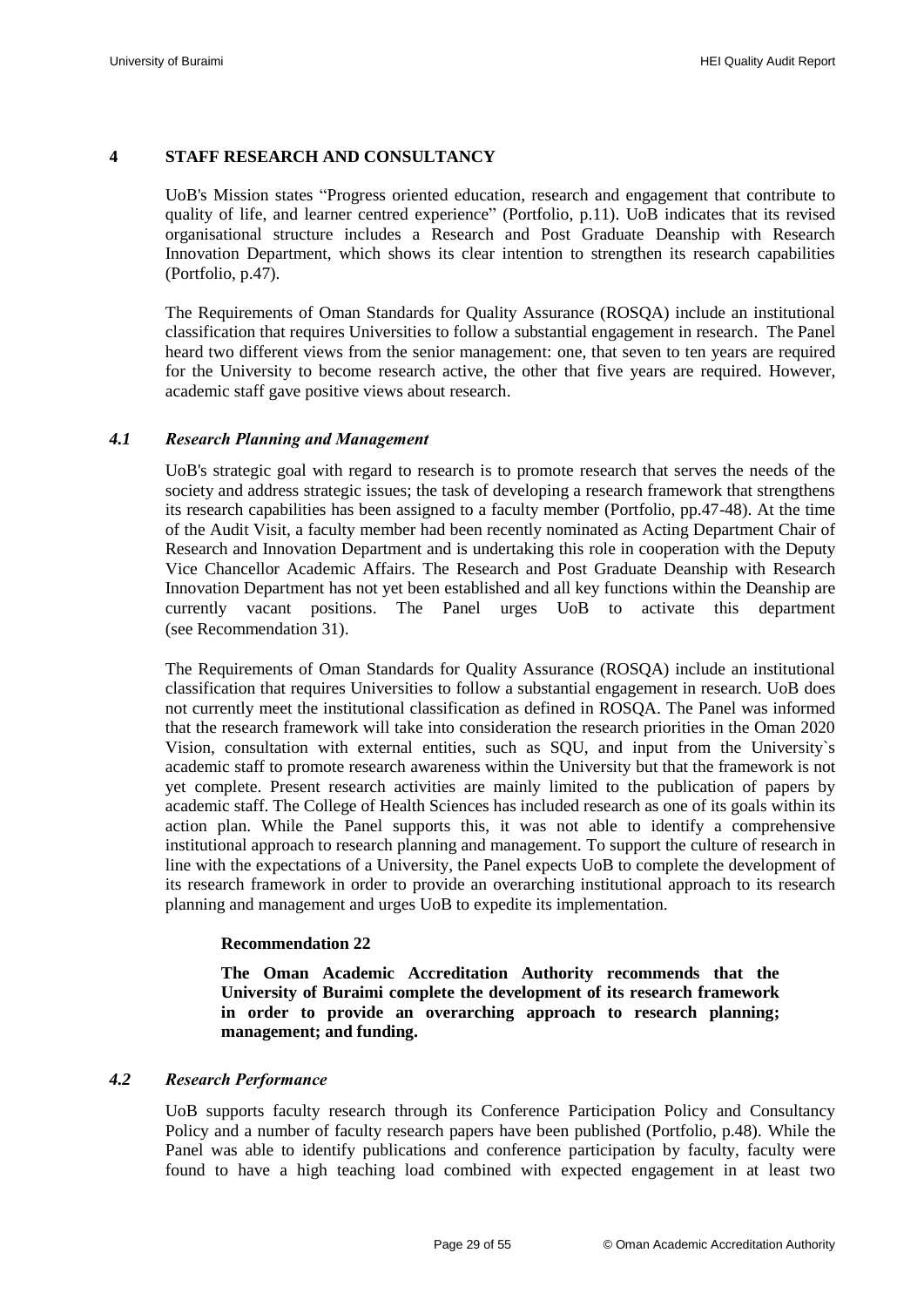#### <span id="page-30-0"></span>**4 STAFF RESEARCH AND CONSULTANCY**

UoB's Mission states "Progress oriented education, research and engagement that contribute to quality of life, and learner centred experience" (Portfolio, p.11). UoB indicates that its revised organisational structure includes a Research and Post Graduate Deanship with Research Innovation Department, which shows its clear intention to strengthen its research capabilities (Portfolio, p.47).

The Requirements of Oman Standards for Quality Assurance (ROSQA) include an institutional classification that requires Universities to follow a substantial engagement in research. The Panel heard two different views from the senior management: one, that seven to ten years are required for the University to become research active, the other that five years are required. However, academic staff gave positive views about research.

#### <span id="page-30-1"></span>*4.1 Research Planning and Management*

UoB's strategic goal with regard to research is to promote research that serves the needs of the society and address strategic issues; the task of developing a research framework that strengthens its research capabilities has been assigned to a faculty member (Portfolio, pp.47-48). At the time of the Audit Visit, a faculty member had been recently nominated as Acting Department Chair of Research and Innovation Department and is undertaking this role in cooperation with the Deputy Vice Chancellor Academic Affairs. The Research and Post Graduate Deanship with Research Innovation Department has not yet been established and all key functions within the Deanship are currently vacant positions. The Panel urges UoB to activate this department (see [Recommendation 31\)](#page-45-4).

The Requirements of Oman Standards for Quality Assurance (ROSQA) include an institutional classification that requires Universities to follow a substantial engagement in research. UoB does not currently meet the institutional classification as defined in ROSQA. The Panel was informed that the research framework will take into consideration the research priorities in the Oman 2020 Vision, consultation with external entities, such as SQU, and input from the University`s academic staff to promote research awareness within the University but that the framework is not yet complete. Present research activities are mainly limited to the publication of papers by academic staff. The College of Health Sciences has included research as one of its goals within its action plan. While the Panel supports this, it was not able to identify a comprehensive institutional approach to research planning and management. To support the culture of research in line with the expectations of a University, the Panel expects UoB to complete the development of its research framework in order to provide an overarching institutional approach to its research planning and management and urges UoB to expedite its implementation.

#### <span id="page-30-4"></span>**Recommendation 22**

**The Oman Academic Accreditation Authority recommends that the University of Buraimi complete the development of its research framework in order to provide an overarching approach to research planning; management; and funding.**

#### <span id="page-30-3"></span><span id="page-30-2"></span>*4.2 Research Performance*

UoB supports faculty research through its Conference Participation Policy and Consultancy Policy and a number of faculty research papers have been published (Portfolio, p.48). While the Panel was able to identify publications and conference participation by faculty, faculty were found to have a high teaching load combined with expected engagement in at least two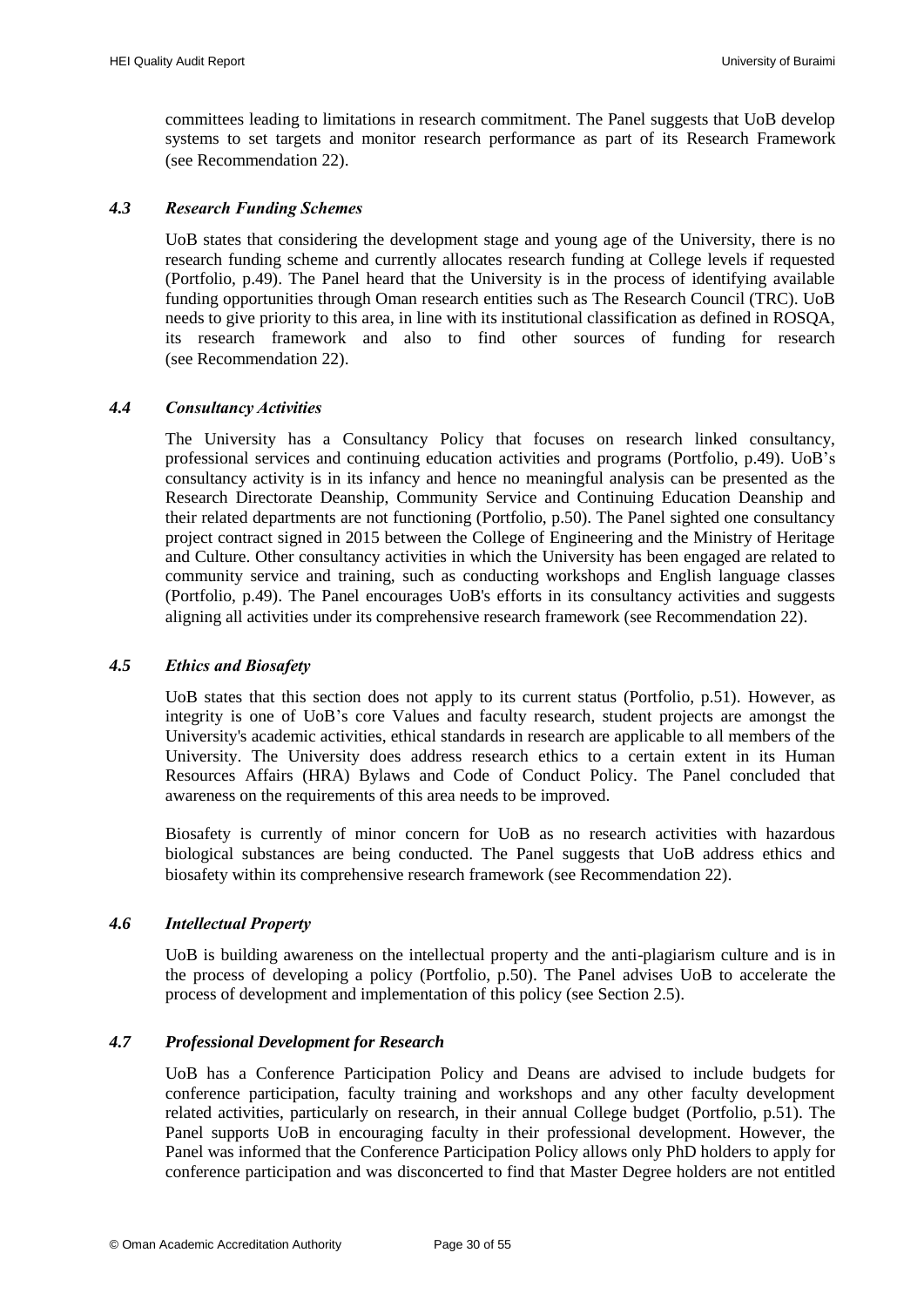committees leading to limitations in research commitment. The Panel suggests that UoB develop systems to set targets and monitor research performance as part of its Research Framework (see [Recommendation 22\)](#page-30-4).

#### <span id="page-31-0"></span>*4.3 Research Funding Schemes*

UoB states that considering the development stage and young age of the University, there is no research funding scheme and currently allocates research funding at College levels if requested (Portfolio, p.49). The Panel heard that the University is in the process of identifying available funding opportunities through Oman research entities such as The Research Council (TRC). UoB needs to give priority to this area, in line with its institutional classification as defined in ROSQA, its research framework and also to find other sources of funding for research (see [Recommendation 22\)](#page-30-4).

#### <span id="page-31-1"></span>*4.4 Consultancy Activities*

The University has a Consultancy Policy that focuses on research linked consultancy, professional services and continuing education activities and programs (Portfolio, p.49). UoB"s consultancy activity is in its infancy and hence no meaningful analysis can be presented as the Research Directorate Deanship, Community Service and Continuing Education Deanship and their related departments are not functioning (Portfolio, p.50). The Panel sighted one consultancy project contract signed in 2015 between the College of Engineering and the Ministry of Heritage and Culture. Other consultancy activities in which the University has been engaged are related to community service and training, such as conducting workshops and English language classes (Portfolio, p.49). The Panel encourages UoB's efforts in its consultancy activities and suggests aligning all activities under its comprehensive research framework (se[e Recommendation 22\)](#page-30-4).

#### <span id="page-31-2"></span>*4.5 Ethics and Biosafety*

UoB states that this section does not apply to its current status (Portfolio, p.51). However, as integrity is one of UoB"s core Values and faculty research, student projects are amongst the University's academic activities, ethical standards in research are applicable to all members of the University. The University does address research ethics to a certain extent in its Human Resources Affairs (HRA) Bylaws and Code of Conduct Policy. The Panel concluded that awareness on the requirements of this area needs to be improved.

Biosafety is currently of minor concern for UoB as no research activities with hazardous biological substances are being conducted. The Panel suggests that UoB address ethics and biosafety within its comprehensive research framework (see [Recommendation 22\)](#page-30-4).

#### <span id="page-31-3"></span>*4.6 Intellectual Property*

UoB is building awareness on the intellectual property and the anti-plagiarism culture and is in the process of developing a policy (Portfolio, p.50). The Panel advises UoB to accelerate the process of development and implementation of this policy (see Section 2.5).

#### <span id="page-31-4"></span>*4.7 Professional Development for Research*

UoB has a Conference Participation Policy and Deans are advised to include budgets for conference participation, faculty training and workshops and any other faculty development related activities, particularly on research, in their annual College budget (Portfolio, p.51). The Panel supports UoB in encouraging faculty in their professional development. However, the Panel was informed that the Conference Participation Policy allows only PhD holders to apply for conference participation and was disconcerted to find that Master Degree holders are not entitled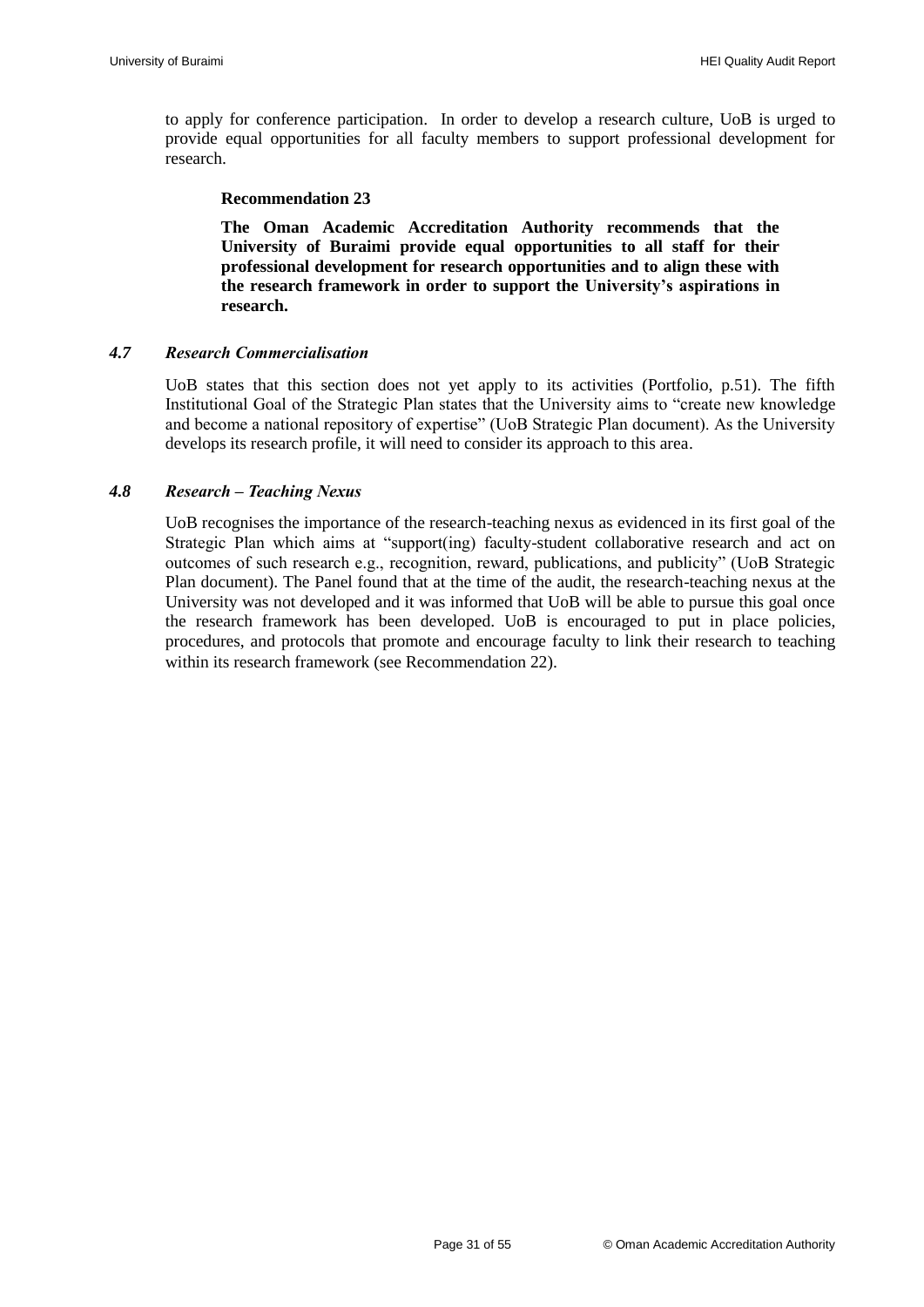to apply for conference participation. In order to develop a research culture, UoB is urged to provide equal opportunities for all faculty members to support professional development for research.

#### **Recommendation 23**

<span id="page-32-2"></span>**The Oman Academic Accreditation Authority recommends that the University of Buraimi provide equal opportunities to all staff for their professional development for research opportunities and to align these with the research framework in order to support the University's aspirations in research.**

#### <span id="page-32-0"></span>*4.7 Research Commercialisation*

UoB states that this section does not yet apply to its activities (Portfolio, p.51). The fifth Institutional Goal of the Strategic Plan states that the University aims to "create new knowledge and become a national repository of expertise" (UoB Strategic Plan document). As the University develops its research profile, it will need to consider its approach to this area.

#### <span id="page-32-1"></span>*4.8 Research – Teaching Nexus*

UoB recognises the importance of the research-teaching nexus as evidenced in its first goal of the Strategic Plan which aims at "support(ing) faculty-student collaborative research and act on outcomes of such research e.g., recognition, reward, publications, and publicity" (UoB Strategic Plan document). The Panel found that at the time of the audit, the research-teaching nexus at the University was not developed and it was informed that UoB will be able to pursue this goal once the research framework has been developed. UoB is encouraged to put in place policies, procedures, and protocols that promote and encourage faculty to link their research to teaching within its research framework (see [Recommendation 22\)](#page-30-4).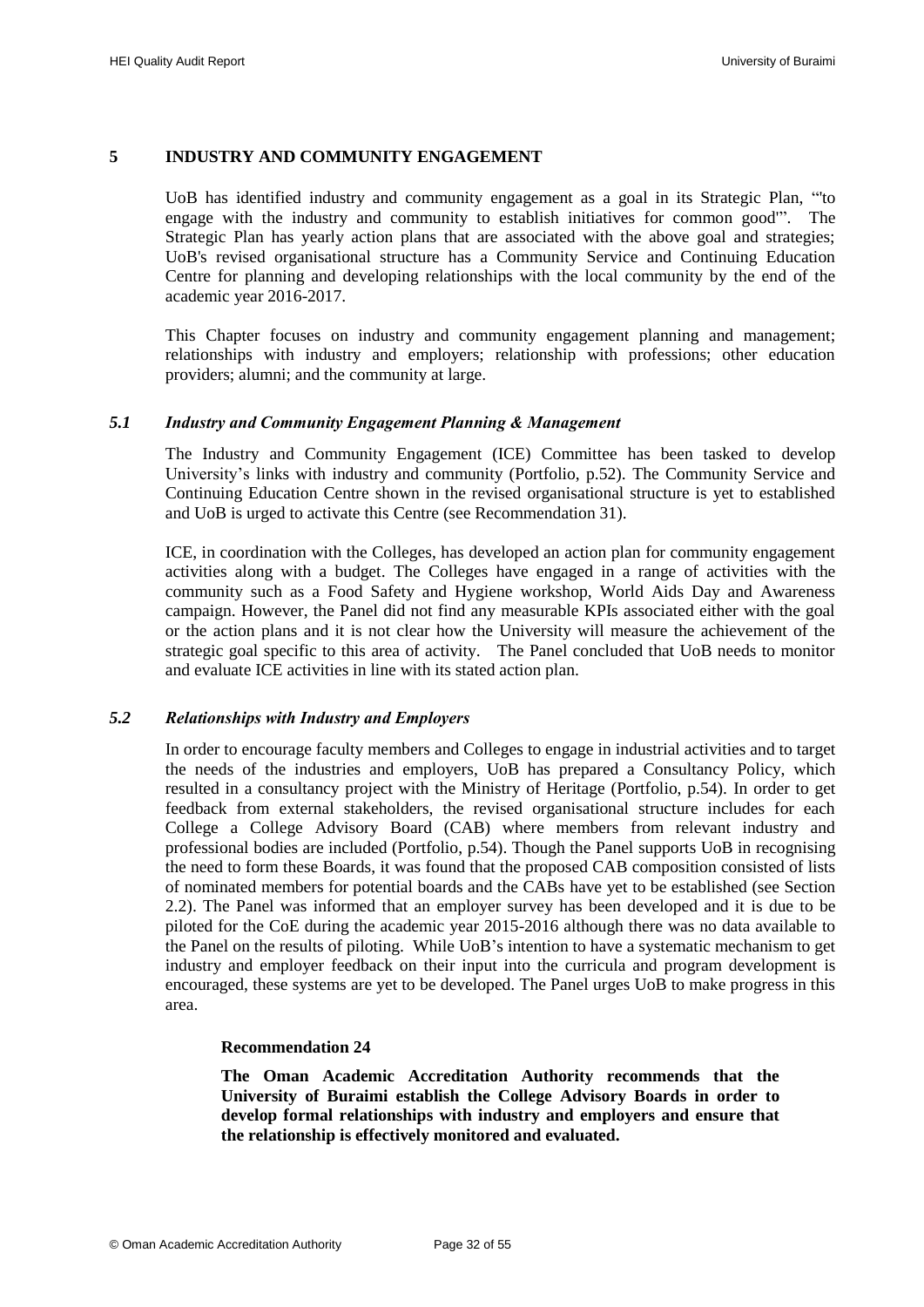#### <span id="page-33-0"></span>**5 INDUSTRY AND COMMUNITY ENGAGEMENT**

UoB has identified industry and community engagement as a goal in its Strategic Plan, "'to engage with the industry and community to establish initiatives for common good'". The Strategic Plan has yearly action plans that are associated with the above goal and strategies; UoB's revised organisational structure has a Community Service and Continuing Education Centre for planning and developing relationships with the local community by the end of the academic year 2016-2017.

This Chapter focuses on industry and community engagement planning and management; relationships with industry and employers; relationship with professions; other education providers; alumni; and the community at large.

#### <span id="page-33-1"></span>*5.1 Industry and Community Engagement Planning & Management*

The Industry and Community Engagement (ICE) Committee has been tasked to develop University's links with industry and community (Portfolio, p.52). The Community Service and Continuing Education Centre shown in the revised organisational structure is yet to established and UoB is urged to activate this Centre (see [Recommendation 31\)](#page-45-4).

ICE, in coordination with the Colleges, has developed an action plan for community engagement activities along with a budget. The Colleges have engaged in a range of activities with the community such as a Food Safety and Hygiene workshop, World Aids Day and Awareness campaign. However, the Panel did not find any measurable KPIs associated either with the goal or the action plans and it is not clear how the University will measure the achievement of the strategic goal specific to this area of activity. The Panel concluded that UoB needs to monitor and evaluate ICE activities in line with its stated action plan.

#### <span id="page-33-2"></span>*5.2 Relationships with Industry and Employers*

In order to encourage faculty members and Colleges to engage in industrial activities and to target the needs of the industries and employers, UoB has prepared a Consultancy Policy, which resulted in a consultancy project with the Ministry of Heritage (Portfolio, p.54). In order to get feedback from external stakeholders, the revised organisational structure includes for each College a College Advisory Board (CAB) where members from relevant industry and professional bodies are included (Portfolio, p.54). Though the Panel supports UoB in recognising the need to form these Boards, it was found that the proposed CAB composition consisted of lists of nominated members for potential boards and the CABs have yet to be established (see Section 2.2). The Panel was informed that an employer survey has been developed and it is due to be piloted for the CoE during the academic year 2015-2016 although there was no data available to the Panel on the results of piloting. While UoB"s intention to have a systematic mechanism to get industry and employer feedback on their input into the curricula and program development is encouraged, these systems are yet to be developed. The Panel urges UoB to make progress in this area.

#### **Recommendation 24**

<span id="page-33-3"></span>**The Oman Academic Accreditation Authority recommends that the University of Buraimi establish the College Advisory Boards in order to develop formal relationships with industry and employers and ensure that the relationship is effectively monitored and evaluated.**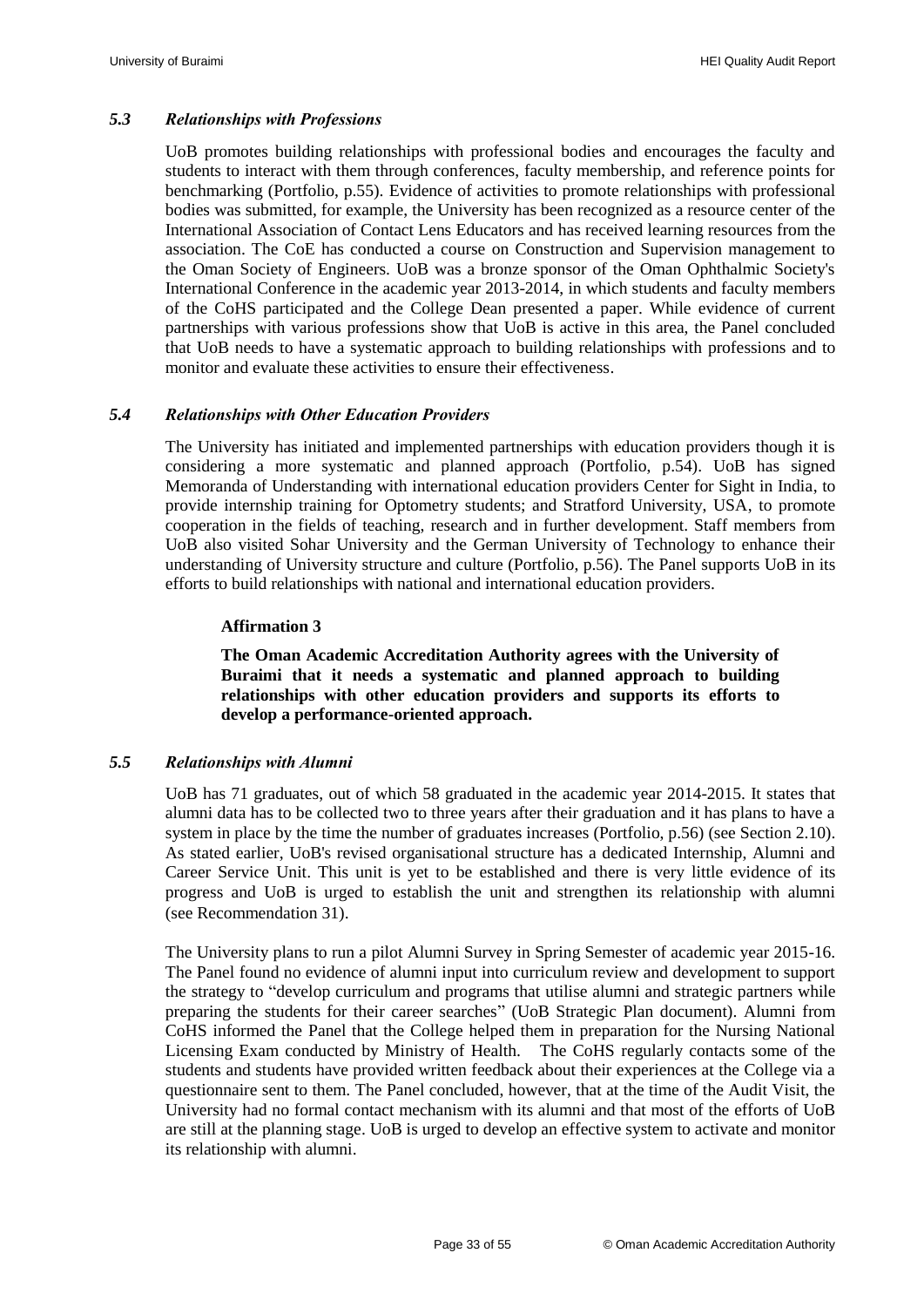#### <span id="page-34-0"></span>*5.3 Relationships with Professions*

UoB promotes building relationships with professional bodies and encourages the faculty and students to interact with them through conferences, faculty membership, and reference points for benchmarking (Portfolio, p.55). Evidence of activities to promote relationships with professional bodies was submitted, for example, the University has been recognized as a resource center of the International Association of Contact Lens Educators and has received learning resources from the association. The CoE has conducted a course on Construction and Supervision management to the Oman Society of Engineers. UoB was a bronze sponsor of the Oman Ophthalmic Society's International Conference in the academic year 2013-2014, in which students and faculty members of the CoHS participated and the College Dean presented a paper. While evidence of current partnerships with various professions show that UoB is active in this area, the Panel concluded that UoB needs to have a systematic approach to building relationships with professions and to monitor and evaluate these activities to ensure their effectiveness.

#### <span id="page-34-1"></span>*5.4 Relationships with Other Education Providers*

The University has initiated and implemented partnerships with education providers though it is considering a more systematic and planned approach (Portfolio, p.54). UoB has signed Memoranda of Understanding with international education providers Center for Sight in India, to provide internship training for Optometry students; and Stratford University, USA, to promote cooperation in the fields of teaching, research and in further development. Staff members from UoB also visited Sohar University and the German University of Technology to enhance their understanding of University structure and culture (Portfolio, p.56). The Panel supports UoB in its efforts to build relationships with national and international education providers.

#### **Affirmation 3**

**The Oman Academic Accreditation Authority agrees with the University of Buraimi that it needs a systematic and planned approach to building relationships with other education providers and supports its efforts to develop a performance-oriented approach.**

#### <span id="page-34-3"></span><span id="page-34-2"></span>*5.5 Relationships with Alumni*

UoB has 71 graduates, out of which 58 graduated in the academic year 2014-2015. It states that alumni data has to be collected two to three years after their graduation and it has plans to have a system in place by the time the number of graduates increases (Portfolio, p.56) (see Section 2.10). As stated earlier, UoB's revised organisational structure has a dedicated Internship, Alumni and Career Service Unit. This unit is yet to be established and there is very little evidence of its progress and UoB is urged to establish the unit and strengthen its relationship with alumni (see [Recommendation 31\)](#page-45-4).

The University plans to run a pilot Alumni Survey in Spring Semester of academic year 2015-16. The Panel found no evidence of alumni input into curriculum review and development to support the strategy to "develop curriculum and programs that utilise alumni and strategic partners while preparing the students for their career searches" (UoB Strategic Plan document). Alumni from CoHS informed the Panel that the College helped them in preparation for the Nursing National Licensing Exam conducted by Ministry of Health. The CoHS regularly contacts some of the students and students have provided written feedback about their experiences at the College via a questionnaire sent to them. The Panel concluded, however, that at the time of the Audit Visit, the University had no formal contact mechanism with its alumni and that most of the efforts of UoB are still at the planning stage. UoB is urged to develop an effective system to activate and monitor its relationship with alumni.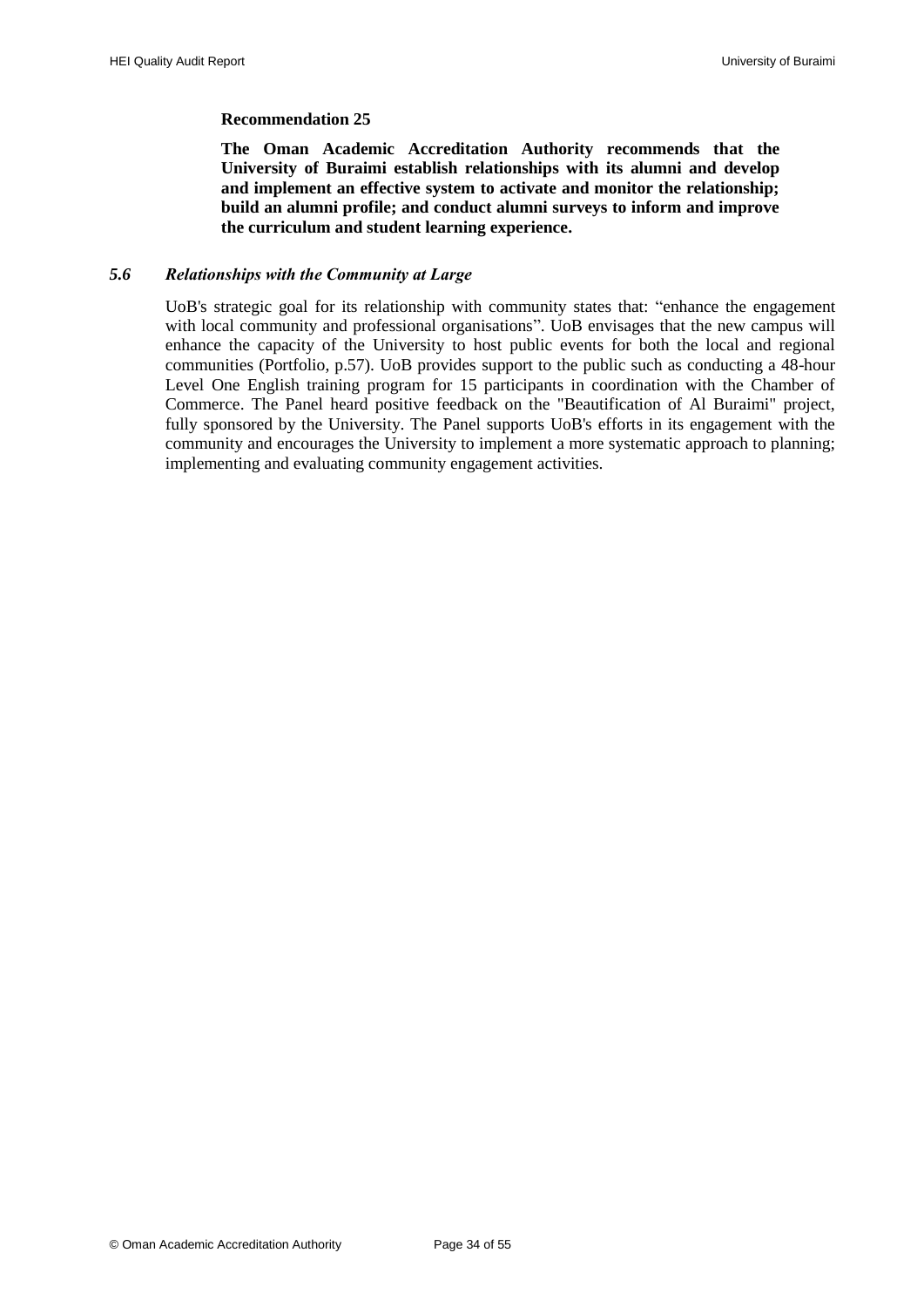#### **Recommendation 25**

<span id="page-35-1"></span>**The Oman Academic Accreditation Authority recommends that the University of Buraimi establish relationships with its alumni and develop and implement an effective system to activate and monitor the relationship; build an alumni profile; and conduct alumni surveys to inform and improve the curriculum and student learning experience.**

#### <span id="page-35-0"></span>*5.6 Relationships with the Community at Large*

UoB's strategic goal for its relationship with community states that: "enhance the engagement with local community and professional organisations". UoB envisages that the new campus will enhance the capacity of the University to host public events for both the local and regional communities (Portfolio, p.57). UoB provides support to the public such as conducting a 48-hour Level One English training program for 15 participants in coordination with the Chamber of Commerce. The Panel heard positive feedback on the "Beautification of Al Buraimi" project, fully sponsored by the University. The Panel supports UoB's efforts in its engagement with the community and encourages the University to implement a more systematic approach to planning; implementing and evaluating community engagement activities.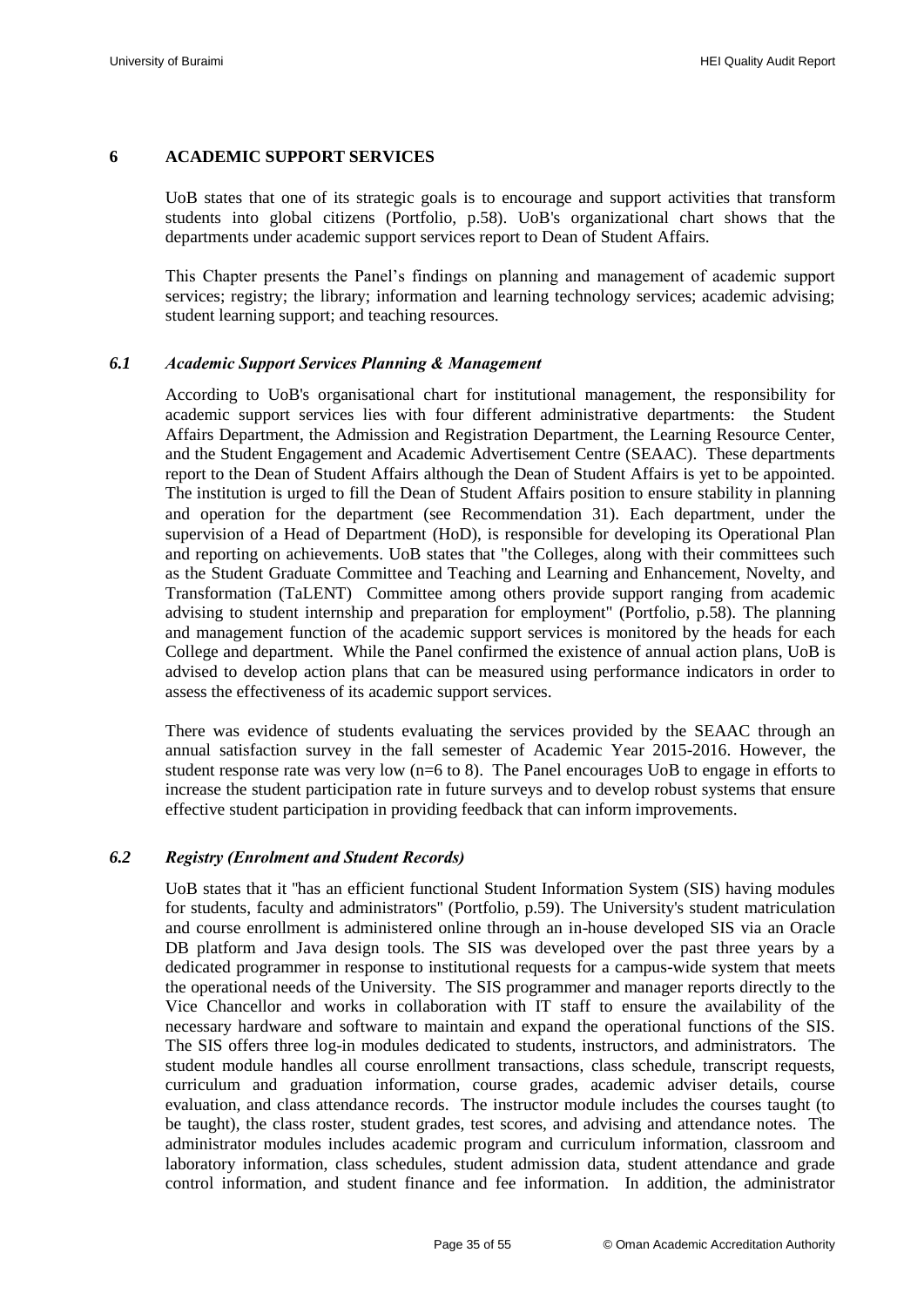#### <span id="page-36-0"></span>**6 ACADEMIC SUPPORT SERVICES**

UoB states that one of its strategic goals is to encourage and support activities that transform students into global citizens (Portfolio, p.58). UoB's organizational chart shows that the departments under academic support services report to Dean of Student Affairs.

This Chapter presents the Panel"s findings on planning and management of academic support services; registry; the library; information and learning technology services; academic advising; student learning support; and teaching resources.

#### <span id="page-36-1"></span>*6.1 Academic Support Services Planning & Management*

According to UoB's organisational chart for institutional management, the responsibility for academic support services lies with four different administrative departments: the Student Affairs Department, the Admission and Registration Department, the Learning Resource Center, and the Student Engagement and Academic Advertisement Centre (SEAAC). These departments report to the Dean of Student Affairs although the Dean of Student Affairs is yet to be appointed. The institution is urged to fill the Dean of Student Affairs position to ensure stability in planning and operation for the department (see [Recommendation 31\)](#page-45-4). Each department, under the supervision of a Head of Department (HoD), is responsible for developing its Operational Plan and reporting on achievements. UoB states that "the Colleges, along with their committees such as the Student Graduate Committee and Teaching and Learning and Enhancement, Novelty, and Transformation (TaLENT) Committee among others provide support ranging from academic advising to student internship and preparation for employment" (Portfolio, p.58). The planning and management function of the academic support services is monitored by the heads for each College and department. While the Panel confirmed the existence of annual action plans, UoB is advised to develop action plans that can be measured using performance indicators in order to assess the effectiveness of its academic support services.

There was evidence of students evaluating the services provided by the SEAAC through an annual satisfaction survey in the fall semester of Academic Year 2015-2016. However, the student response rate was very low (n=6 to 8). The Panel encourages UoB to engage in efforts to increase the student participation rate in future surveys and to develop robust systems that ensure effective student participation in providing feedback that can inform improvements.

#### <span id="page-36-2"></span>*6.2 Registry (Enrolment and Student Records)*

UoB states that it ''has an efficient functional Student Information System (SIS) having modules for students, faculty and administrators'' (Portfolio, p.59). The University's student matriculation and course enrollment is administered online through an in-house developed SIS via an Oracle DB platform and Java design tools. The SIS was developed over the past three years by a dedicated programmer in response to institutional requests for a campus-wide system that meets the operational needs of the University. The SIS programmer and manager reports directly to the Vice Chancellor and works in collaboration with IT staff to ensure the availability of the necessary hardware and software to maintain and expand the operational functions of the SIS. The SIS offers three log-in modules dedicated to students, instructors, and administrators. The student module handles all course enrollment transactions, class schedule, transcript requests, curriculum and graduation information, course grades, academic adviser details, course evaluation, and class attendance records. The instructor module includes the courses taught (to be taught), the class roster, student grades, test scores, and advising and attendance notes. The administrator modules includes academic program and curriculum information, classroom and laboratory information, class schedules, student admission data, student attendance and grade control information, and student finance and fee information. In addition, the administrator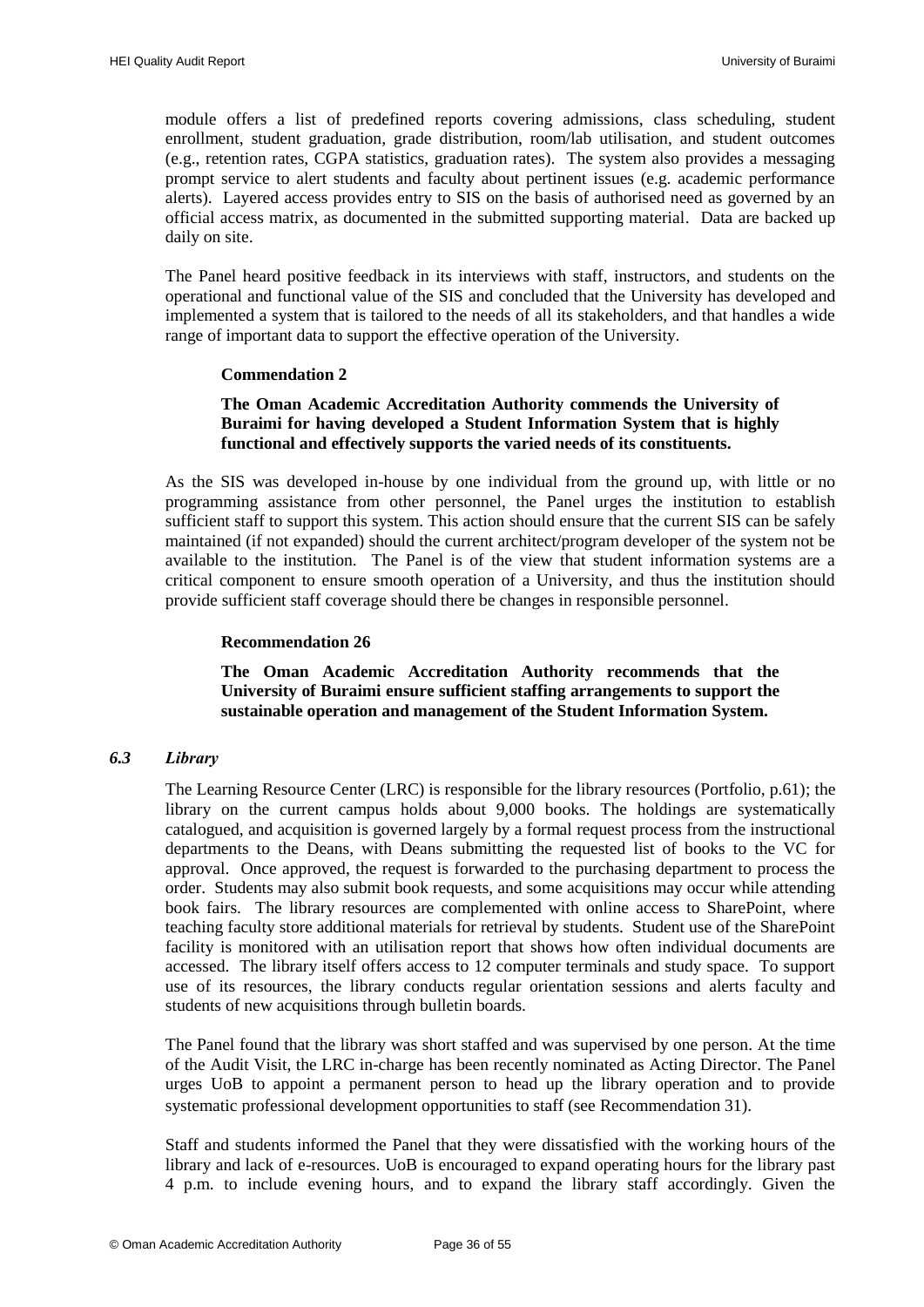module offers a list of predefined reports covering admissions, class scheduling, student enrollment, student graduation, grade distribution, room/lab utilisation, and student outcomes (e.g., retention rates, CGPA statistics, graduation rates). The system also provides a messaging prompt service to alert students and faculty about pertinent issues (e.g. academic performance alerts). Layered access provides entry to SIS on the basis of authorised need as governed by an official access matrix, as documented in the submitted supporting material. Data are backed up daily on site.

<span id="page-37-3"></span>The Panel heard positive feedback in its interviews with staff, instructors, and students on the operational and functional value of the SIS and concluded that the University has developed and implemented a system that is tailored to the needs of all its stakeholders, and that handles a wide range of important data to support the effective operation of the University.

#### **Commendation 2**

#### **The Oman Academic Accreditation Authority commends the University of Buraimi for having developed a Student Information System that is highly functional and effectively supports the varied needs of its constituents.**

<span id="page-37-1"></span>As the SIS was developed in-house by one individual from the ground up, with little or no programming assistance from other personnel, the Panel urges the institution to establish sufficient staff to support this system. This action should ensure that the current SIS can be safely maintained (if not expanded) should the current architect/program developer of the system not be available to the institution. The Panel is of the view that student information systems are a critical component to ensure smooth operation of a University, and thus the institution should provide sufficient staff coverage should there be changes in responsible personnel.

#### **Recommendation 26**

**The Oman Academic Accreditation Authority recommends that the University of Buraimi ensure sufficient staffing arrangements to support the sustainable operation and management of the Student Information System.**

#### <span id="page-37-4"></span><span id="page-37-2"></span><span id="page-37-0"></span>*6.3 Library*

The Learning Resource Center (LRC) is responsible for the library resources (Portfolio, p.61); the library on the current campus holds about 9,000 books. The holdings are systematically catalogued, and acquisition is governed largely by a formal request process from the instructional departments to the Deans, with Deans submitting the requested list of books to the VC for approval. Once approved, the request is forwarded to the purchasing department to process the order. Students may also submit book requests, and some acquisitions may occur while attending book fairs. The library resources are complemented with online access to SharePoint, where teaching faculty store additional materials for retrieval by students. Student use of the SharePoint facility is monitored with an utilisation report that shows how often individual documents are accessed. The library itself offers access to 12 computer terminals and study space. To support use of its resources, the library conducts regular orientation sessions and alerts faculty and students of new acquisitions through bulletin boards.

The Panel found that the library was short staffed and was supervised by one person. At the time of the Audit Visit, the LRC in-charge has been recently nominated as Acting Director. The Panel urges UoB to appoint a permanent person to head up the library operation and to provide systematic professional development opportunities to staff (see [Recommendation 31\)](#page-45-4).

Staff and students informed the Panel that they were dissatisfied with the working hours of the library and lack of e-resources. UoB is encouraged to expand operating hours for the library past 4 p.m. to include evening hours, and to expand the library staff accordingly. Given the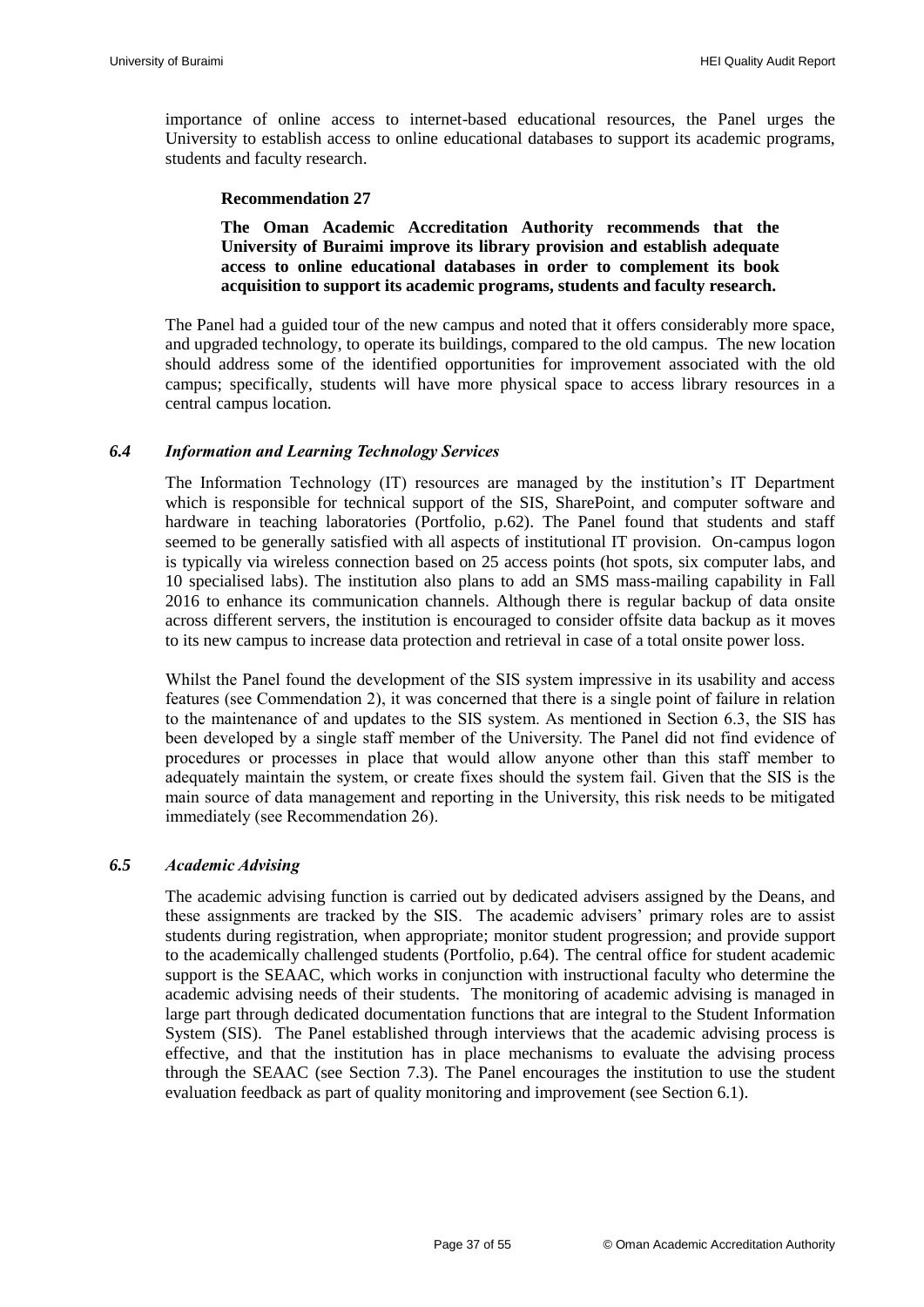importance of online access to internet-based educational resources, the Panel urges the University to establish access to online educational databases to support its academic programs, students and faculty research.

#### **Recommendation 27**

<span id="page-38-2"></span>**The Oman Academic Accreditation Authority recommends that the University of Buraimi improve its library provision and establish adequate access to online educational databases in order to complement its book acquisition to support its academic programs, students and faculty research.**

The Panel had a guided tour of the new campus and noted that it offers considerably more space, and upgraded technology, to operate its buildings, compared to the old campus. The new location should address some of the identified opportunities for improvement associated with the old campus; specifically, students will have more physical space to access library resources in a central campus location.

#### <span id="page-38-0"></span>*6.4 Information and Learning Technology Services*

The Information Technology (IT) resources are managed by the institution"s IT Department which is responsible for technical support of the SIS, SharePoint, and computer software and hardware in teaching laboratories (Portfolio, p.62). The Panel found that students and staff seemed to be generally satisfied with all aspects of institutional IT provision. On-campus logon is typically via wireless connection based on 25 access points (hot spots, six computer labs, and 10 specialised labs). The institution also plans to add an SMS mass-mailing capability in Fall 2016 to enhance its communication channels. Although there is regular backup of data onsite across different servers, the institution is encouraged to consider offsite data backup as it moves to its new campus to increase data protection and retrieval in case of a total onsite power loss.

Whilst the Panel found the development of the SIS system impressive in its usability and access features (see [Commendation 2\)](#page-37-3), it was concerned that there is a single point of failure in relation to the maintenance of and updates to the SIS system. As mentioned in Section 6.3, the SIS has been developed by a single staff member of the University. The Panel did not find evidence of procedures or processes in place that would allow anyone other than this staff member to adequately maintain the system, or create fixes should the system fail. Given that the SIS is the main source of data management and reporting in the University, this risk needs to be mitigated immediately (se[e Recommendation 26\)](#page-37-4).

#### <span id="page-38-1"></span>*6.5 Academic Advising*

The academic advising function is carried out by dedicated advisers assigned by the Deans, and these assignments are tracked by the SIS. The academic advisers' primary roles are to assist students during registration, when appropriate; monitor student progression; and provide support to the academically challenged students (Portfolio, p.64). The central office for student academic support is the SEAAC, which works in conjunction with instructional faculty who determine the academic advising needs of their students. The monitoring of academic advising is managed in large part through dedicated documentation functions that are integral to the Student Information System (SIS). The Panel established through interviews that the academic advising process is effective, and that the institution has in place mechanisms to evaluate the advising process through the SEAAC (see Section 7.3). The Panel encourages the institution to use the student evaluation feedback as part of quality monitoring and improvement (see Section 6.1).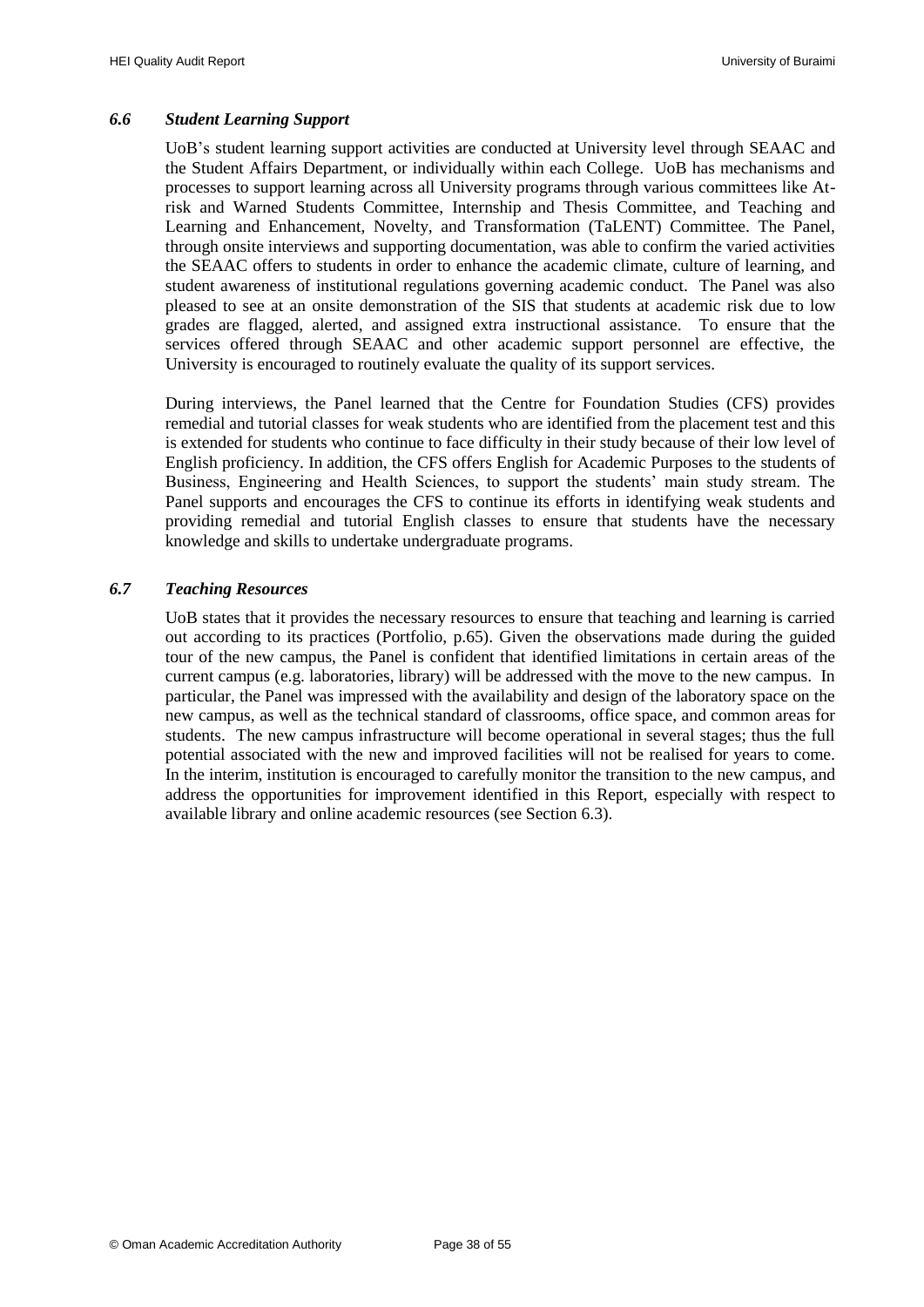#### <span id="page-39-0"></span>*6.6 Student Learning Support*

UoB"s student learning support activities are conducted at University level through SEAAC and the Student Affairs Department, or individually within each College. UoB has mechanisms and processes to support learning across all University programs through various committees like Atrisk and Warned Students Committee, Internship and Thesis Committee, and Teaching and Learning and Enhancement, Novelty, and Transformation (TaLENT) Committee. The Panel, through onsite interviews and supporting documentation, was able to confirm the varied activities the SEAAC offers to students in order to enhance the academic climate, culture of learning, and student awareness of institutional regulations governing academic conduct. The Panel was also pleased to see at an onsite demonstration of the SIS that students at academic risk due to low grades are flagged, alerted, and assigned extra instructional assistance. To ensure that the services offered through SEAAC and other academic support personnel are effective, the University is encouraged to routinely evaluate the quality of its support services.

During interviews, the Panel learned that the Centre for Foundation Studies (CFS) provides remedial and tutorial classes for weak students who are identified from the placement test and this is extended for students who continue to face difficulty in their study because of their low level of English proficiency. In addition, the CFS offers English for Academic Purposes to the students of Business, Engineering and Health Sciences, to support the students" main study stream. The Panel supports and encourages the CFS to continue its efforts in identifying weak students and providing remedial and tutorial English classes to ensure that students have the necessary knowledge and skills to undertake undergraduate programs.

#### <span id="page-39-1"></span>*6.7 Teaching Resources*

UoB states that it provides the necessary resources to ensure that teaching and learning is carried out according to its practices (Portfolio, p.65). Given the observations made during the guided tour of the new campus, the Panel is confident that identified limitations in certain areas of the current campus (e.g. laboratories, library) will be addressed with the move to the new campus. In particular, the Panel was impressed with the availability and design of the laboratory space on the new campus, as well as the technical standard of classrooms, office space, and common areas for students. The new campus infrastructure will become operational in several stages; thus the full potential associated with the new and improved facilities will not be realised for years to come. In the interim, institution is encouraged to carefully monitor the transition to the new campus, and address the opportunities for improvement identified in this Report, especially with respect to available library and online academic resources (see Section 6.3).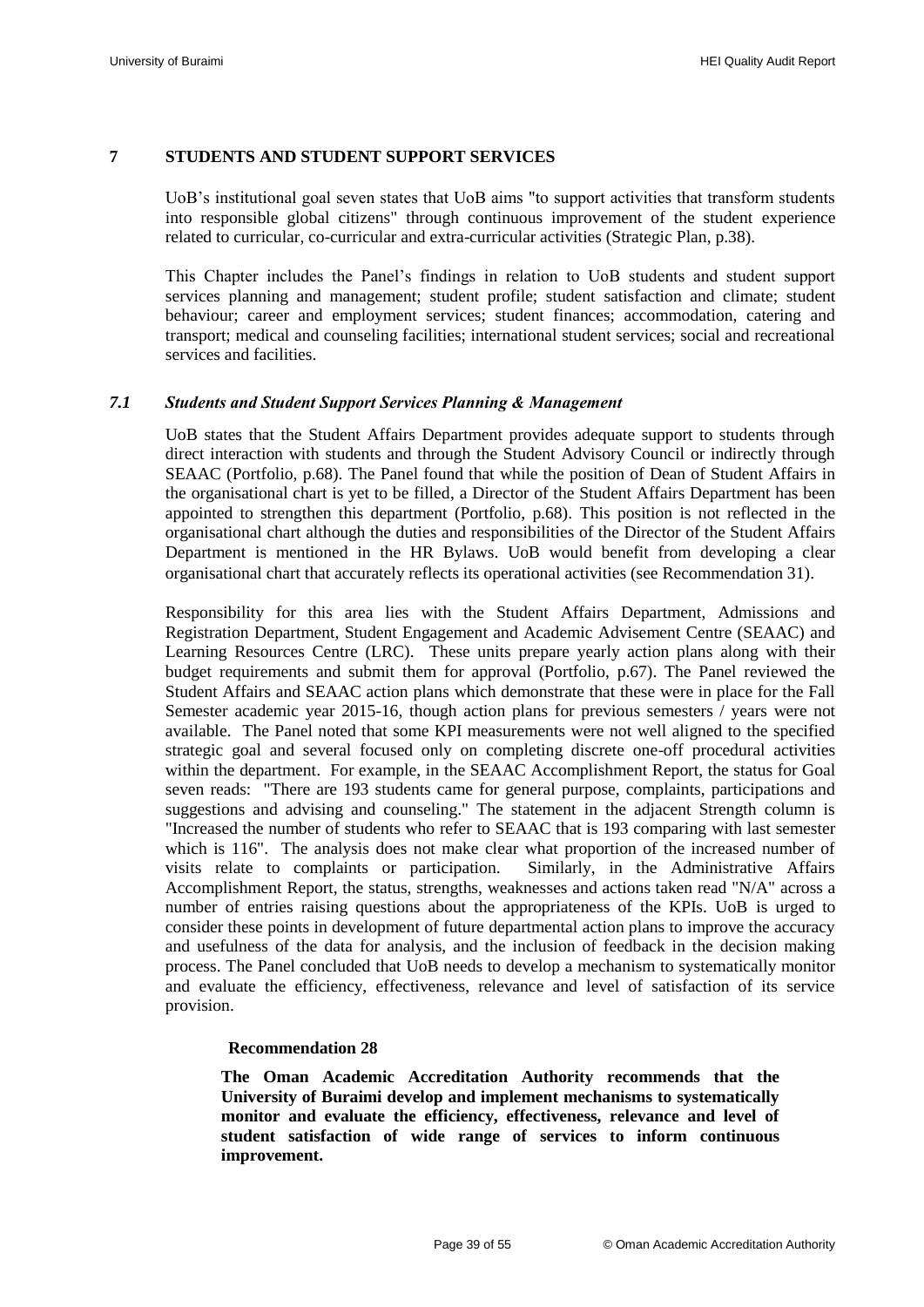#### <span id="page-40-0"></span>**7 STUDENTS AND STUDENT SUPPORT SERVICES**

UoB"s institutional goal seven states that UoB aims "to support activities that transform students into responsible global citizens" through continuous improvement of the student experience related to curricular, co-curricular and extra-curricular activities (Strategic Plan, p.38).

This Chapter includes the Panel"s findings in relation to UoB students and student support services planning and management; student profile; student satisfaction and climate; student behaviour; career and employment services; student finances; accommodation, catering and transport; medical and counseling facilities; international student services; social and recreational services and facilities.

#### <span id="page-40-1"></span>*7.1 Students and Student Support Services Planning & Management*

UoB states that the Student Affairs Department provides adequate support to students through direct interaction with students and through the Student Advisory Council or indirectly through SEAAC (Portfolio, p.68). The Panel found that while the position of Dean of Student Affairs in the organisational chart is yet to be filled, a Director of the Student Affairs Department has been appointed to strengthen this department (Portfolio, p.68). This position is not reflected in the organisational chart although the duties and responsibilities of the Director of the Student Affairs Department is mentioned in the HR Bylaws. UoB would benefit from developing a clear organisational chart that accurately reflects its operational activities (see [Recommendation 31\)](#page-45-4).

Responsibility for this area lies with the Student Affairs Department, Admissions and Registration Department, Student Engagement and Academic Advisement Centre (SEAAC) and Learning Resources Centre (LRC). These units prepare yearly action plans along with their budget requirements and submit them for approval (Portfolio, p.67). The Panel reviewed the Student Affairs and SEAAC action plans which demonstrate that these were in place for the Fall Semester academic year 2015-16, though action plans for previous semesters / years were not available. The Panel noted that some KPI measurements were not well aligned to the specified strategic goal and several focused only on completing discrete one-off procedural activities within the department. For example, in the SEAAC Accomplishment Report, the status for Goal seven reads: "There are 193 students came for general purpose, complaints, participations and suggestions and advising and counseling." The statement in the adjacent Strength column is "Increased the number of students who refer to SEAAC that is 193 comparing with last semester which is 116". The analysis does not make clear what proportion of the increased number of visits relate to complaints or participation. Similarly, in the Administrative Affairs Accomplishment Report, the status, strengths, weaknesses and actions taken read "N/A" across a number of entries raising questions about the appropriateness of the KPIs. UoB is urged to consider these points in development of future departmental action plans to improve the accuracy and usefulness of the data for analysis, and the inclusion of feedback in the decision making process. The Panel concluded that UoB needs to develop a mechanism to systematically monitor and evaluate the efficiency, effectiveness, relevance and level of satisfaction of its service provision.

#### **Recommendation 28**

<span id="page-40-3"></span><span id="page-40-2"></span>**The Oman Academic Accreditation Authority recommends that the University of Buraimi develop and implement mechanisms to systematically monitor and evaluate the efficiency, effectiveness, relevance and level of student satisfaction of wide range of services to inform continuous improvement.**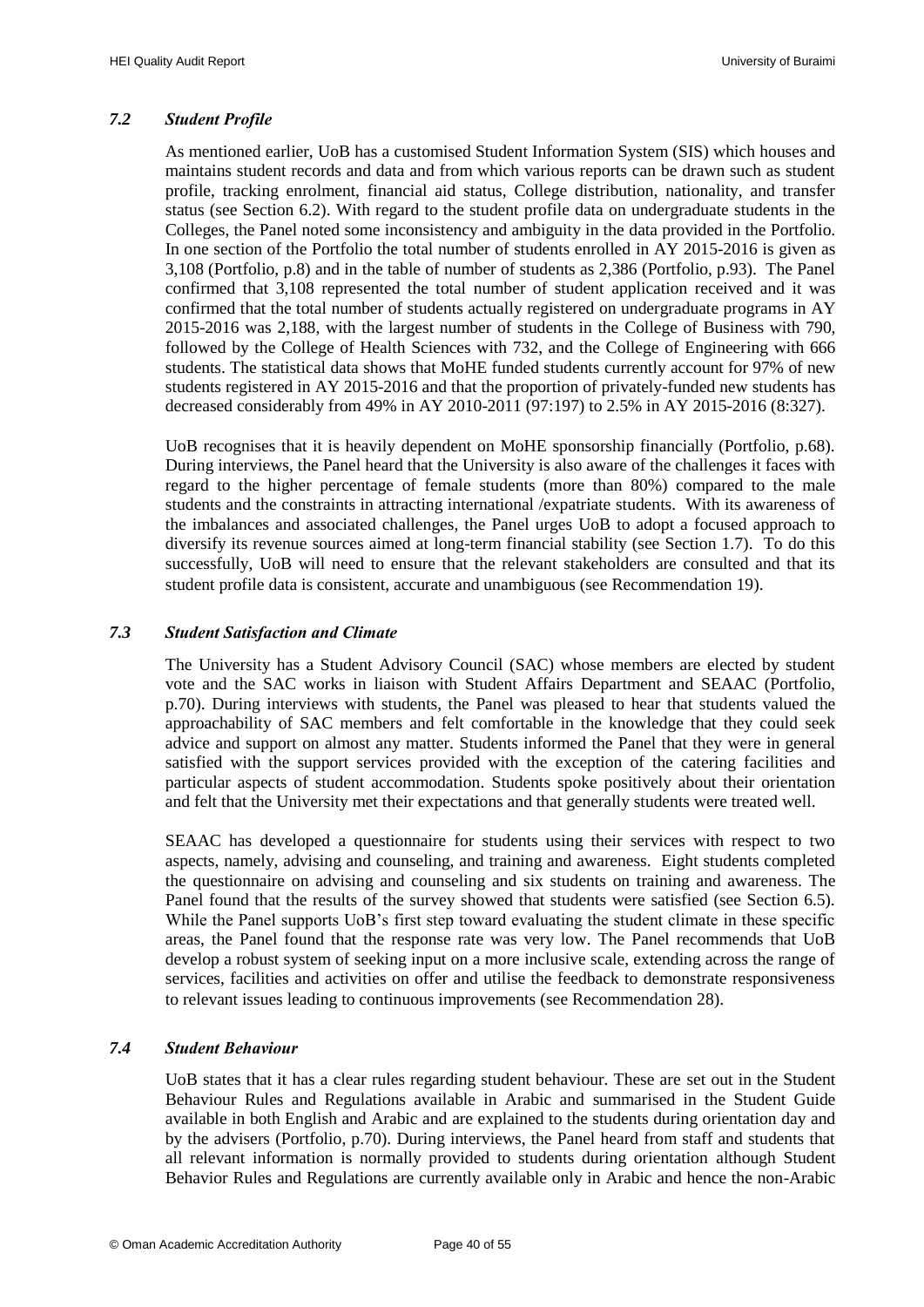#### <span id="page-41-0"></span>*7.2 Student Profile*

As mentioned earlier, UoB has a customised Student Information System (SIS) which houses and maintains student records and data and from which various reports can be drawn such as student profile, tracking enrolment, financial aid status, College distribution, nationality, and transfer status (see Section 6.2). With regard to the student profile data on undergraduate students in the Colleges, the Panel noted some inconsistency and ambiguity in the data provided in the Portfolio. In one section of the Portfolio the total number of students enrolled in AY 2015-2016 is given as 3,108 (Portfolio, p.8) and in the table of number of students as 2,386 (Portfolio, p.93). The Panel confirmed that 3,108 represented the total number of student application received and it was confirmed that the total number of students actually registered on undergraduate programs in AY 2015-2016 was 2,188, with the largest number of students in the College of Business with 790, followed by the College of Health Sciences with 732, and the College of Engineering with 666 students. The statistical data shows that MoHE funded students currently account for 97% of new students registered in AY 2015-2016 and that the proportion of privately-funded new students has decreased considerably from 49% in AY 2010-2011 (97:197) to 2.5% in AY 2015-2016 (8:327).

UoB recognises that it is heavily dependent on MoHE sponsorship financially (Portfolio, p.68). During interviews, the Panel heard that the University is also aware of the challenges it faces with regard to the higher percentage of female students (more than 80%) compared to the male students and the constraints in attracting international /expatriate students. With its awareness of the imbalances and associated challenges, the Panel urges UoB to adopt a focused approach to diversify its revenue sources aimed at long-term financial stability (see Section 1.7). To do this successfully, UoB will need to ensure that the relevant stakeholders are consulted and that its student profile data is consistent, accurate and unambiguous (see [Recommendation 19\)](#page-27-4).

#### <span id="page-41-1"></span>*7.3 Student Satisfaction and Climate*

The University has a Student Advisory Council (SAC) whose members are elected by student vote and the SAC works in liaison with Student Affairs Department and SEAAC (Portfolio, p.70). During interviews with students, the Panel was pleased to hear that students valued the approachability of SAC members and felt comfortable in the knowledge that they could seek advice and support on almost any matter. Students informed the Panel that they were in general satisfied with the support services provided with the exception of the catering facilities and particular aspects of student accommodation. Students spoke positively about their orientation and felt that the University met their expectations and that generally students were treated well.

SEAAC has developed a questionnaire for students using their services with respect to two aspects, namely, advising and counseling, and training and awareness. Eight students completed the questionnaire on advising and counseling and six students on training and awareness. The Panel found that the results of the survey showed that students were satisfied (see Section 6.5). While the Panel supports UoB's first step toward evaluating the student climate in these specific areas, the Panel found that the response rate was very low. The Panel recommends that UoB develop a robust system of seeking input on a more inclusive scale, extending across the range of services, facilities and activities on offer and utilise the feedback to demonstrate responsiveness to relevant issues leading to continuous improvements (se[e Recommendation 28\)](#page-40-3).

# <span id="page-41-2"></span>*7.4 Student Behaviour*

UoB states that it has a clear rules regarding student behaviour. These are set out in the Student Behaviour Rules and Regulations available in Arabic and summarised in the Student Guide available in both English and Arabic and are explained to the students during orientation day and by the advisers (Portfolio, p.70). During interviews, the Panel heard from staff and students that all relevant information is normally provided to students during orientation although Student Behavior Rules and Regulations are currently available only in Arabic and hence the non-Arabic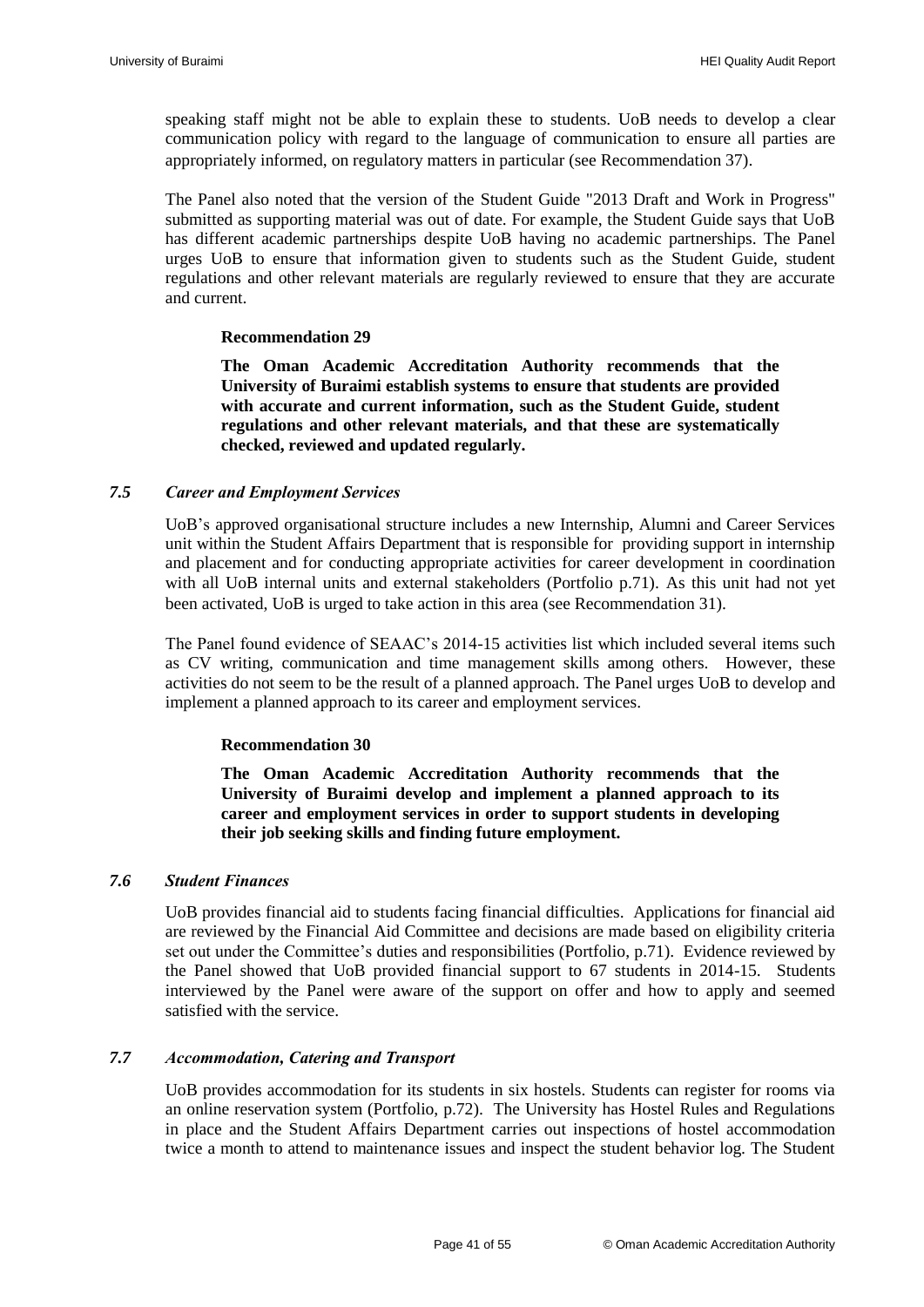speaking staff might not be able to explain these to students. UoB needs to develop a clear communication policy with regard to the language of communication to ensure all parties are appropriately informed, on regulatory matters in particular (see [Recommendation 37\)](#page-51-4).

The Panel also noted that the version of the Student Guide "2013 Draft and Work in Progress" submitted as supporting material was out of date. For example, the Student Guide says that UoB has different academic partnerships despite UoB having no academic partnerships. The Panel urges UoB to ensure that information given to students such as the Student Guide, student regulations and other relevant materials are regularly reviewed to ensure that they are accurate and current.

#### **Recommendation 29**

<span id="page-42-3"></span>**The Oman Academic Accreditation Authority recommends that the University of Buraimi establish systems to ensure that students are provided with accurate and current information, such as the Student Guide, student regulations and other relevant materials, and that these are systematically checked, reviewed and updated regularly.**

#### <span id="page-42-0"></span>*7.5 Career and Employment Services*

UoB"s approved organisational structure includes a new Internship, Alumni and Career Services unit within the Student Affairs Department that is responsible for providing support in internship and placement and for conducting appropriate activities for career development in coordination with all UoB internal units and external stakeholders (Portfolio p.71). As this unit had not yet been activated, UoB is urged to take action in this area (see [Recommendation 31\)](#page-45-4).

The Panel found evidence of SEAAC"s 2014-15 activities list which included several items such as CV writing, communication and time management skills among others. However, these activities do not seem to be the result of a planned approach. The Panel urges UoB to develop and implement a planned approach to its career and employment services.

#### **Recommendation 30**

**The Oman Academic Accreditation Authority recommends that the University of Buraimi develop and implement a planned approach to its career and employment services in order to support students in developing their job seeking skills and finding future employment.**

#### <span id="page-42-4"></span><span id="page-42-1"></span>*7.6 Student Finances*

UoB provides financial aid to students facing financial difficulties. Applications for financial aid are reviewed by the Financial Aid Committee and decisions are made based on eligibility criteria set out under the Committee's duties and responsibilities (Portfolio, p.71). Evidence reviewed by the Panel showed that UoB provided financial support to 67 students in 2014-15. Students interviewed by the Panel were aware of the support on offer and how to apply and seemed satisfied with the service.

#### <span id="page-42-2"></span>*7.7 Accommodation, Catering and Transport*

UoB provides accommodation for its students in six hostels. Students can register for rooms via an online reservation system (Portfolio, p.72). The University has Hostel Rules and Regulations in place and the Student Affairs Department carries out inspections of hostel accommodation twice a month to attend to maintenance issues and inspect the student behavior log. The Student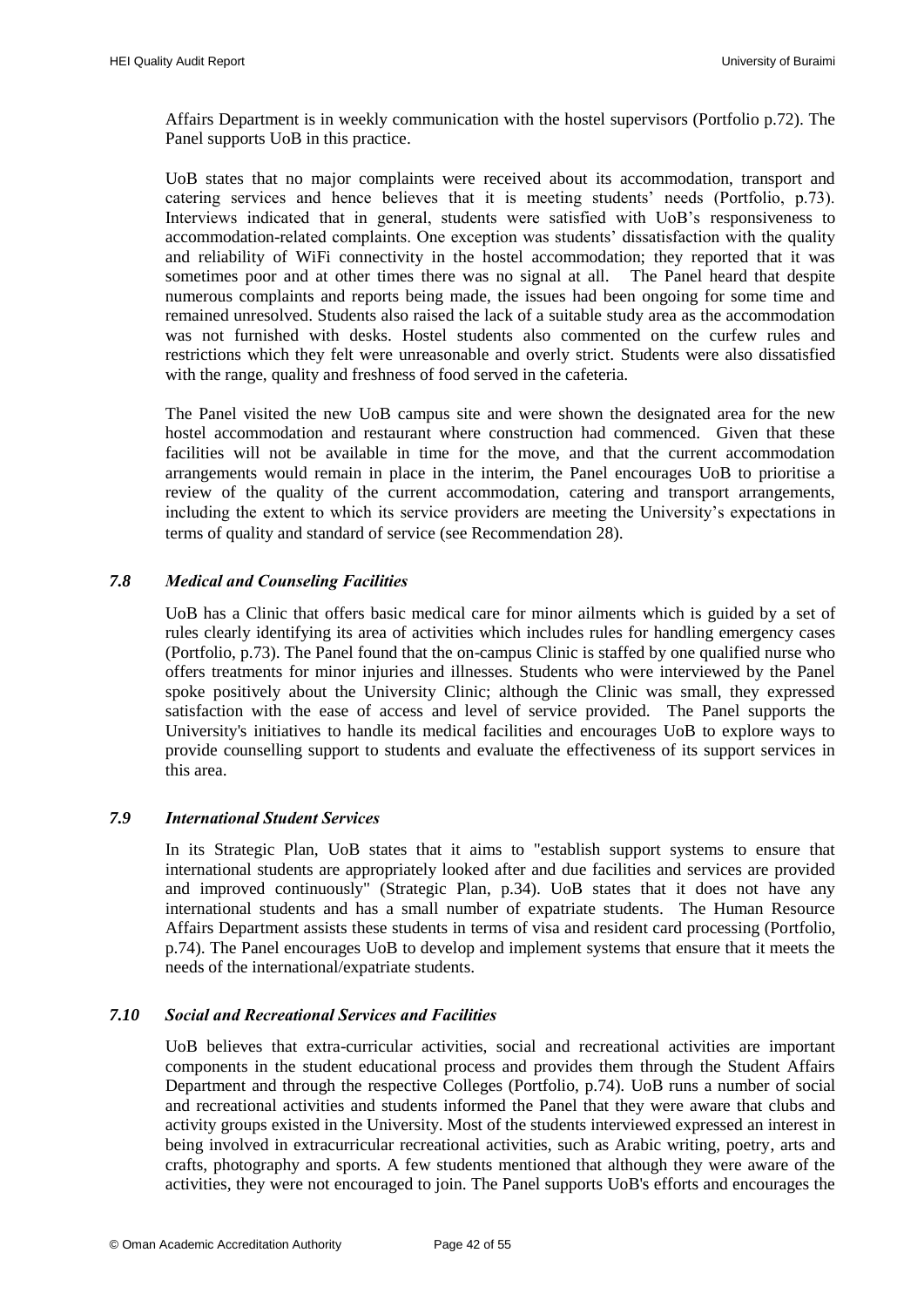Affairs Department is in weekly communication with the hostel supervisors (Portfolio p.72). The Panel supports UoB in this practice.

UoB states that no major complaints were received about its accommodation, transport and catering services and hence believes that it is meeting students" needs (Portfolio, p.73). Interviews indicated that in general, students were satisfied with UoB"s responsiveness to accommodation-related complaints. One exception was students" dissatisfaction with the quality and reliability of WiFi connectivity in the hostel accommodation; they reported that it was sometimes poor and at other times there was no signal at all. The Panel heard that despite numerous complaints and reports being made, the issues had been ongoing for some time and remained unresolved. Students also raised the lack of a suitable study area as the accommodation was not furnished with desks. Hostel students also commented on the curfew rules and restrictions which they felt were unreasonable and overly strict. Students were also dissatisfied with the range, quality and freshness of food served in the cafeteria.

The Panel visited the new UoB campus site and were shown the designated area for the new hostel accommodation and restaurant where construction had commenced. Given that these facilities will not be available in time for the move, and that the current accommodation arrangements would remain in place in the interim, the Panel encourages UoB to prioritise a review of the quality of the current accommodation, catering and transport arrangements, including the extent to which its service providers are meeting the University"s expectations in terms of quality and standard of service (see [Recommendation 28\)](#page-40-3).

#### <span id="page-43-0"></span>*7.8 Medical and Counseling Facilities*

UoB has a Clinic that offers basic medical care for minor ailments which is guided by a set of rules clearly identifying its area of activities which includes rules for handling emergency cases (Portfolio, p.73). The Panel found that the on-campus Clinic is staffed by one qualified nurse who offers treatments for minor injuries and illnesses. Students who were interviewed by the Panel spoke positively about the University Clinic; although the Clinic was small, they expressed satisfaction with the ease of access and level of service provided. The Panel supports the University's initiatives to handle its medical facilities and encourages UoB to explore ways to provide counselling support to students and evaluate the effectiveness of its support services in this area.

#### <span id="page-43-1"></span>*7.9 International Student Services*

In its Strategic Plan, UoB states that it aims to "establish support systems to ensure that international students are appropriately looked after and due facilities and services are provided and improved continuously" (Strategic Plan, p.34). UoB states that it does not have any international students and has a small number of expatriate students. The Human Resource Affairs Department assists these students in terms of visa and resident card processing (Portfolio, p.74). The Panel encourages UoB to develop and implement systems that ensure that it meets the needs of the international/expatriate students.

#### <span id="page-43-2"></span>*7.10 Social and Recreational Services and Facilities*

UoB believes that extra-curricular activities, social and recreational activities are important components in the student educational process and provides them through the Student Affairs Department and through the respective Colleges (Portfolio, p.74). UoB runs a number of social and recreational activities and students informed the Panel that they were aware that clubs and activity groups existed in the University. Most of the students interviewed expressed an interest in being involved in extracurricular recreational activities, such as Arabic writing, poetry, arts and crafts, photography and sports. A few students mentioned that although they were aware of the activities, they were not encouraged to join. The Panel supports UoB's efforts and encourages the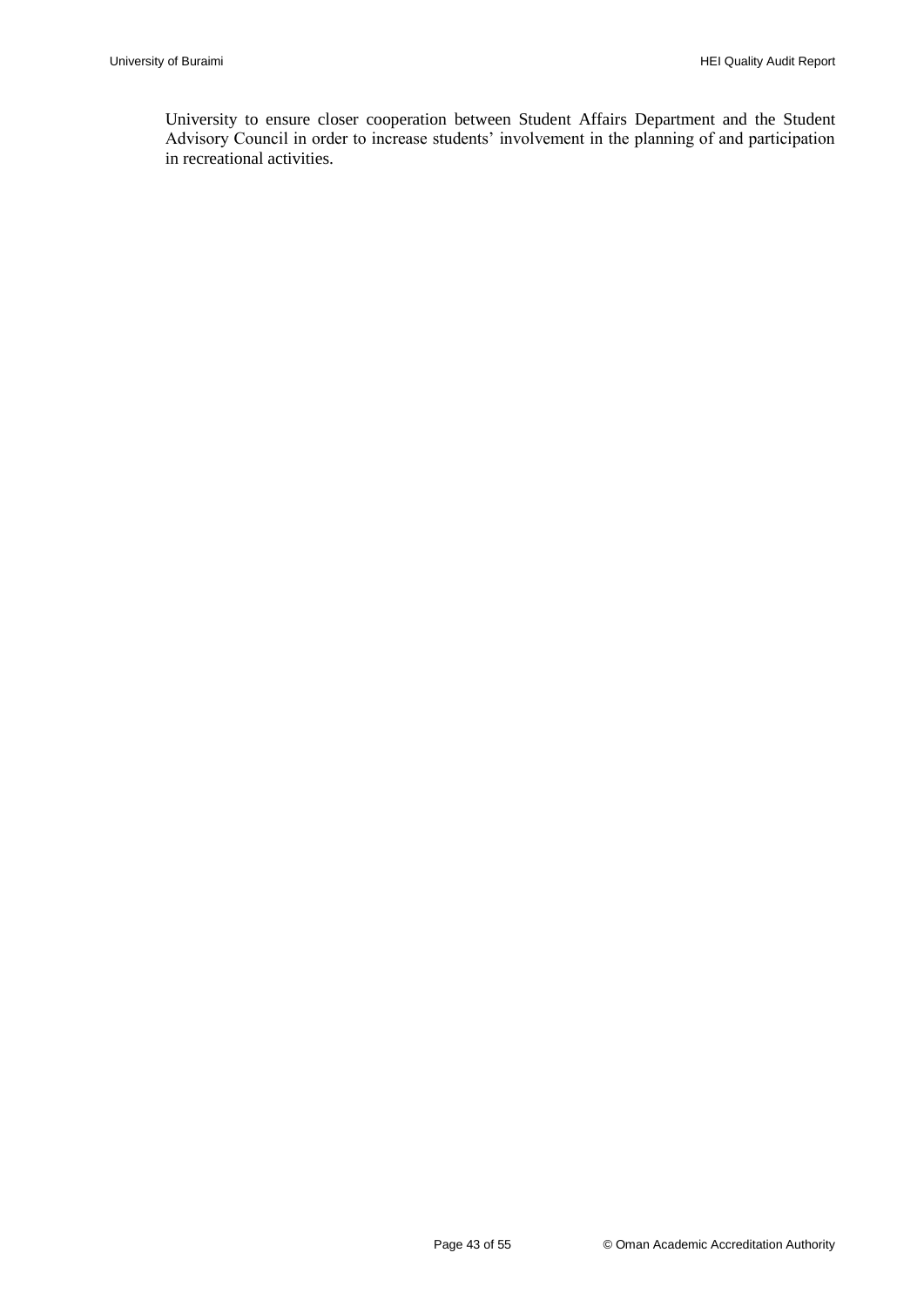University to ensure closer cooperation between Student Affairs Department and the Student Advisory Council in order to increase students' involvement in the planning of and participation in recreational activities.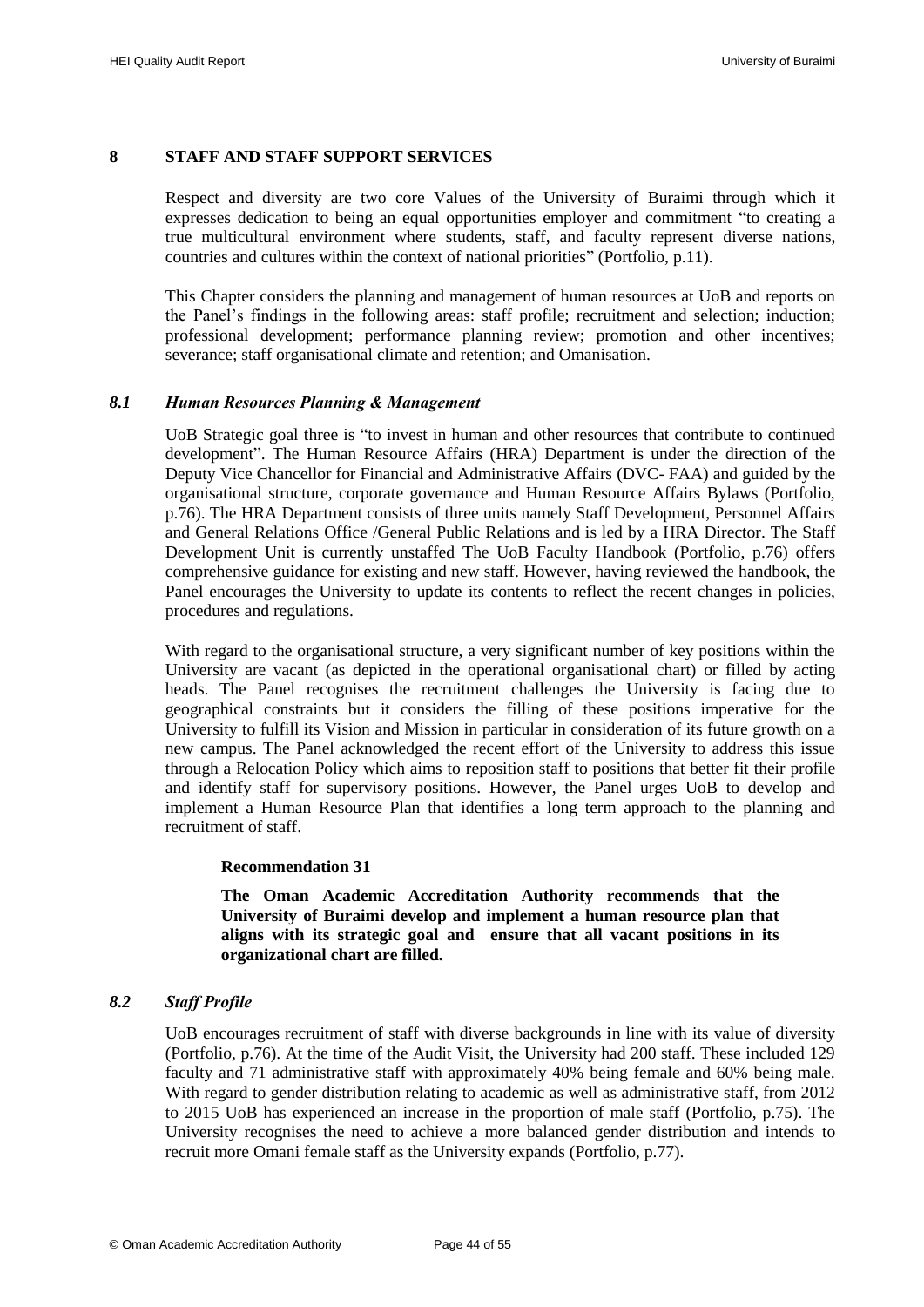#### <span id="page-45-0"></span>**8 STAFF AND STAFF SUPPORT SERVICES**

Respect and diversity are two core Values of the University of Buraimi through which it expresses dedication to being an equal opportunities employer and commitment "to creating a true multicultural environment where students, staff, and faculty represent diverse nations, countries and cultures within the context of national priorities" (Portfolio, p.11).

This Chapter considers the planning and management of human resources at UoB and reports on the Panel"s findings in the following areas: staff profile; recruitment and selection; induction; professional development; performance planning review; promotion and other incentives; severance; staff organisational climate and retention; and Omanisation.

#### <span id="page-45-1"></span>*8.1 Human Resources Planning & Management*

UoB Strategic goal three is "to invest in human and other resources that contribute to continued development". The Human Resource Affairs (HRA) Department is under the direction of the Deputy Vice Chancellor for Financial and Administrative Affairs (DVC- FAA) and guided by the organisational structure, corporate governance and Human Resource Affairs Bylaws (Portfolio, p.76). The HRA Department consists of three units namely Staff Development, Personnel Affairs and General Relations Office /General Public Relations and is led by a HRA Director. The Staff Development Unit is currently unstaffed The UoB Faculty Handbook (Portfolio, p.76) offers comprehensive guidance for existing and new staff. However, having reviewed the handbook, the Panel encourages the University to update its contents to reflect the recent changes in policies, procedures and regulations.

With regard to the organisational structure, a very significant number of key positions within the University are vacant (as depicted in the operational organisational chart) or filled by acting heads. The Panel recognises the recruitment challenges the University is facing due to geographical constraints but it considers the filling of these positions imperative for the University to fulfill its Vision and Mission in particular in consideration of its future growth on a new campus. The Panel acknowledged the recent effort of the University to address this issue through a Relocation Policy which aims to reposition staff to positions that better fit their profile and identify staff for supervisory positions. However, the Panel urges UoB to develop and implement a Human Resource Plan that identifies a long term approach to the planning and recruitment of staff.

#### <span id="page-45-4"></span>**Recommendation 31**

**The Oman Academic Accreditation Authority recommends that the University of Buraimi develop and implement a human resource plan that aligns with its strategic goal and ensure that all vacant positions in its organizational chart are filled.**

#### <span id="page-45-3"></span><span id="page-45-2"></span>*8.2 Staff Profile*

UoB encourages recruitment of staff with diverse backgrounds in line with its value of diversity (Portfolio, p.76). At the time of the Audit Visit, the University had 200 staff. These included 129 faculty and 71 administrative staff with approximately 40% being female and 60% being male. With regard to gender distribution relating to academic as well as administrative staff, from 2012 to 2015 UoB has experienced an increase in the proportion of male staff (Portfolio, p.75). The University recognises the need to achieve a more balanced gender distribution and intends to recruit more Omani female staff as the University expands (Portfolio, p.77).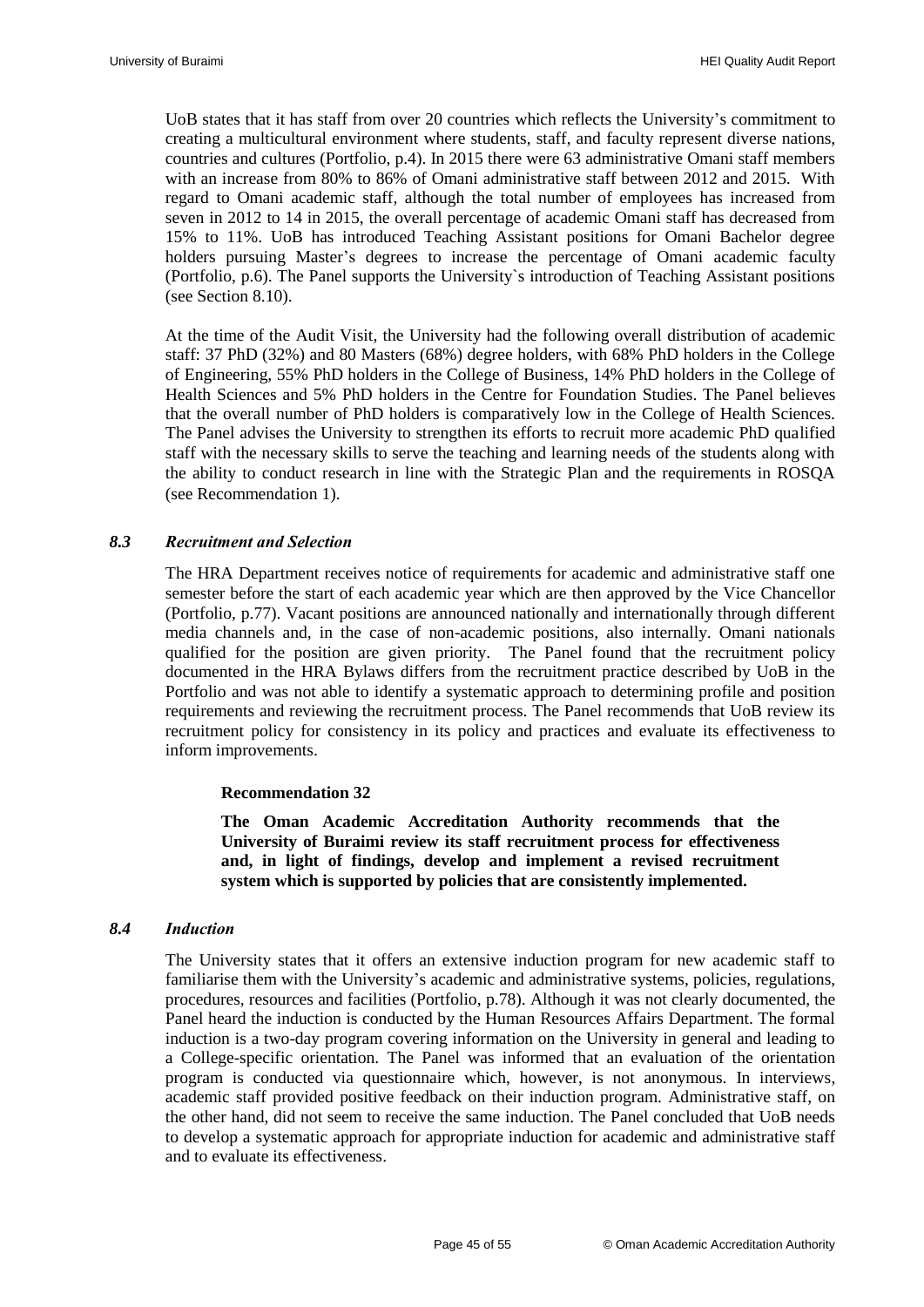UoB states that it has staff from over 20 countries which reflects the University"s commitment to creating a multicultural environment where students, staff, and faculty represent diverse nations, countries and cultures (Portfolio, p.4). In 2015 there were 63 administrative Omani staff members with an increase from 80% to 86% of Omani administrative staff between 2012 and 2015. With regard to Omani academic staff, although the total number of employees has increased from seven in 2012 to 14 in 2015, the overall percentage of academic Omani staff has decreased from 15% to 11%. UoB has introduced Teaching Assistant positions for Omani Bachelor degree holders pursuing Master's degrees to increase the percentage of Omani academic faculty (Portfolio, p.6). The Panel supports the University`s introduction of Teaching Assistant positions (see Section 8.10).

At the time of the Audit Visit, the University had the following overall distribution of academic staff: 37 PhD (32%) and 80 Masters (68%) degree holders, with 68% PhD holders in the College of Engineering, 55% PhD holders in the College of Business, 14% PhD holders in the College of Health Sciences and 5% PhD holders in the Centre for Foundation Studies. The Panel believes that the overall number of PhD holders is comparatively low in the College of Health Sciences. The Panel advises the University to strengthen its efforts to recruit more academic PhD qualified staff with the necessary skills to serve the teaching and learning needs of the students along with the ability to conduct research in line with the Strategic Plan and the requirements in ROSQA (see [Recommendation 1\)](#page-13-4).

#### <span id="page-46-0"></span>*8.3 Recruitment and Selection*

The HRA Department receives notice of requirements for academic and administrative staff one semester before the start of each academic year which are then approved by the Vice Chancellor (Portfolio, p.77). Vacant positions are announced nationally and internationally through different media channels and, in the case of non-academic positions, also internally. Omani nationals qualified for the position are given priority. The Panel found that the recruitment policy documented in the HRA Bylaws differs from the recruitment practice described by UoB in the Portfolio and was not able to identify a systematic approach to determining profile and position requirements and reviewing the recruitment process. The Panel recommends that UoB review its recruitment policy for consistency in its policy and practices and evaluate its effectiveness to inform improvements.

#### **Recommendation 32**

**The Oman Academic Accreditation Authority recommends that the University of Buraimi review its staff recruitment process for effectiveness and, in light of findings, develop and implement a revised recruitment system which is supported by policies that are consistently implemented.**

#### <span id="page-46-2"></span><span id="page-46-1"></span>*8.4 Induction*

The University states that it offers an extensive induction program for new academic staff to familiarise them with the University"s academic and administrative systems, policies, regulations, procedures, resources and facilities (Portfolio, p.78). Although it was not clearly documented, the Panel heard the induction is conducted by the Human Resources Affairs Department. The formal induction is a two-day program covering information on the University in general and leading to a College-specific orientation. The Panel was informed that an evaluation of the orientation program is conducted via questionnaire which, however, is not anonymous. In interviews, academic staff provided positive feedback on their induction program. Administrative staff, on the other hand, did not seem to receive the same induction. The Panel concluded that UoB needs to develop a systematic approach for appropriate induction for academic and administrative staff and to evaluate its effectiveness.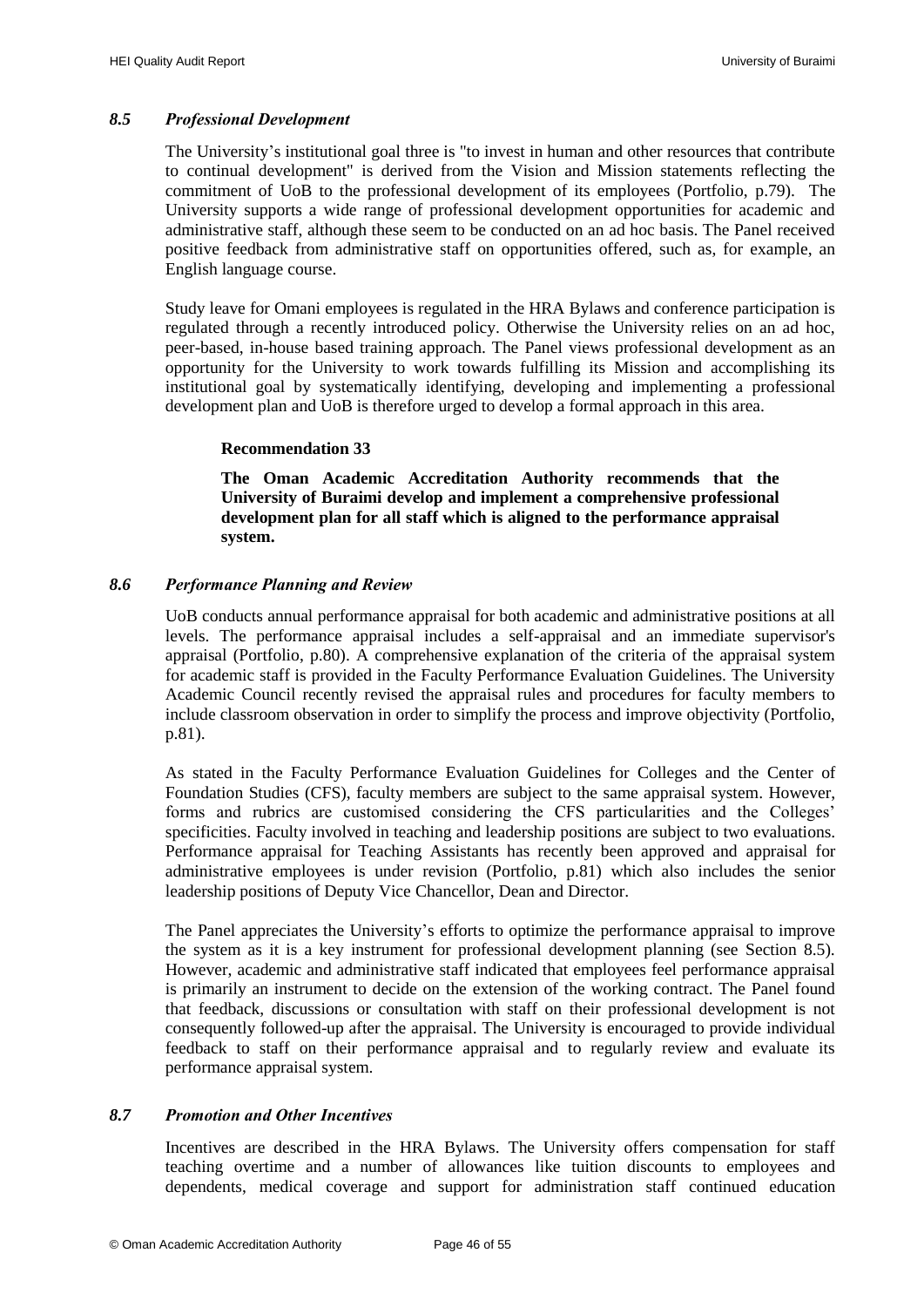#### <span id="page-47-0"></span>*8.5 Professional Development*

The University"s institutional goal three is "to invest in human and other resources that contribute to continual development" is derived from the Vision and Mission statements reflecting the commitment of UoB to the professional development of its employees (Portfolio, p.79). The University supports a wide range of professional development opportunities for academic and administrative staff, although these seem to be conducted on an ad hoc basis. The Panel received positive feedback from administrative staff on opportunities offered, such as, for example, an English language course.

Study leave for Omani employees is regulated in the HRA Bylaws and conference participation is regulated through a recently introduced policy. Otherwise the University relies on an ad hoc, peer-based, in-house based training approach. The Panel views professional development as an opportunity for the University to work towards fulfilling its Mission and accomplishing its institutional goal by systematically identifying, developing and implementing a professional development plan and UoB is therefore urged to develop a formal approach in this area.

#### **Recommendation 33**

**The Oman Academic Accreditation Authority recommends that the University of Buraimi develop and implement a comprehensive professional development plan for all staff which is aligned to the performance appraisal system.**

#### <span id="page-47-3"></span><span id="page-47-1"></span>*8.6 Performance Planning and Review*

UoB conducts annual performance appraisal for both academic and administrative positions at all levels. The performance appraisal includes a self-appraisal and an immediate supervisor's appraisal (Portfolio, p.80). A comprehensive explanation of the criteria of the appraisal system for academic staff is provided in the Faculty Performance Evaluation Guidelines. The University Academic Council recently revised the appraisal rules and procedures for faculty members to include classroom observation in order to simplify the process and improve objectivity (Portfolio, p.81).

As stated in the Faculty Performance Evaluation Guidelines for Colleges and the Center of Foundation Studies (CFS), faculty members are subject to the same appraisal system. However, forms and rubrics are customised considering the CFS particularities and the Colleges' specificities. Faculty involved in teaching and leadership positions are subject to two evaluations. Performance appraisal for Teaching Assistants has recently been approved and appraisal for administrative employees is under revision (Portfolio, p.81) which also includes the senior leadership positions of Deputy Vice Chancellor, Dean and Director.

The Panel appreciates the University's efforts to optimize the performance appraisal to improve the system as it is a key instrument for professional development planning (see Section 8.5). However, academic and administrative staff indicated that employees feel performance appraisal is primarily an instrument to decide on the extension of the working contract. The Panel found that feedback, discussions or consultation with staff on their professional development is not consequently followed-up after the appraisal. The University is encouraged to provide individual feedback to staff on their performance appraisal and to regularly review and evaluate its performance appraisal system.

#### <span id="page-47-2"></span>*8.7 Promotion and Other Incentives*

Incentives are described in the HRA Bylaws. The University offers compensation for staff teaching overtime and a number of allowances like tuition discounts to employees and dependents, medical coverage and support for administration staff continued education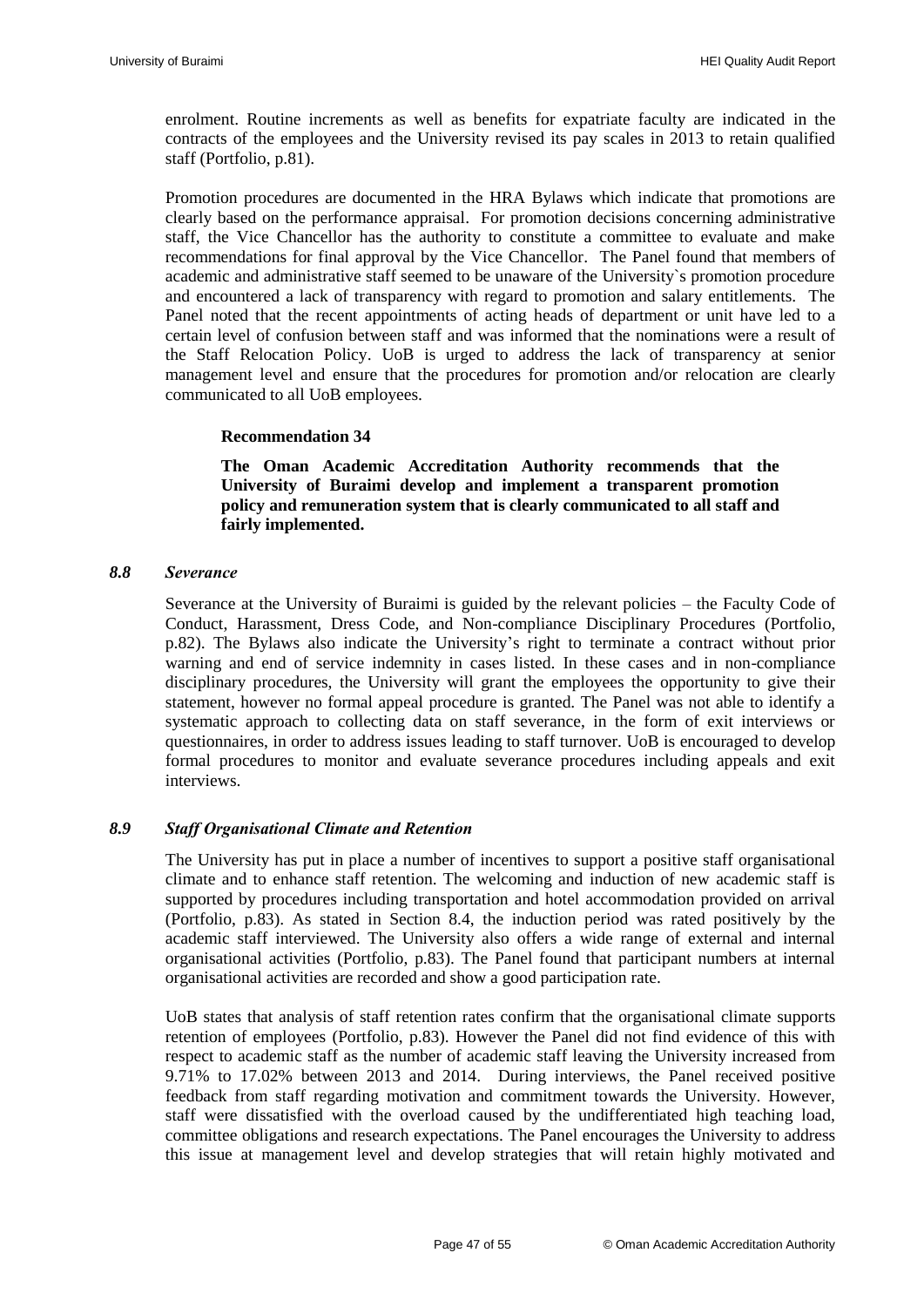enrolment. Routine increments as well as benefits for expatriate faculty are indicated in the contracts of the employees and the University revised its pay scales in 2013 to retain qualified staff (Portfolio, p.81).

Promotion procedures are documented in the HRA Bylaws which indicate that promotions are clearly based on the performance appraisal. For promotion decisions concerning administrative staff, the Vice Chancellor has the authority to constitute a committee to evaluate and make recommendations for final approval by the Vice Chancellor. The Panel found that members of academic and administrative staff seemed to be unaware of the University`s promotion procedure and encountered a lack of transparency with regard to promotion and salary entitlements. The Panel noted that the recent appointments of acting heads of department or unit have led to a certain level of confusion between staff and was informed that the nominations were a result of the Staff Relocation Policy. UoB is urged to address the lack of transparency at senior management level and ensure that the procedures for promotion and/or relocation are clearly communicated to all UoB employees.

#### **Recommendation 34**

**The Oman Academic Accreditation Authority recommends that the University of Buraimi develop and implement a transparent promotion policy and remuneration system that is clearly communicated to all staff and fairly implemented.**

#### <span id="page-48-2"></span><span id="page-48-0"></span>*8.8 Severance*

Severance at the University of Buraimi is guided by the relevant policies – the Faculty Code of Conduct, Harassment, Dress Code, and Non-compliance Disciplinary Procedures (Portfolio, p.82). The Bylaws also indicate the University"s right to terminate a contract without prior warning and end of service indemnity in cases listed. In these cases and in non-compliance disciplinary procedures, the University will grant the employees the opportunity to give their statement, however no formal appeal procedure is granted. The Panel was not able to identify a systematic approach to collecting data on staff severance, in the form of exit interviews or questionnaires, in order to address issues leading to staff turnover. UoB is encouraged to develop formal procedures to monitor and evaluate severance procedures including appeals and exit interviews.

#### <span id="page-48-1"></span>*8.9 Staff Organisational Climate and Retention*

The University has put in place a number of incentives to support a positive staff organisational climate and to enhance staff retention. The welcoming and induction of new academic staff is supported by procedures including transportation and hotel accommodation provided on arrival (Portfolio, p.83). As stated in Section 8.4, the induction period was rated positively by the academic staff interviewed. The University also offers a wide range of external and internal organisational activities (Portfolio, p.83). The Panel found that participant numbers at internal organisational activities are recorded and show a good participation rate.

UoB states that analysis of staff retention rates confirm that the organisational climate supports retention of employees (Portfolio, p.83). However the Panel did not find evidence of this with respect to academic staff as the number of academic staff leaving the University increased from 9.71% to 17.02% between 2013 and 2014. During interviews, the Panel received positive feedback from staff regarding motivation and commitment towards the University. However, staff were dissatisfied with the overload caused by the undifferentiated high teaching load, committee obligations and research expectations. The Panel encourages the University to address this issue at management level and develop strategies that will retain highly motivated and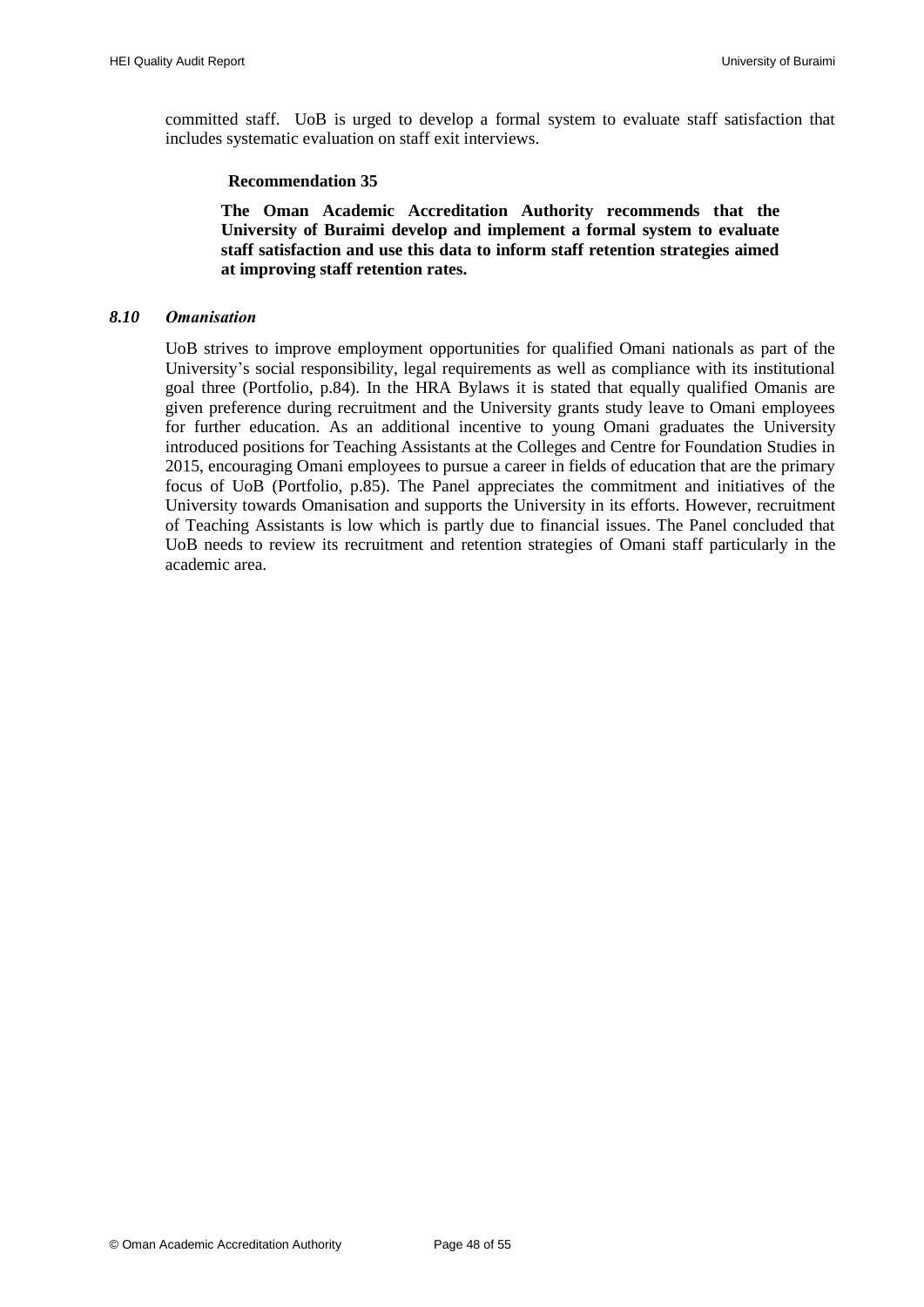committed staff. UoB is urged to develop a formal system to evaluate staff satisfaction that includes systematic evaluation on staff exit interviews.

#### **Recommendation 35**

**The Oman Academic Accreditation Authority recommends that the University of Buraimi develop and implement a formal system to evaluate staff satisfaction and use this data to inform staff retention strategies aimed at improving staff retention rates.**

#### <span id="page-49-1"></span><span id="page-49-0"></span>*8.10 Omanisation*

UoB strives to improve employment opportunities for qualified Omani nationals as part of the University"s social responsibility, legal requirements as well as compliance with its institutional goal three (Portfolio, p.84). In the HRA Bylaws it is stated that equally qualified Omanis are given preference during recruitment and the University grants study leave to Omani employees for further education. As an additional incentive to young Omani graduates the University introduced positions for Teaching Assistants at the Colleges and Centre for Foundation Studies in 2015, encouraging Omani employees to pursue a career in fields of education that are the primary focus of UoB (Portfolio, p.85). The Panel appreciates the commitment and initiatives of the University towards Omanisation and supports the University in its efforts. However, recruitment of Teaching Assistants is low which is partly due to financial issues. The Panel concluded that UoB needs to review its recruitment and retention strategies of Omani staff particularly in the academic area.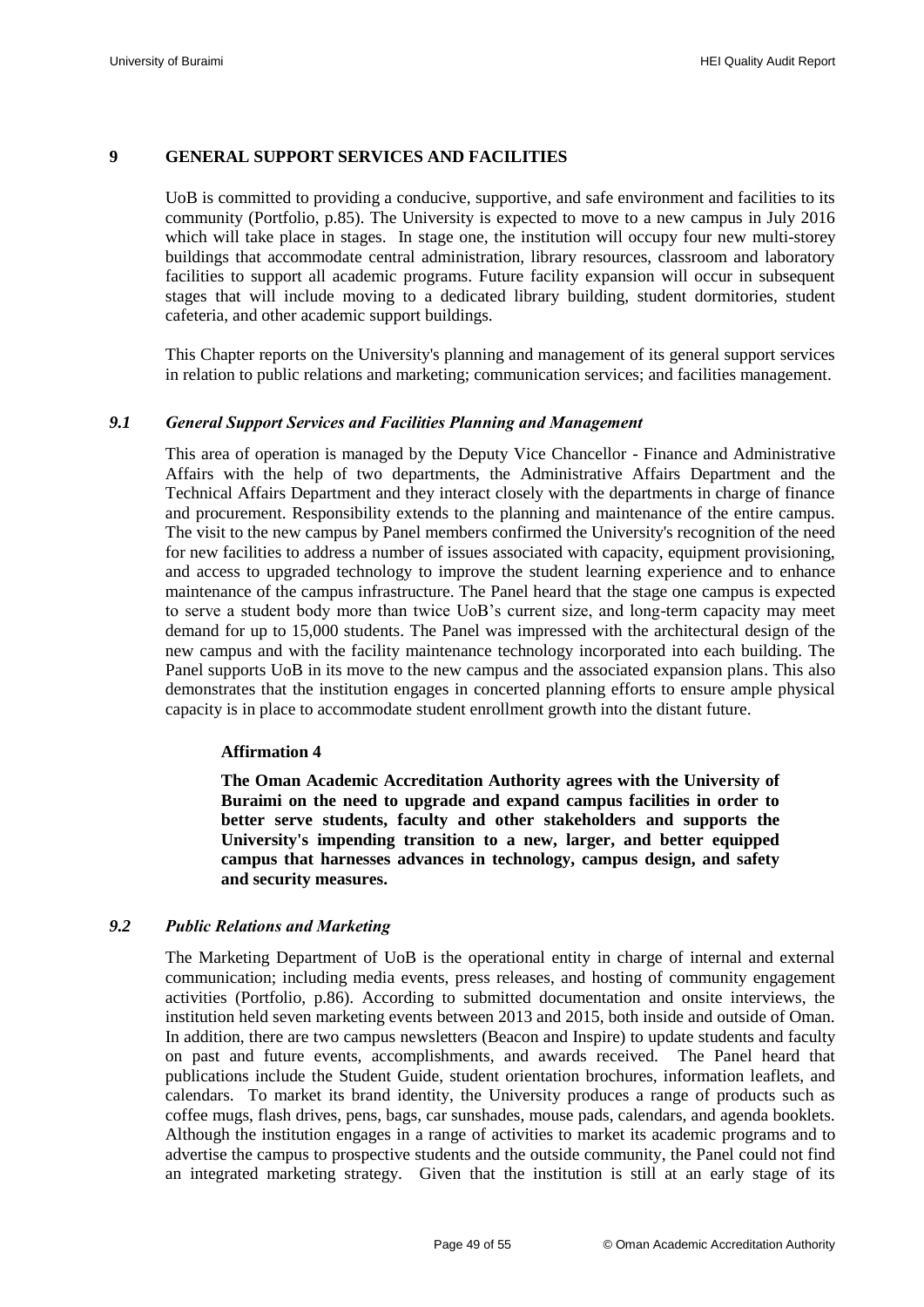#### <span id="page-50-0"></span>**9 GENERAL SUPPORT SERVICES AND FACILITIES**

UoB is committed to providing a conducive, supportive, and safe environment and facilities to its community (Portfolio, p.85). The University is expected to move to a new campus in July 2016 which will take place in stages. In stage one, the institution will occupy four new multi-storey buildings that accommodate central administration, library resources, classroom and laboratory facilities to support all academic programs. Future facility expansion will occur in subsequent stages that will include moving to a dedicated library building, student dormitories, student cafeteria, and other academic support buildings.

This Chapter reports on the University's planning and management of its general support services in relation to public relations and marketing; communication services; and facilities management.

#### <span id="page-50-1"></span>*9.1 General Support Services and Facilities Planning and Management*

This area of operation is managed by the Deputy Vice Chancellor - Finance and Administrative Affairs with the help of two departments, the Administrative Affairs Department and the Technical Affairs Department and they interact closely with the departments in charge of finance and procurement. Responsibility extends to the planning and maintenance of the entire campus. The visit to the new campus by Panel members confirmed the University's recognition of the need for new facilities to address a number of issues associated with capacity, equipment provisioning, and access to upgraded technology to improve the student learning experience and to enhance maintenance of the campus infrastructure. The Panel heard that the stage one campus is expected to serve a student body more than twice UoB"s current size, and long-term capacity may meet demand for up to 15,000 students. The Panel was impressed with the architectural design of the new campus and with the facility maintenance technology incorporated into each building. The Panel supports UoB in its move to the new campus and the associated expansion plans. This also demonstrates that the institution engages in concerted planning efforts to ensure ample physical capacity is in place to accommodate student enrollment growth into the distant future.

#### **Affirmation 4**

<span id="page-50-3"></span>**The Oman Academic Accreditation Authority agrees with the University of Buraimi on the need to upgrade and expand campus facilities in order to better serve students, faculty and other stakeholders and supports the University's impending transition to a new, larger, and better equipped campus that harnesses advances in technology, campus design, and safety and security measures.**

# <span id="page-50-2"></span>*9.2 Public Relations and Marketing*

The Marketing Department of UoB is the operational entity in charge of internal and external communication; including media events, press releases, and hosting of community engagement activities (Portfolio, p.86). According to submitted documentation and onsite interviews, the institution held seven marketing events between 2013 and 2015, both inside and outside of Oman. In addition, there are two campus newsletters (Beacon and Inspire) to update students and faculty on past and future events, accomplishments, and awards received. The Panel heard that publications include the Student Guide, student orientation brochures, information leaflets, and calendars. To market its brand identity, the University produces a range of products such as coffee mugs, flash drives, pens, bags, car sunshades, mouse pads, calendars, and agenda booklets. Although the institution engages in a range of activities to market its academic programs and to advertise the campus to prospective students and the outside community, the Panel could not find an integrated marketing strategy. Given that the institution is still at an early stage of its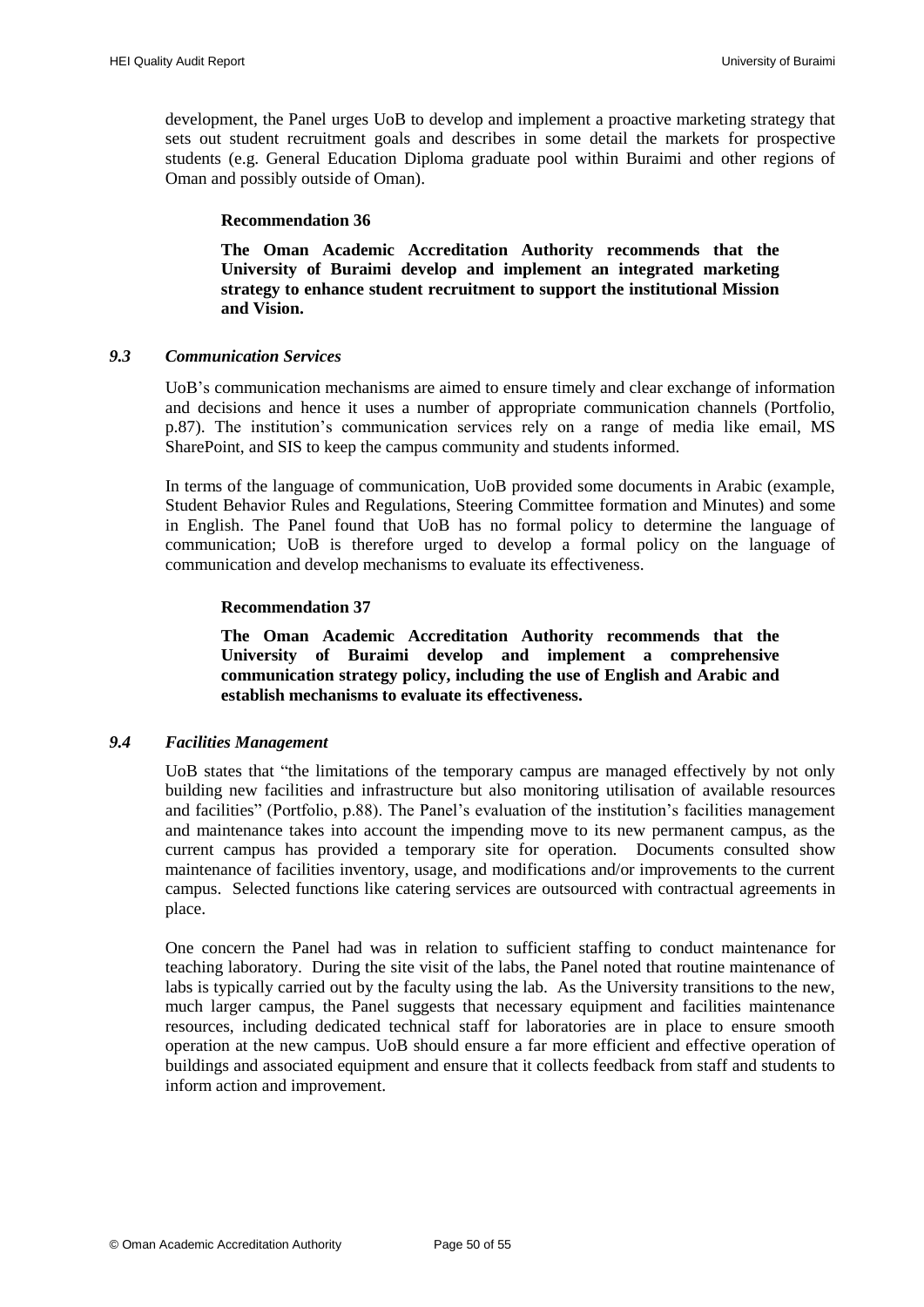development, the Panel urges UoB to develop and implement a proactive marketing strategy that sets out student recruitment goals and describes in some detail the markets for prospective students (e.g. General Education Diploma graduate pool within Buraimi and other regions of Oman and possibly outside of Oman).

#### **Recommendation 36**

**The Oman Academic Accreditation Authority recommends that the University of Buraimi develop and implement an integrated marketing strategy to enhance student recruitment to support the institutional Mission and Vision.**

#### <span id="page-51-2"></span><span id="page-51-0"></span>*9.3 Communication Services*

UoB"s communication mechanisms are aimed to ensure timely and clear exchange of information and decisions and hence it uses a number of appropriate communication channels (Portfolio, p.87). The institution"s communication services rely on a range of media like email, MS SharePoint, and SIS to keep the campus community and students informed.

In terms of the language of communication, UoB provided some documents in Arabic (example, Student Behavior Rules and Regulations, Steering Committee formation and Minutes) and some in English. The Panel found that UoB has no formal policy to determine the language of communication; UoB is therefore urged to develop a formal policy on the language of communication and develop mechanisms to evaluate its effectiveness.

#### <span id="page-51-4"></span>**Recommendation 37**

**The Oman Academic Accreditation Authority recommends that the University of Buraimi develop and implement a comprehensive communication strategy policy, including the use of English and Arabic and establish mechanisms to evaluate its effectiveness.**

#### <span id="page-51-3"></span><span id="page-51-1"></span>*9.4 Facilities Management*

UoB states that "the limitations of the temporary campus are managed effectively by not only building new facilities and infrastructure but also monitoring utilisation of available resources and facilities" (Portfolio, p.88). The Panel"s evaluation of the institution"s facilities management and maintenance takes into account the impending move to its new permanent campus, as the current campus has provided a temporary site for operation. Documents consulted show maintenance of facilities inventory, usage, and modifications and/or improvements to the current campus. Selected functions like catering services are outsourced with contractual agreements in place.

One concern the Panel had was in relation to sufficient staffing to conduct maintenance for teaching laboratory. During the site visit of the labs, the Panel noted that routine maintenance of labs is typically carried out by the faculty using the lab. As the University transitions to the new, much larger campus, the Panel suggests that necessary equipment and facilities maintenance resources, including dedicated technical staff for laboratories are in place to ensure smooth operation at the new campus. UoB should ensure a far more efficient and effective operation of buildings and associated equipment and ensure that it collects feedback from staff and students to inform action and improvement.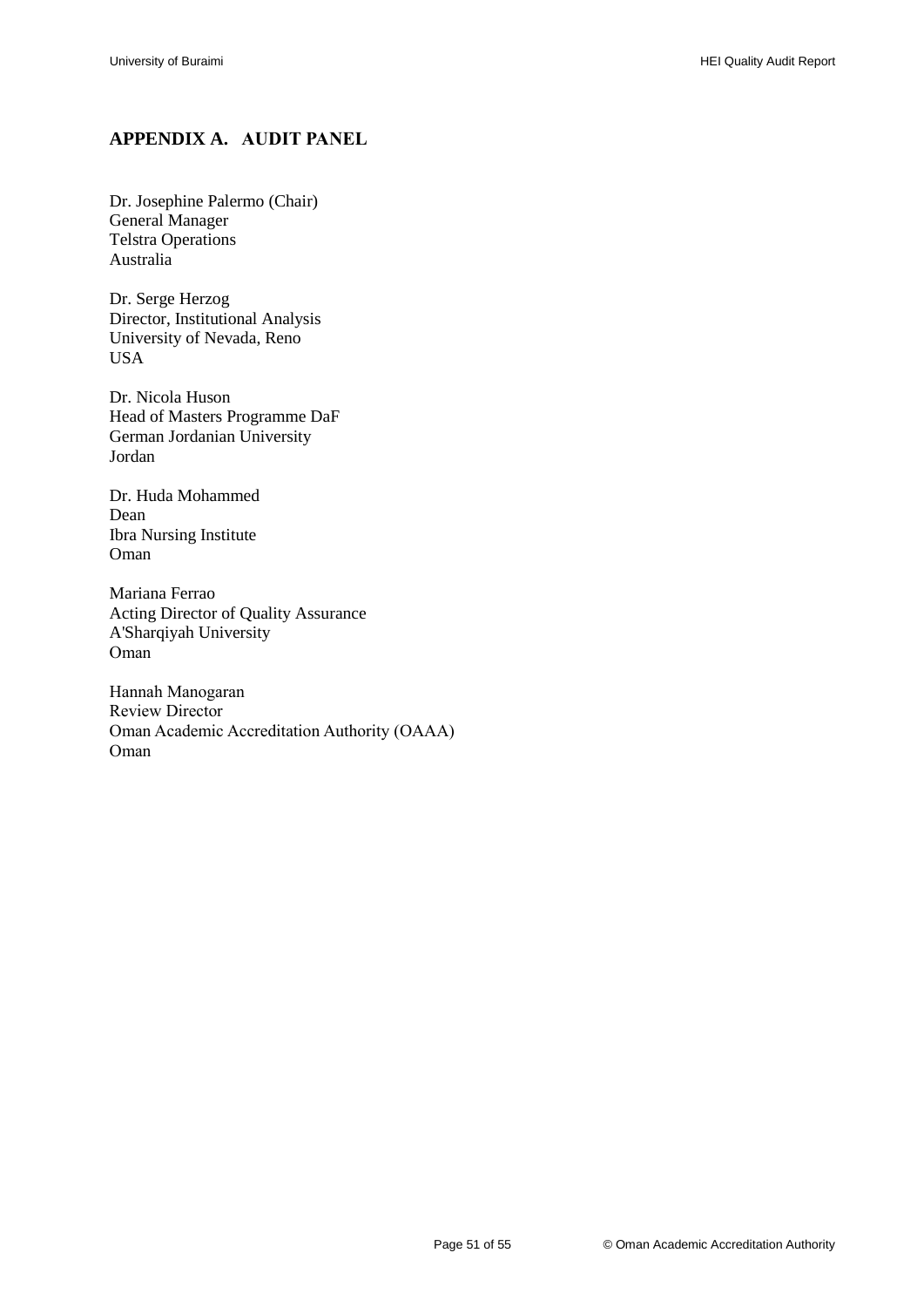# <span id="page-52-0"></span>**APPENDIX A. AUDIT PANEL**

Dr. Josephine Palermo (Chair) General Manager Telstra Operations Australia

Dr. Serge Herzog Director, Institutional Analysis University of Nevada, Reno USA

Dr. Nicola Huson Head of Masters Programme DaF German Jordanian University Jordan

Dr. Huda Mohammed Dean Ibra Nursing Institute Oman

Mariana Ferrao Acting Director of Quality Assurance A'Sharqiyah University Oman

Hannah Manogaran Review Director Oman Academic Accreditation Authority (OAAA) Oman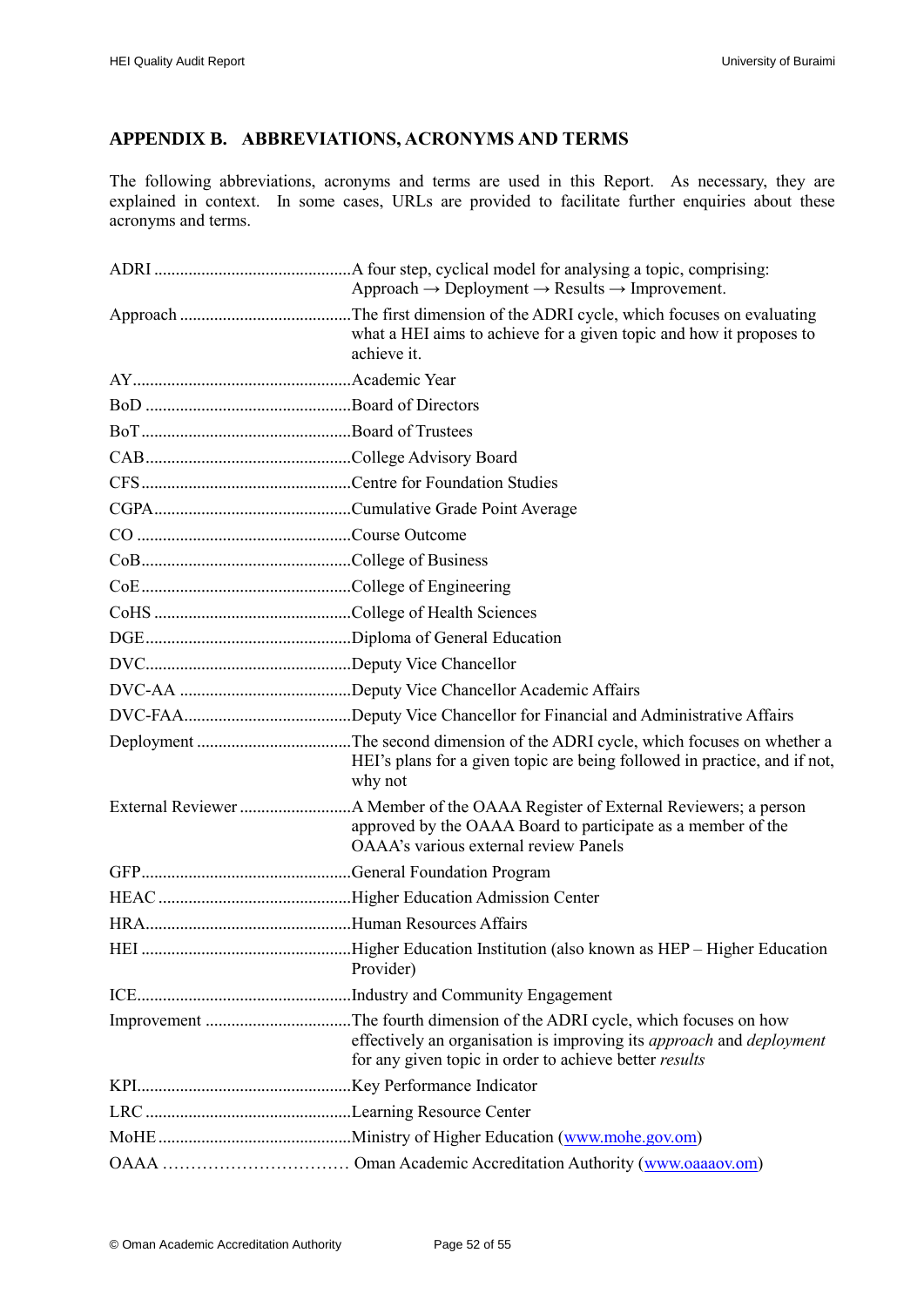# <span id="page-53-0"></span>**APPENDIX B. ABBREVIATIONS, ACRONYMS AND TERMS**

The following abbreviations, acronyms and terms are used in this Report. As necessary, they are explained in context. In some cases, URLs are provided to facilitate further enquiries about these acronyms and terms.

| Approach $\rightarrow$ Deployment $\rightarrow$ Results $\rightarrow$ Improvement.                                                    |
|---------------------------------------------------------------------------------------------------------------------------------------|
| what a HEI aims to achieve for a given topic and how it proposes to<br>achieve it.                                                    |
|                                                                                                                                       |
|                                                                                                                                       |
|                                                                                                                                       |
|                                                                                                                                       |
|                                                                                                                                       |
|                                                                                                                                       |
|                                                                                                                                       |
|                                                                                                                                       |
|                                                                                                                                       |
|                                                                                                                                       |
|                                                                                                                                       |
|                                                                                                                                       |
|                                                                                                                                       |
|                                                                                                                                       |
| HEI's plans for a given topic are being followed in practice, and if not,<br>why not                                                  |
| approved by the OAAA Board to participate as a member of the<br><b>OAAA's various external review Panels</b>                          |
|                                                                                                                                       |
|                                                                                                                                       |
|                                                                                                                                       |
| Provider)                                                                                                                             |
|                                                                                                                                       |
| effectively an organisation is improving its approach and deployment<br>for any given topic in order to achieve better <i>results</i> |
|                                                                                                                                       |
|                                                                                                                                       |
|                                                                                                                                       |
|                                                                                                                                       |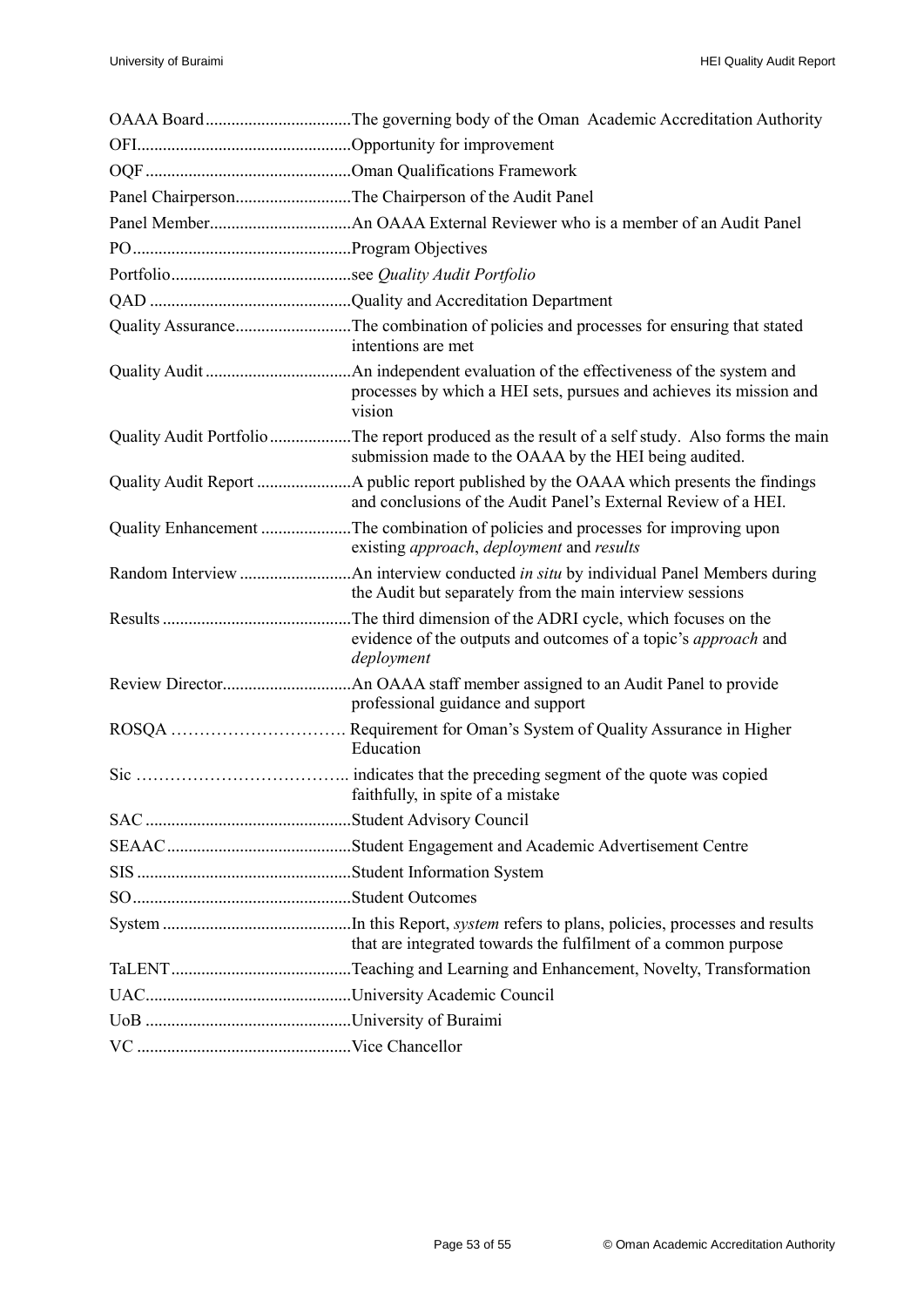| Panel ChairpersonThe Chairperson of the Audit Panel                                                                                                     |
|---------------------------------------------------------------------------------------------------------------------------------------------------------|
|                                                                                                                                                         |
|                                                                                                                                                         |
|                                                                                                                                                         |
|                                                                                                                                                         |
| Quality AssuranceThe combination of policies and processes for ensuring that stated<br>intentions are met                                               |
| processes by which a HEI sets, pursues and achieves its mission and<br>vision                                                                           |
| Quality Audit Portfolio The report produced as the result of a self study. Also forms the main<br>submission made to the OAAA by the HEI being audited. |
| and conclusions of the Audit Panel's External Review of a HEI.                                                                                          |
| Quality Enhancement The combination of policies and processes for improving upon<br>existing <i>approach</i> , <i>deployment</i> and <i>results</i>     |
| the Audit but separately from the main interview sessions                                                                                               |
| The third dimension of the ADRI cycle, which focuses on the<br>evidence of the outputs and outcomes of a topic's <i>approach</i> and<br>deployment      |
| professional guidance and support                                                                                                                       |
| Requirement for Oman's System of Quality Assurance in Higher<br>Education                                                                               |
| faithfully, in spite of a mistake                                                                                                                       |
|                                                                                                                                                         |
|                                                                                                                                                         |
|                                                                                                                                                         |
|                                                                                                                                                         |
| that are integrated towards the fulfilment of a common purpose                                                                                          |
|                                                                                                                                                         |
|                                                                                                                                                         |
|                                                                                                                                                         |
|                                                                                                                                                         |